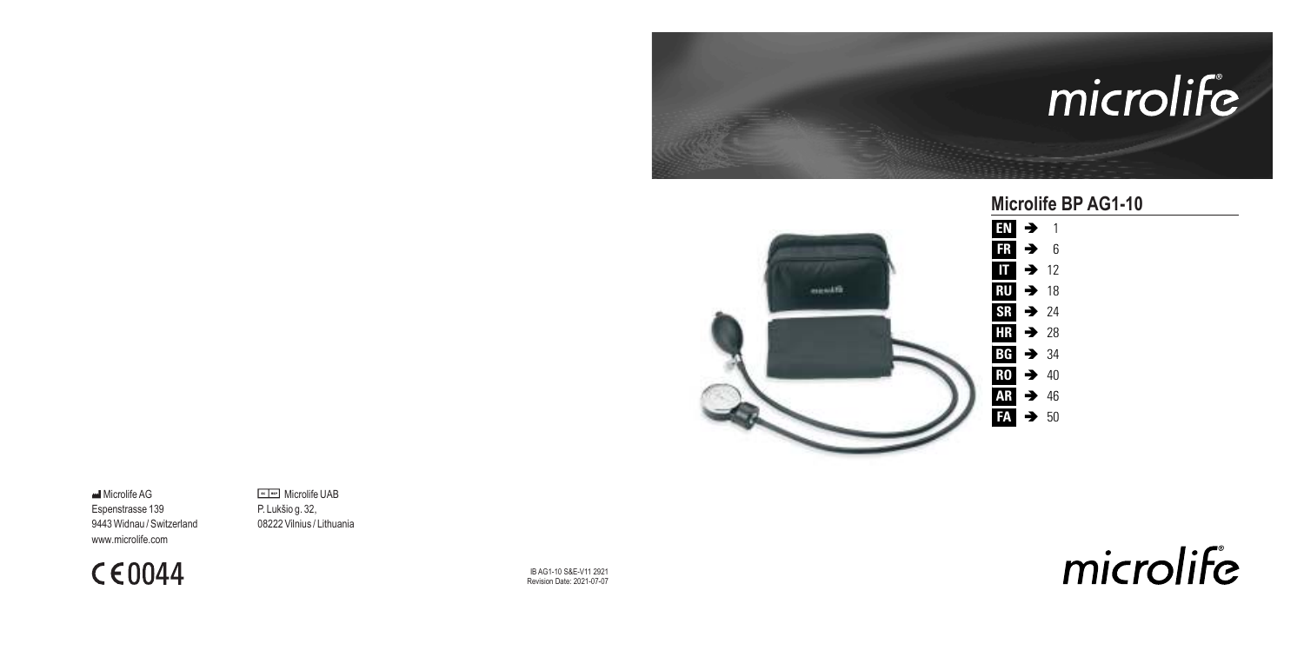



Microlife AG Espenstrasse 139 9443 Widnau / Switzerland www.microlife.com

EC REP Microlife UAB P. Lukšio g. 32, 08222 Vilnius / Lithuania

**CE0044** 

IB AG1-10 S&E-V11 2921 Revision Date: 2021-07-07

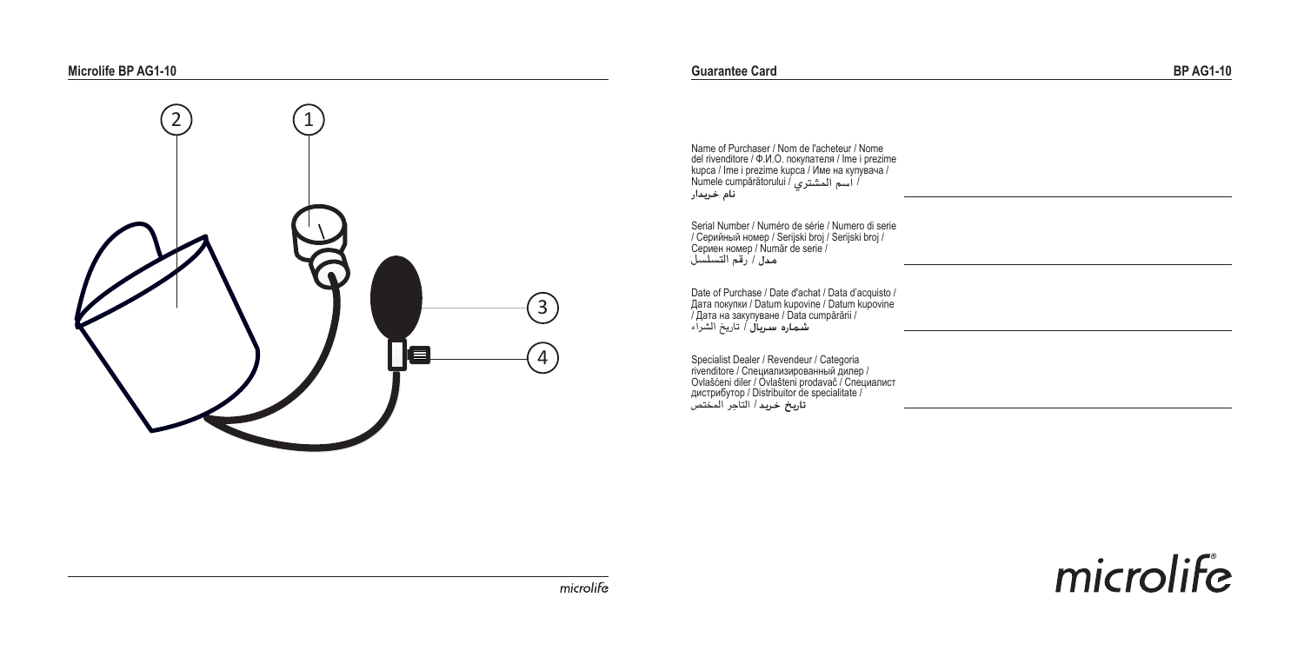

Name of Purchaser / Nom de l'acheteur / Nome **بطاقة الكفالة** del rivenditore / Ф.И.О. покупателя / Ime i prezime kupca / Ime i prezime kupca / Име на купувача / Numele cumpărătorului / / hvehaloie / 4:00: hokynatelia / lin<br>ica / lme i prezime kupca / Име на ку اسم المشتري / Numele cumpărătorului<br>مقام خود ال

Serial Number / Numéro de série / Numero di serie / Серийный номер / Serijski broj / Serijski broj / Сериен номер / Număr de serie / / رقم التسلسل تاريخ الشراء الثانية:<br>Ski broi / Seriis рийный номер / Serijski broj / Serijs<br>иен номер / Număr de serie / رقم التسلسل: **Сериен ном** بطاقة الكفالة (انظر الغطاء الخلفي)

Date of Purchase / Date d'achat / Data d'acquisto / Дата покупки / Datum kupovine / Datum kupovine / Дата на закупуване / Data cumpărării / / تاريخ الشراء اتا e or Pur<br>تعيمات رقم التسلسل: تاريخ الشراء: ala hokyhk**n**<br>Nata ua aam ا تاريخ الشراء

> Specialist Dealer / Revendeur / Categoria rivenditore / Специализированный дилер / Ovlašćeni diler / Ovlašteni prodavač / Специалист дистрибутор / Distribuitor de specialitate / / التاجر المختص alist Dea rvenariore / U<br>امانه اصفحوارد ستان بان<br>/ истрибутор التاجر المختص:

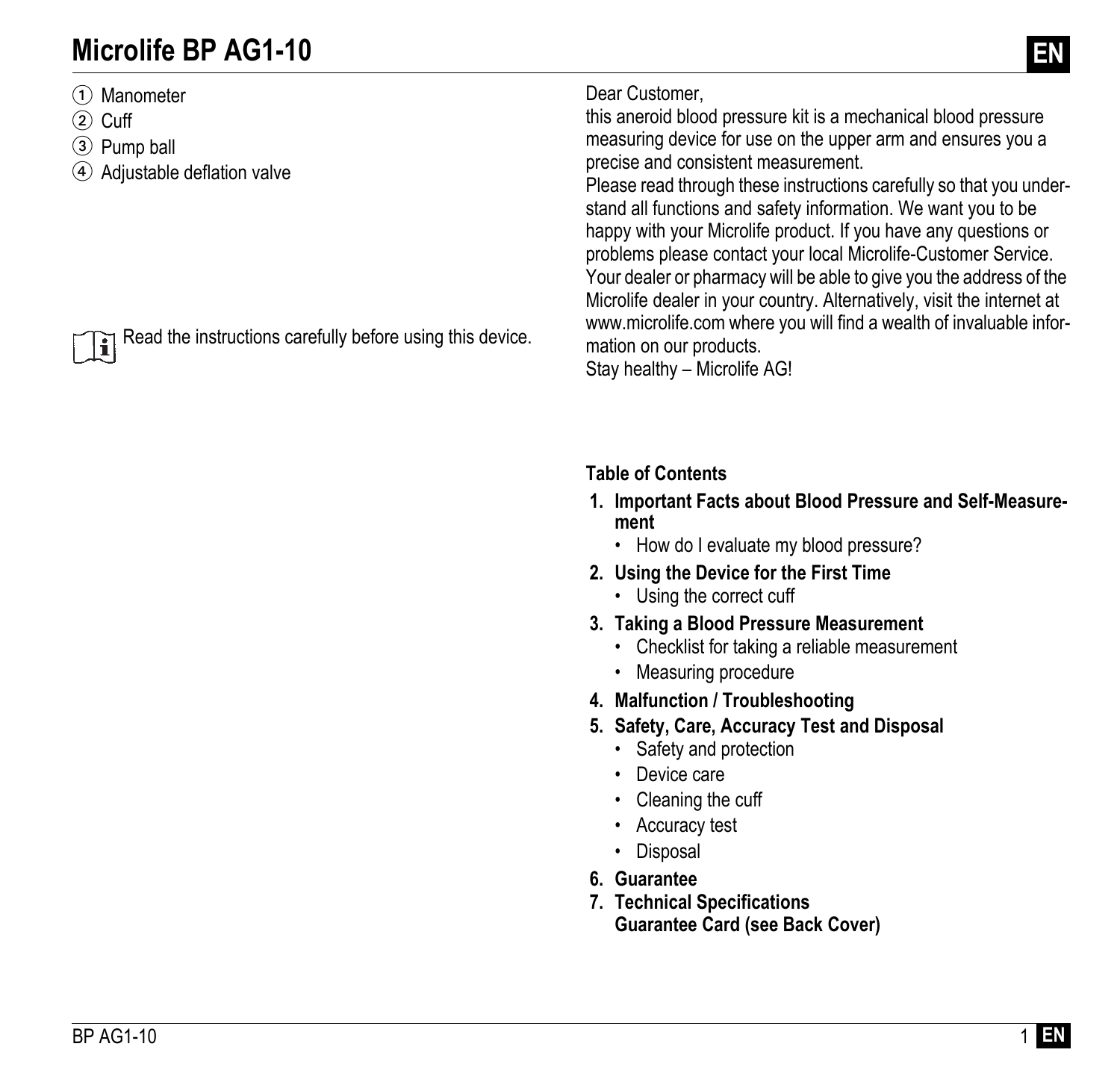# **Microlife BP AG1-10 EN**

- 1 Manometer
- $(2)$  Cuff
- 3 Pump ball
- 4 Adjustable deflation valve



Read the instructions carefully before using this device.

Dear Customer

this aneroid blood pressure kit is a mechanical blood pressure measuring device for use on the upper arm and ensures you a precise and consistent measurement.

Please read through these instructions carefully so that you understand all functions and safety information. We want you to be happy with your Microlife product. If you have any questions or problems please contact your local Microlife-Customer Service. Your dealer or pharmacy will be able to give you the address of the Microlife dealer in your country. Alternatively, visit the internet at www.microlife.com where you will find a wealth of invaluable information on our products.

Stay healthy – Microlife AG!

#### **Table of Contents**

- **1. Important Facts about Blood Pressure and Self-Measurement**
	- How do I evaluate my blood pressure?
- **2. Using the Device for the First Time**
	- Using the correct cuff
- **3. Taking a Blood Pressure Measurement**
	- Checklist for taking a reliable measurement
	- Measuring procedure
- **4. Malfunction / Troubleshooting**
- **5. Safety, Care, Accuracy Test and Disposal**
	- Safety and protection
	- Device care
	- Cleaning the cuff
	- Accuracy test
	- Disposal
- **6. Guarantee**
- **7. Technical Specifications Guarantee Card (see Back Cover)**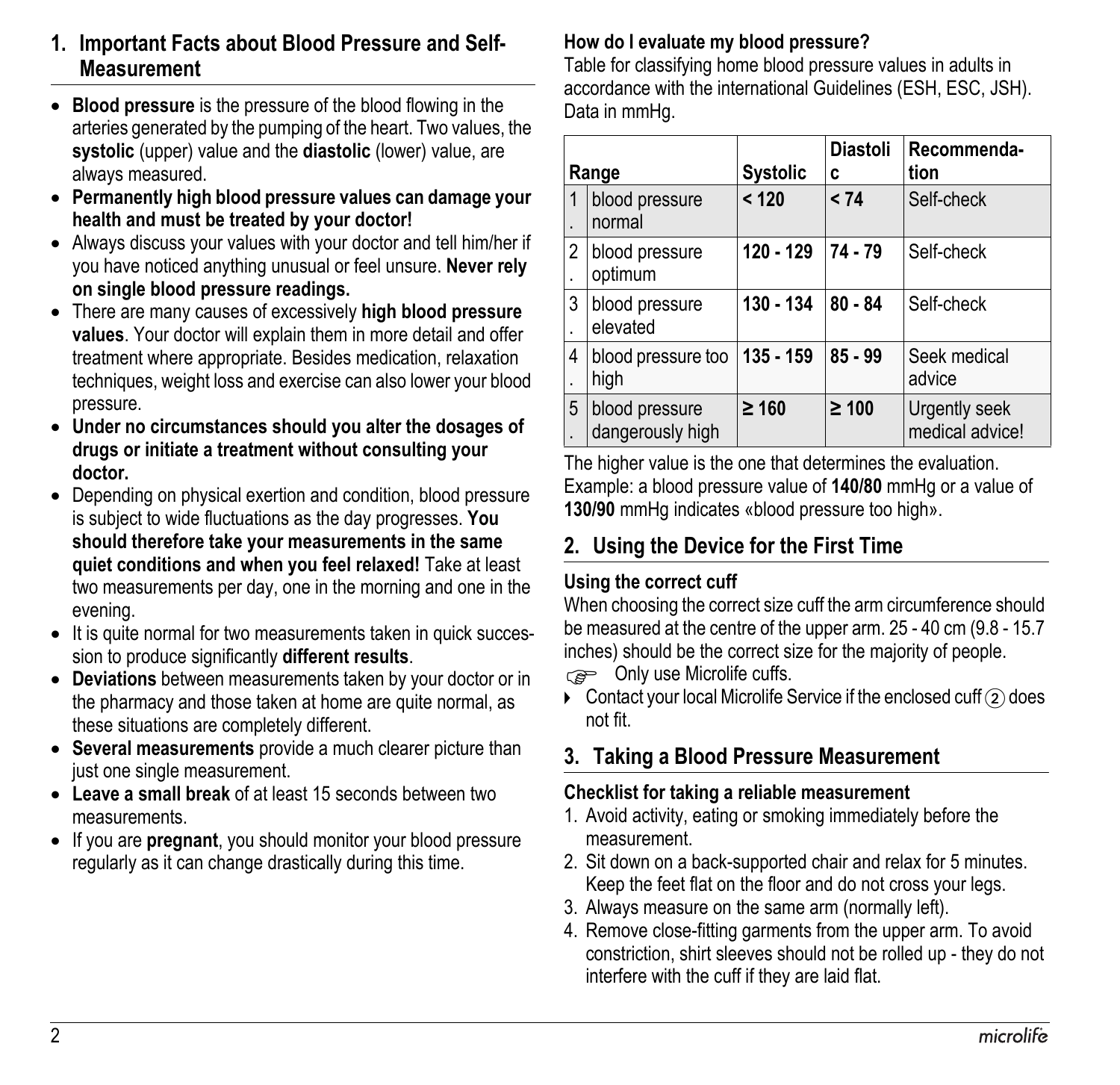- **Blood pressure** is the pressure of the blood flowing in the arteries generated by the pumping of the heart. Two values, the **systolic** (upper) value and the **diastolic** (lower) value, are always measured.
- **Permanently high blood pressure values can damage your health and must be treated by your doctor!**
- Always discuss your values with your doctor and tell him/her if you have noticed anything unusual or feel unsure. **Never rely on single blood pressure readings.**
- There are many causes of excessively **high blood pressure values**. Your doctor will explain them in more detail and offer treatment where appropriate. Besides medication, relaxation techniques, weight loss and exercise can also lower your blood pressure.
- **Under no circumstances should you alter the dosages of drugs or initiate a treatment without consulting your doctor.**
- Depending on physical exertion and condition, blood pressure is subject to wide fluctuations as the day progresses. **You should therefore take your measurements in the same quiet conditions and when you feel relaxed!** Take at least two measurements per day, one in the morning and one in the evening.
- It is quite normal for two measurements taken in quick succession to produce significantly **different results**.
- **Deviations** between measurements taken by your doctor or in the pharmacy and those taken at home are quite normal, as these situations are completely different.
- **Several measurements** provide a much clearer picture than just one single measurement.
- **Leave a small break** of at least 15 seconds between two measurements.
- If you are **pregnant**, you should monitor your blood pressure regularly as it can change drastically during this time.

# **How do I evaluate my blood pressure?**

Table for classifying home blood pressure values in adults in accordance with the international Guidelines (ESH, ESC, JSH). Data in mmHg.

| Range            |                                    | Systolic    | Diastoli<br>c | Recommenda-<br>tion              |
|------------------|------------------------------------|-------------|---------------|----------------------------------|
| $\mathbf 1$<br>٠ | blood pressure<br>normal           | < 120       | < 74          | Self-check                       |
| 2                | blood pressure<br>optimum          | $120 - 129$ | $74 - 79$     | Self-check                       |
| 3                | blood pressure<br>elevated         | 130 - 134   | $80 - 84$     | Self-check                       |
| 4                | blood pressure too<br>high         | $135 - 159$ | $85 - 99$     | Seek medical<br>advice           |
| 5                | blood pressure<br>dangerously high | $\geq 160$  | $\geq 100$    | Urgently seek<br>medical advice! |

The higher value is the one that determines the evaluation. Example: a blood pressure value of **140/80** mmHg or a value of 130/90 mmHg indicates «blood pressure too high».

# **2. Using the Device for the First Time**

# **Using the correct cuff**

When choosing the correct size cuff the arm circumference should be measured at the centre of the upper arm. 25 - 40 cm (9.8 - 15.7 inches) should be the correct size for the majority of people.

- Only use Microlife cuffs.
- $\blacktriangleright$  Contact your local Microlife Service if the enclosed cuff  $(2)$  does not fit.

# **3. Taking a Blood Pressure Measurement**

# **Checklist for taking a reliable measurement**

- 1. Avoid activity, eating or smoking immediately before the measurement.
- 2. Sit down on a back-supported chair and relax for 5 minutes. Keep the feet flat on the floor and do not cross your legs.
- 3. Always measure on the same arm (normally left).
- 4. Remove close-fitting garments from the upper arm. To avoid constriction, shirt sleeves should not be rolled up - they do not interfere with the cuff if they are laid flat.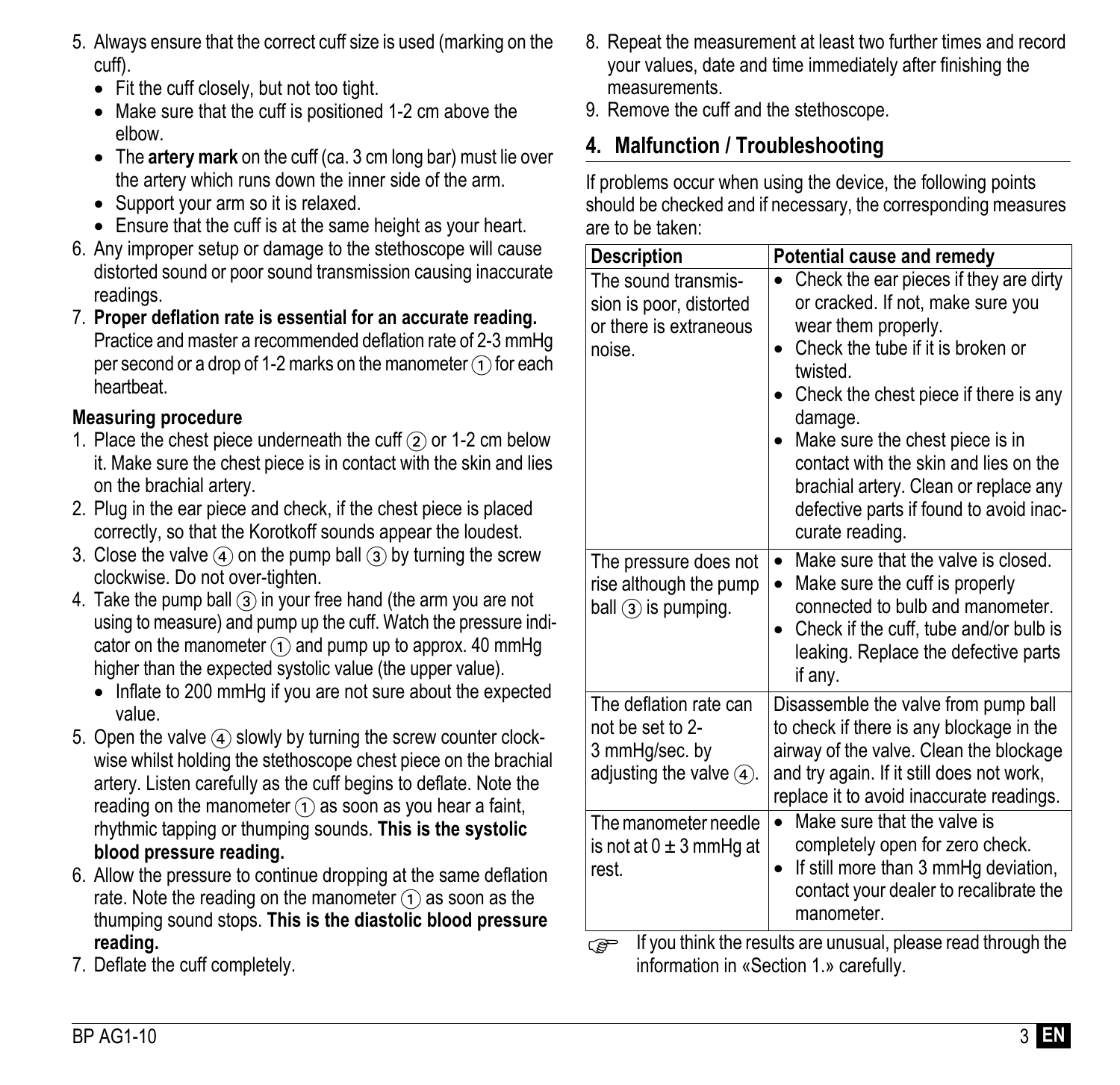- 5. Always ensure that the correct cuff size is used (marking on the cuff).
	- Fit the cuff closely, but not too tight.
	- Make sure that the cuff is positioned 1-2 cm above the elbow.
	- The **artery mark** on the cuff (ca. 3 cm long bar) must lie over the artery which runs down the inner side of the arm.
	- Support your arm so it is relaxed.
	- Ensure that the cuff is at the same height as your heart.
- 6. Any improper setup or damage to the stethoscope will cause distorted sound or poor sound transmission causing inaccurate readings.
- 7. **Proper deflation rate is essential for an accurate reading.** Practice and master a recommended deflation rate of 2-3 mmHg per second or a drop of 1-2 marks on the manometer  $(1)$  for each **heartheat**

# **Measuring procedure**

- 1. Place the chest piece underneath the cuff  $(2)$  or 1-2 cm below it. Make sure the chest piece is in contact with the skin and lies on the brachial artery.
- 2. Plug in the ear piece and check, if the chest piece is placed correctly, so that the Korotkoff sounds appear the loudest.
- 3. Close the valve  $\overline{4}$  on the pump ball  $\overline{3}$  by turning the screw clockwise. Do not over-tighten.
- 4. Take the pump ball  $\circled{3}$  in your free hand (the arm you are not using to measure) and pump up the cuff. Watch the pressure indicator on the manometer  $\widehat{1}$  and pump up to approx. 40 mmHg higher than the expected systolic value (the upper value).
	- Inflate to 200 mmHg if you are not sure about the expected value.
- 5. Open the valve  $\overline{4}$  slowly by turning the screw counter clockwise whilst holding the stethoscope chest piece on the brachial artery. Listen carefully as the cuff begins to deflate. Note the reading on the manometer  $(1)$  as soon as you hear a faint, rhythmic tapping or thumping sounds. **This is the systolic blood pressure reading.**
- 6. Allow the pressure to continue dropping at the same deflation rate. Note the reading on the manometer  $(1)$  as soon as the thumping sound stops. **This is the diastolic blood pressure reading.**
- 7. Deflate the cuff completely.
- 8. Repeat the measurement at least two further times and record your values, date and time immediately after finishing the measurements.
- 9. Remove the cuff and the stethoscope.

# **4. Malfunction / Troubleshooting**

If problems occur when using the device, the following points should be checked and if necessary, the corresponding measures are to be taken:

| <b>Description</b>                                                                                  | Potential cause and remedy                                                                                                                                                                                                                                                                                                                                                                |
|-----------------------------------------------------------------------------------------------------|-------------------------------------------------------------------------------------------------------------------------------------------------------------------------------------------------------------------------------------------------------------------------------------------------------------------------------------------------------------------------------------------|
| The sound transmis-<br>sion is poor, distorted<br>or there is extraneous<br>noise.                  | Check the ear pieces if they are dirty<br>or cracked. If not, make sure you<br>wear them properly.<br>Check the tube if it is broken or<br>twisted<br>Check the chest piece if there is any<br>damage.<br>Make sure the chest piece is in<br>contact with the skin and lies on the<br>brachial artery. Clean or replace any<br>defective parts if found to avoid inac-<br>curate reading. |
| The pressure does not<br>rise although the pump<br>ball $(3)$ is pumping.                           | Make sure that the valve is closed.<br>$\bullet$<br>Make sure the cuff is properly<br>٠<br>connected to bulb and manometer.<br>Check if the cuff, tube and/or bulb is<br>leaking. Replace the defective parts<br>if any.                                                                                                                                                                  |
| The deflation rate can<br>not be set to 2-<br>3 mmHg/sec. by<br>adjusting the valve $\mathcal{A}$ . | Disassemble the valve from pump ball<br>to check if there is any blockage in the<br>airway of the valve. Clean the blockage<br>and try again. If it still does not work,<br>replace it to avoid inaccurate readings.                                                                                                                                                                      |
| The manometer needle<br>is not at $0 \pm 3$ mmHg at<br>rest                                         | Make sure that the valve is<br>completely open for zero check.<br>If still more than 3 mmHg deviation,<br>contact your dealer to recalibrate the<br>manometer.                                                                                                                                                                                                                            |

If you think the results are unusual, please read through the information in «Section 1.» carefully.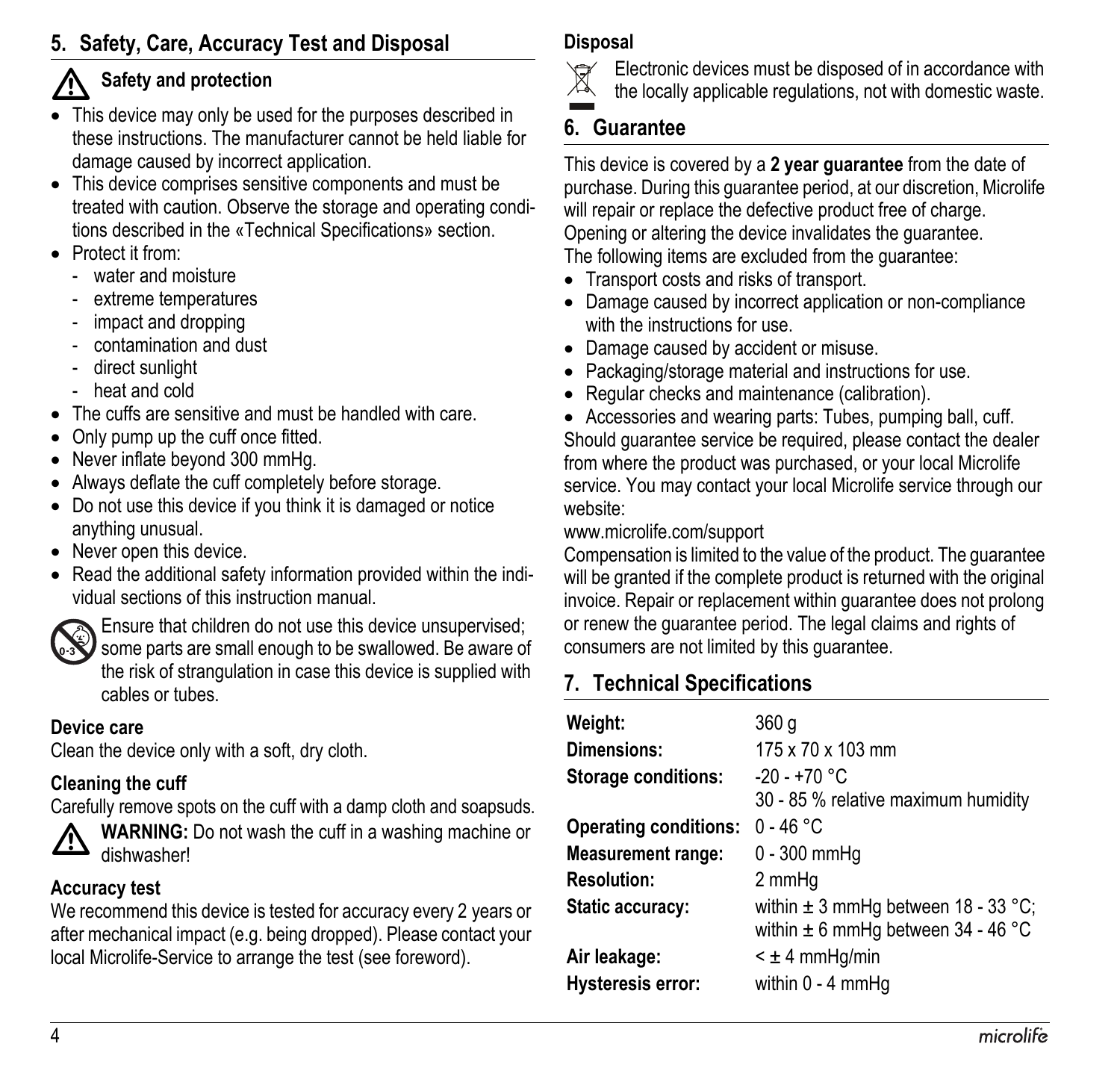# **5. Safety, Care, Accuracy Test and Disposal**

#### $\overline{\mathbb{A}}$ **Safety and protection**

- This device may only be used for the purposes described in these instructions. The manufacturer cannot be held liable for damage caused by incorrect application.
- This device comprises sensitive components and must be treated with caution. Observe the storage and operating conditions described in the «Technical Specifications» section.
- Protect it from:
	- water and moisture
	- extreme temperatures
	- impact and dropping
	- contamination and dust
	- direct sunlight
	- heat and cold
- The cuffs are sensitive and must be handled with care.
- Only pump up the cuff once fitted.
- Never inflate beyond 300 mmHg.
- Always deflate the cuff completely before storage.
- Do not use this device if you think it is damaged or notice anything unusual.
- Never open this device.
- Read the additional safety information provided within the individual sections of this instruction manual.



Ensure that children do not use this device unsupervised; some parts are small enough to be swallowed. Be aware of the risk of strangulation in case this device is supplied with cables or tubes.

# **Device care**

Clean the device only with a soft, dry cloth.

# **Cleaning the cuff**

Carefully remove spots on the cuff with a damp cloth and soapsuds.



 **WARNING:** Do not wash the cuff in a washing machine or dishwasher!

# **Accuracy test**

We recommend this device is tested for accuracy every 2 years or after mechanical impact (e.g. being dropped). Please contact your local Microlife-Service to arrange the test (see foreword).

## **Disposal**

Electronic devices must be disposed of in accordance with  $\cancel{\mathbb{X}}$ 

# the locally applicable regulations, not with domestic waste.

# **6. Guarantee**

This device is covered by a **2 year guarantee** from the date of purchase. During this guarantee period, at our discretion, Microlife will repair or replace the defective product free of charge. Opening or altering the device invalidates the guarantee. The following items are excluded from the guarantee:

- Transport costs and risks of transport.
- Damage caused by incorrect application or non-compliance with the instructions for use.
- Damage caused by accident or misuse.
- Packaging/storage material and instructions for use.
- Regular checks and maintenance (calibration).
- Accessories and wearing parts: Tubes, pumping ball, cuff. Should guarantee service be required, please contact the dealer from where the product was purchased, or your local Microlife service. You may contact your local Microlife service through our website:

#### www.microlife.com/support

Compensation is limited to the value of the product. The guarantee will be granted if the complete product is returned with the original invoice. Repair or replacement within guarantee does not prolong or renew the guarantee period. The legal claims and rights of consumers are not limited by this guarantee.

# **7. Technical Specifications**

| Weight:                      | 360q                                                                              |
|------------------------------|-----------------------------------------------------------------------------------|
| <b>Dimensions:</b>           | 175 x 70 x 103 mm                                                                 |
| <b>Storage conditions:</b>   | $-20 - +70$ °C<br>30 - 85 % relative maximum humidity                             |
| <b>Operating conditions:</b> | $0 - 46 °C$                                                                       |
| <b>Measurement range:</b>    | 0 - 300 mmHq                                                                      |
| <b>Resolution:</b>           | 2 mmHq                                                                            |
| <b>Static accuracy:</b>      | within $\pm$ 3 mmHg between 18 - 33 °C;<br>within $\pm$ 6 mmHq between 34 - 46 °C |
| Air leakage:                 | $\leq \pm 4$ mmHg/min                                                             |
| Hysteresis error:            | within $0 - 4$ mmHq                                                               |
|                              |                                                                                   |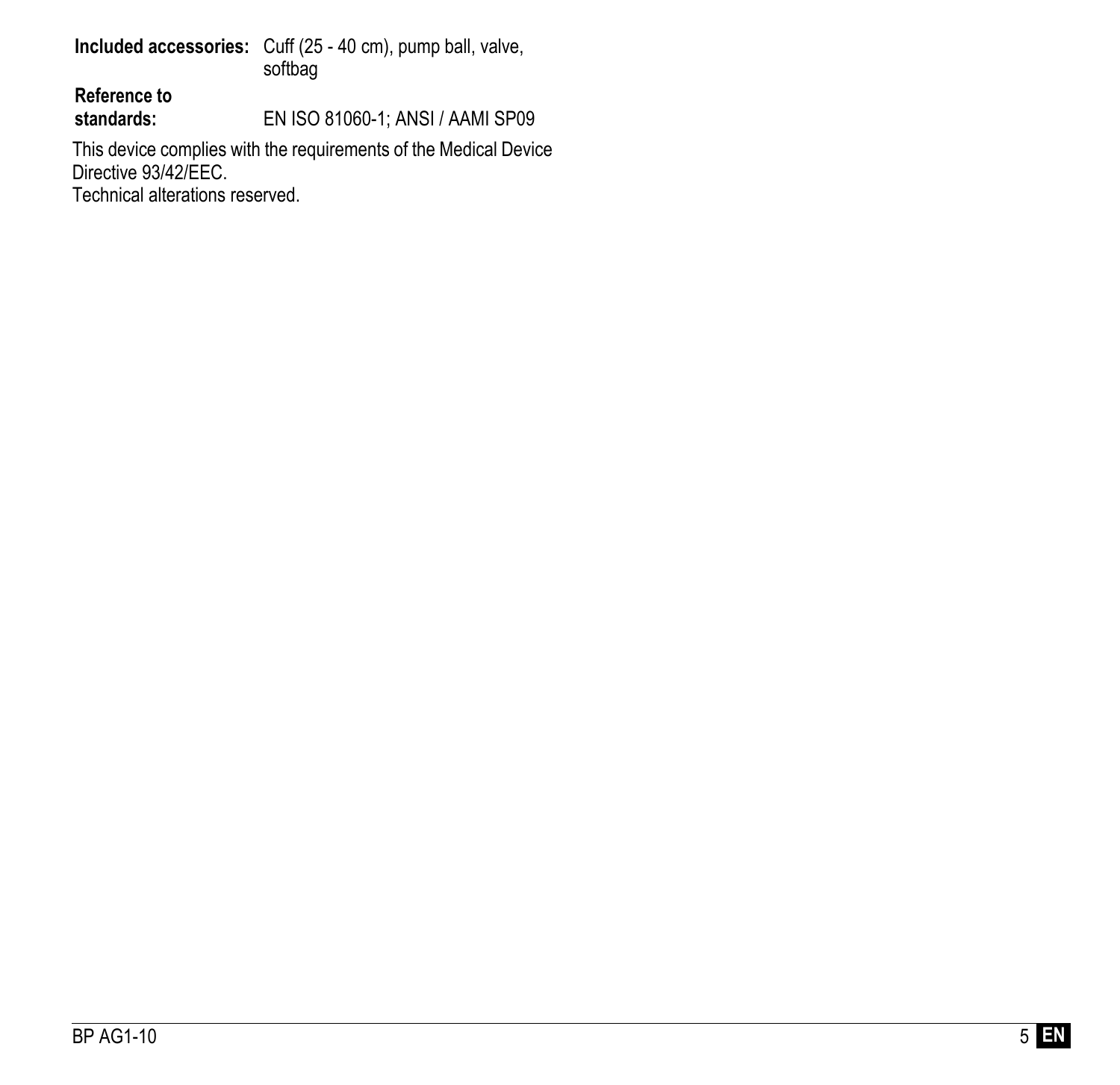**Included accessories:** Cuff (25 - 40 cm), pump ball, valve, softbag

**Reference to standards:** EN ISO 81060-1; ANSI / AAMI SP09

This device complies with the requirements of the Medical Device Directive 93/42/EEC.

Technical alterations reserved.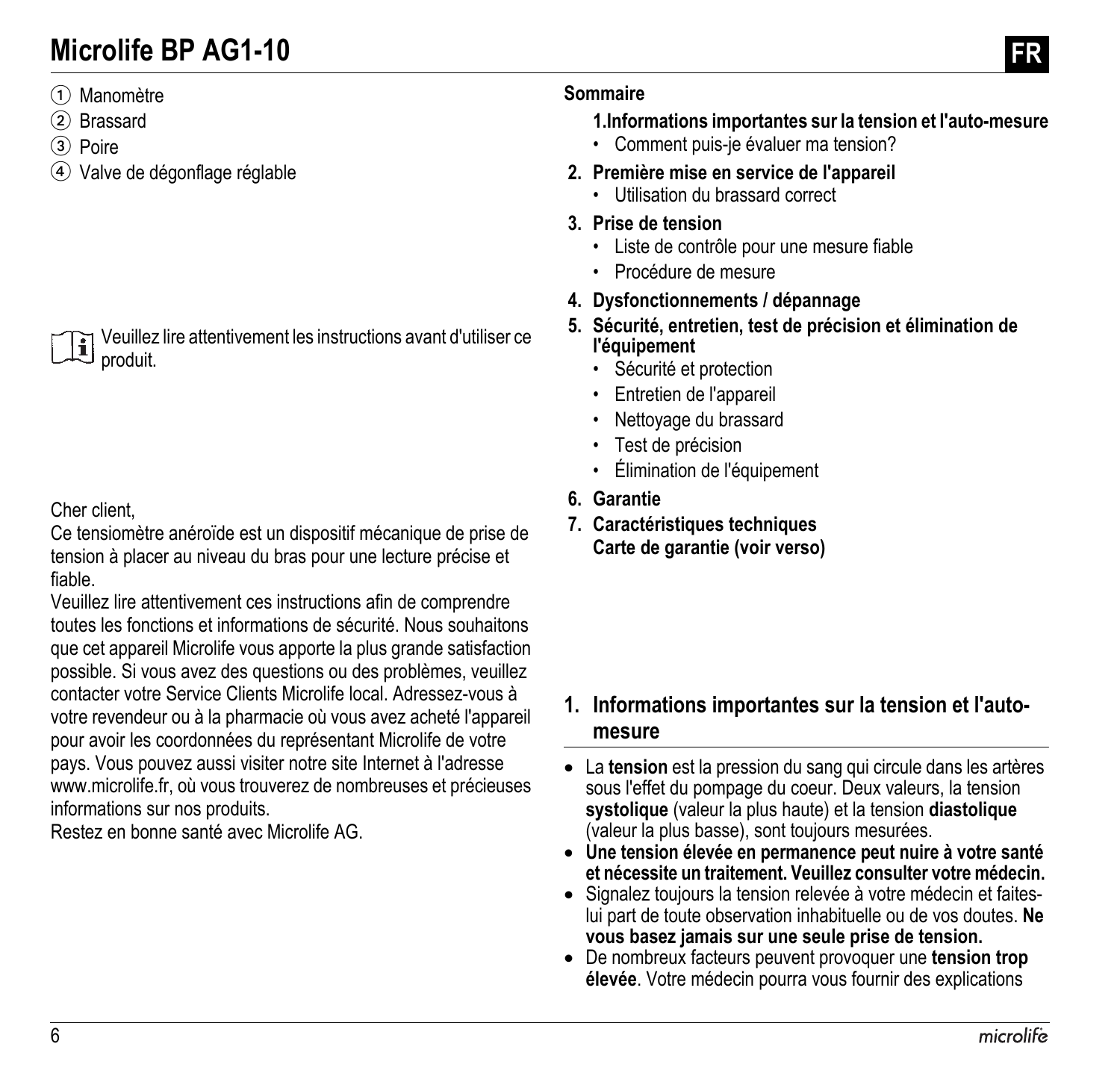# **Microlife BP AG1-10**

- 1 Manomètre
- 2 Brassard
- 3 Poire
- 4 Valve de dégonflage réglable

|  | Veui |
|--|------|
|  | nrnn |

illez lire attentivement les instructions avant d'utiliser ce huit

#### Cher client,

Ce tensiomètre anéroïde est un dispositif mécanique de prise de tension à placer au niveau du bras pour une lecture précise et fiable.

Veuillez lire attentivement ces instructions afin de comprendre toutes les fonctions et informations de sécurité. Nous souhaitons que cet appareil Microlife vous apporte la plus grande satisfaction possible. Si vous avez des questions ou des problèmes, veuillez contacter votre Service Clients Microlife local. Adressez-vous à votre revendeur ou à la pharmacie où vous avez acheté l'appareil pour avoir les coordonnées du représentant Microlife de votre pays. Vous pouvez aussi visiter notre site Internet à l'adresse www.microlife.fr, où vous trouverez de nombreuses et précieuses informations sur nos produits.

Restez en bonne santé avec Microlife AG.

#### **Sommaire**

# **1.Informations importantes sur la tension et l'auto-mesure**

- Comment puis-ie évaluer ma tension?
- **2. Première mise en service de l'appareil**
	- Utilisation du brassard correct

### **3. Prise de tension**

- Liste de contrôle pour une mesure fiable
- ï Procédure de mesure
- **4. Dysfonctionnements / dépannage**
- **5. Sécurité, entretien, test de précision et élimination de l'équipement**
	- Sécurité et protection
	- Entretien de l'appareil
	- Nettovage du brassard
	- Test de précision
	- Élimination de l'équipement
- **6. Garantie**
- **7. Caractéristiques techniques Carte de garantie (voir verso)**

# **1. Informations importantes sur la tension et l'automesure**

- La **tension** est la pression du sang qui circule dans les artères sous l'effet du pompage du coeur. Deux valeurs, la tension **systolique** (valeur la plus haute) et la tension **diastolique** (valeur la plus basse), sont toujours mesurées.
- **Une tension élevée en permanence peut nuire à votre santé et nécessite un traitement. Veuillez consulter votre médecin.**
- Signalez toujours la tension relevée à votre médecin et faiteslui part de toute observation inhabituelle ou de vos doutes. **Ne vous basez jamais sur une seule prise de tension.**
- De nombreux facteurs peuvent provoquer une **tension trop élevée**. Votre médecin pourra vous fournir des explications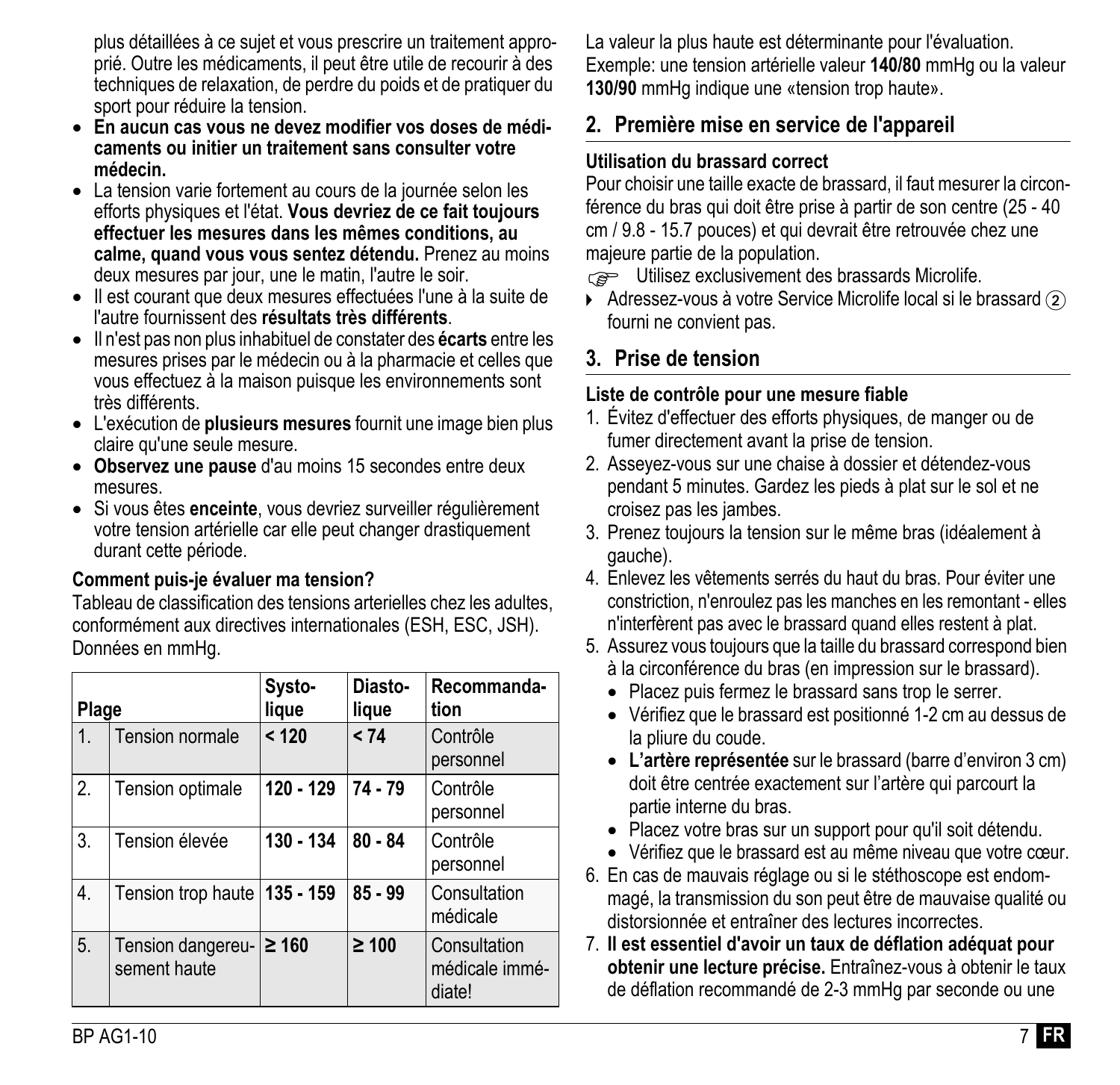plus détaillées à ce sujet et vous prescrire un traitement approprié. Outre les médicaments, il peut être utile de recourir à des techniques de relaxation, de perdre du poids et de pratiquer du sport pour réduire la tension.

- **En aucun cas vous ne devez modifier vos doses de médicaments ou initier un traitement sans consulter votre médecin.**
- La tension varie fortement au cours de la journée selon les efforts physiques et l'état. **Vous devriez de ce fait toujours effectuer les mesures dans les mêmes conditions, au calme, quand vous vous sentez détendu.** Prenez au moins deux mesures par jour, une le matin, l'autre le soir.
- Il est courant que deux mesures effectuées l'une à la suite de l'autre fournissent des **résultats très différents**.
- Il n'est pas non plus inhabituel de constater des **écarts** entre les mesures prises par le médecin ou à la pharmacie et celles que vous effectuez à la maison puisque les environnements sont très différents.
- L'exécution de **plusieurs mesures** fournit une image bien plus claire qu'une seule mesure.
- **Observez une pause** d'au moins 15 secondes entre deux mesures.
- Si vous êtes **enceinte**, vous devriez surveiller régulièrement votre tension artérielle car elle peut changer drastiquement durant cette période.

#### **Comment puis-je évaluer ma tension?**

Tableau de classification des tensions arterielles chez les adultes, conformément aux directives internationales (ESH, ESC, JSH). Données en mmHg.

| Plage |                                              | Systo-<br>lique | Diasto-<br>lique | Recommanda-<br>tion                      |
|-------|----------------------------------------------|-----------------|------------------|------------------------------------------|
| 1.    | Tension normale                              | < 120           | < 74             | Contrôle<br>personnel                    |
| 2.    | Tension optimale                             | 120 - 129       | $74 - 79$        | Contrôle<br>personnel                    |
| 3.    | Tension élevée                               | 130 - 134       | $80 - 84$        | Contrôle<br>personnel                    |
| 4.    | Tension trop haute   135 - 159               |                 | $85 - 99$        | Consultation<br>médicale                 |
| 5.    | Tension dangereu- $\geq 160$<br>sement haute |                 | $\geq 100$       | Consultation<br>médicale immé-<br>diate! |

La valeur la plus haute est déterminante pour l'évaluation. Exemple: une tension artérielle valeur **140/80** mmHg ou la valeur **130/90** mmHg indique une «tension trop haute».

# **2. Première mise en service de l'appareil**

#### **Utilisation du brassard correct**

Pour choisir une taille exacte de brassard, il faut mesurer la circonférence du bras qui doit être prise à partir de son centre (25 - 40 cm / 9.8 - 15.7 pouces) et qui devrait être retrouvée chez une majeure partie de la population.

Utilisez exclusivement des brassards Microlife.

Adressez-vous à votre Service Microlife local si le brassard  $\hat{p}$ fourni ne convient pas.

# **3. Prise de tension**

### **Liste de contrôle pour une mesure fiable**

- 1. Évitez d'effectuer des efforts physiques, de manger ou de fumer directement avant la prise de tension.
- 2. Asseyez-vous sur une chaise à dossier et détendez-vous pendant 5 minutes. Gardez les pieds à plat sur le sol et ne croisez pas les jambes.
- 3. Prenez toujours la tension sur le même bras (idéalement à gauche).
- 4. Enlevez les vêtements serrés du haut du bras. Pour éviter une constriction, n'enroulez pas les manches en les remontant - elles n'interfèrent pas avec le brassard quand elles restent à plat.
- 5. Assurez vous toujours que la taille du brassard correspond bien à la circonférence du bras (en impression sur le brassard).
	- Placez puis fermez le brassard sans trop le serrer.
	- Vérifiez que le brassard est positionné 1-2 cm au dessus de la pliure du coude.
	- **L'artère représentée** sur le brassard (barre d'environ 3 cm) doit être centrée exactement sur l'artère qui parcourt la partie interne du bras.
	- Placez votre bras sur un support pour qu'il soit détendu.
	- Vérifiez que le brassard est au même niveau que votre cœur.
- 6. En cas de mauvais réglage ou si le stéthoscope est endommagé, la transmission du son peut être de mauvaise qualité ou distorsionnée et entraîner des lectures incorrectes.
- 7. **Il est essentiel d'avoir un taux de déflation adéquat pour obtenir une lecture précise.** Entraînez-vous à obtenir le taux de déflation recommandé de 2-3 mmHg par seconde ou une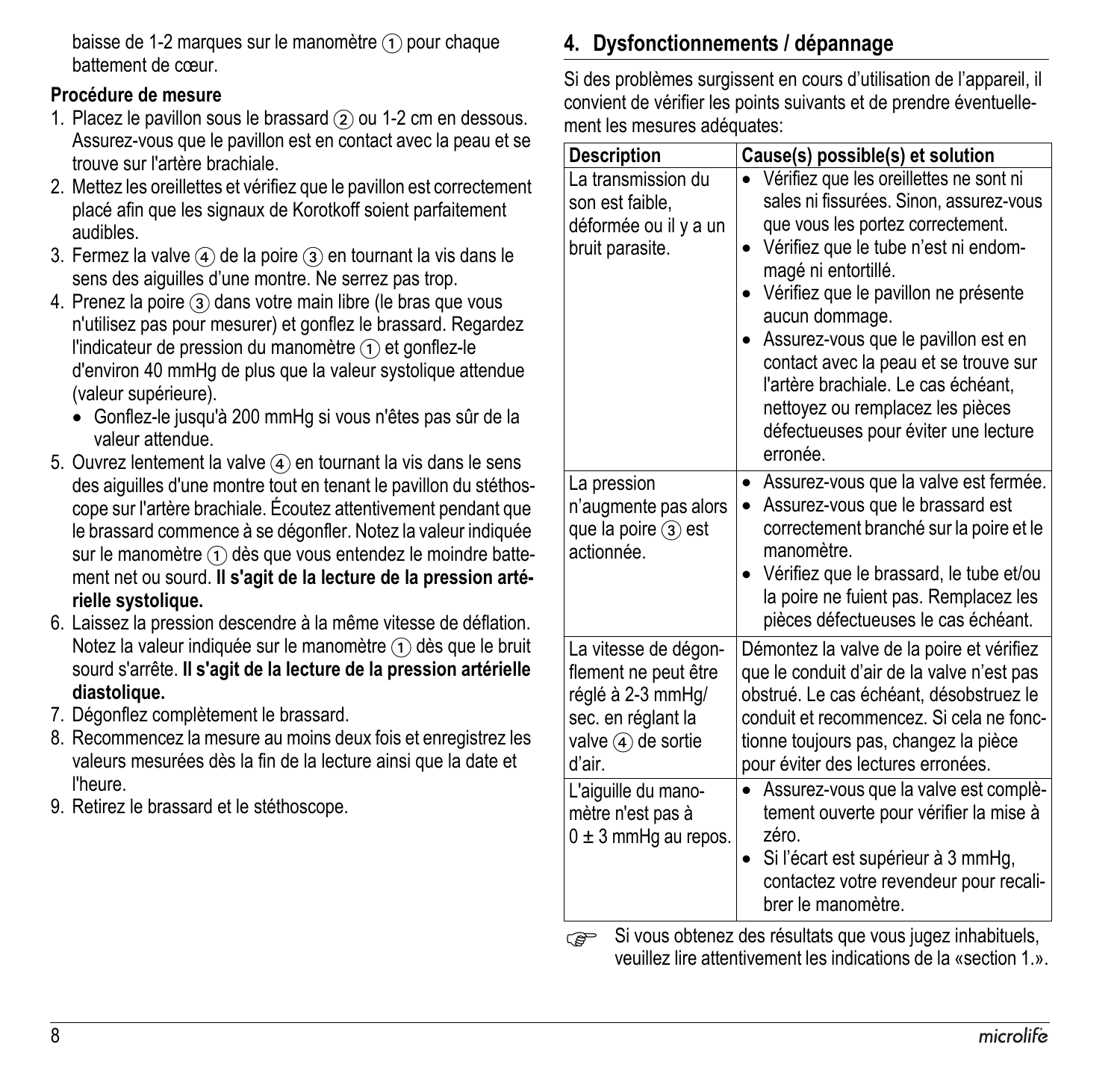baisse de 1-2 marques sur le manomètre  $\Omega$  pour chaque battement de cœur.

#### **Procédure de mesure**

- 1. Placez le pavillon sous le brassard  $(2)$  ou 1-2 cm en dessous. Assurez-vous que le pavillon est en contact avec la peau et se trouve sur l'artère brachiale.
- 2. Mettez les oreillettes et vérifiez que le pavillon est correctement placé afin que les signaux de Korotkoff soient parfaitement audibles.
- 3. Fermez la valve  $\widehat{4}$  de la poire  $\widehat{3}$  en tournant la vis dans le sens des aiguilles d'une montre. Ne serrez pas trop.
- 4. Prenez la poire 3 dans votre main libre (le bras que vous n'utilisez pas pour mesurer) et gonflez le brassard. Regardez l'indicateur de pression du manomètre  $(1)$  et gonflez-le d'environ 40 mmHg de plus que la valeur systolique attendue (valeur supérieure).
	- Gonflez-le jusqu'à 200 mmHg si vous n'êtes pas sûr de la valeur attendue.
- 5. Ouvrez lentement la valve  $\widehat{a}$  en tournant la vis dans le sens des aiguilles d'une montre tout en tenant le pavillon du stéthoscope sur l'artère brachiale. Écoutez attentivement pendant que le brassard commence à se dégonfler. Notez la valeur indiquée sur le manomètre (1) dès que vous entendez le moindre battement net ou sourd. **Il s'agit de la lecture de la pression artérielle systolique.**
- 6. Laissez la pression descendre à la même vitesse de déflation. Notez la valeur indiquée sur le manomètre  $(1)$  dès que le bruit sourd s'arrête. **Il s'agit de la lecture de la pression artérielle diastolique.**
- 7. Dégonflez complètement le brassard.
- 8. Recommencez la mesure au moins deux fois et enregistrez les valeurs mesurées dès la fin de la lecture ainsi que la date et l'heure.
- 9. Retirez le brassard et le stéthoscope.

# **4. Dysfonctionnements / dépannage**

Si des problèmes surgissent en cours d'utilisation de l'appareil, il convient de vérifier les points suivants et de prendre éventuellement les mesures adéquates:

| <b>Description</b>                                                                                                     | Cause(s) possible(s) et solution                                                                                                                                                                                                                                                                                                                                                                                                                                |
|------------------------------------------------------------------------------------------------------------------------|-----------------------------------------------------------------------------------------------------------------------------------------------------------------------------------------------------------------------------------------------------------------------------------------------------------------------------------------------------------------------------------------------------------------------------------------------------------------|
| La transmission du<br>son est faible.<br>déformée ou il y a un<br>bruit parasite.                                      | Vérifiez que les oreillettes ne sont ni<br>sales ni fissurées. Sinon, assurez-vous<br>que vous les portez correctement.<br>Vérifiez que le tube n'est ni endom-<br>magé ni entortillé.<br>Vérifiez que le pavillon ne présente<br>aucun dommage.<br>Assurez-vous que le pavillon est en<br>contact avec la peau et se trouve sur<br>l'artère brachiale. Le cas échéant,<br>nettoyez ou remplacez les pièces<br>défectueuses pour éviter une lecture<br>erronée. |
| La pression<br>n'augmente pas alors<br>que la poire (3) est<br>actionnée                                               | Assurez-vous que la valve est fermée.<br>٠<br>Assurez-vous que le brassard est<br>correctement branché sur la poire et le<br>manomètre<br>Vérifiez que le brassard, le tube et/ou<br>la poire ne fuient pas. Remplacez les<br>pièces défectueuses le cas échéant.                                                                                                                                                                                               |
| La vitesse de dégon-<br>flement ne peut être<br>réglé à 2-3 mmHg/<br>sec. en réglant la<br>valve 4 de sortie<br>d'air. | Démontez la valve de la poire et vérifiez<br>que le conduit d'air de la valve n'est pas<br>obstrué. Le cas échéant, désobstruez le<br>conduit et recommencez. Si cela ne fonc-<br>tionne toujours pas, changez la pièce<br>pour éviter des lectures erronées.                                                                                                                                                                                                   |
| L'aiguille du mano-<br>mètre n'est pas à<br>$0 \pm 3$ mmHq au repos.                                                   | Assurez-vous que la valve est complè-<br>tement ouverte pour vérifier la mise à<br>zéro<br>Si l'écart est supérieur à 3 mmHg,<br>contactez votre revendeur pour recali-<br>brer le manomètre.                                                                                                                                                                                                                                                                   |

Si vous obtenez des résultats que vous jugez inhabituels, veuillez lire attentivement les indications de la «section 1.».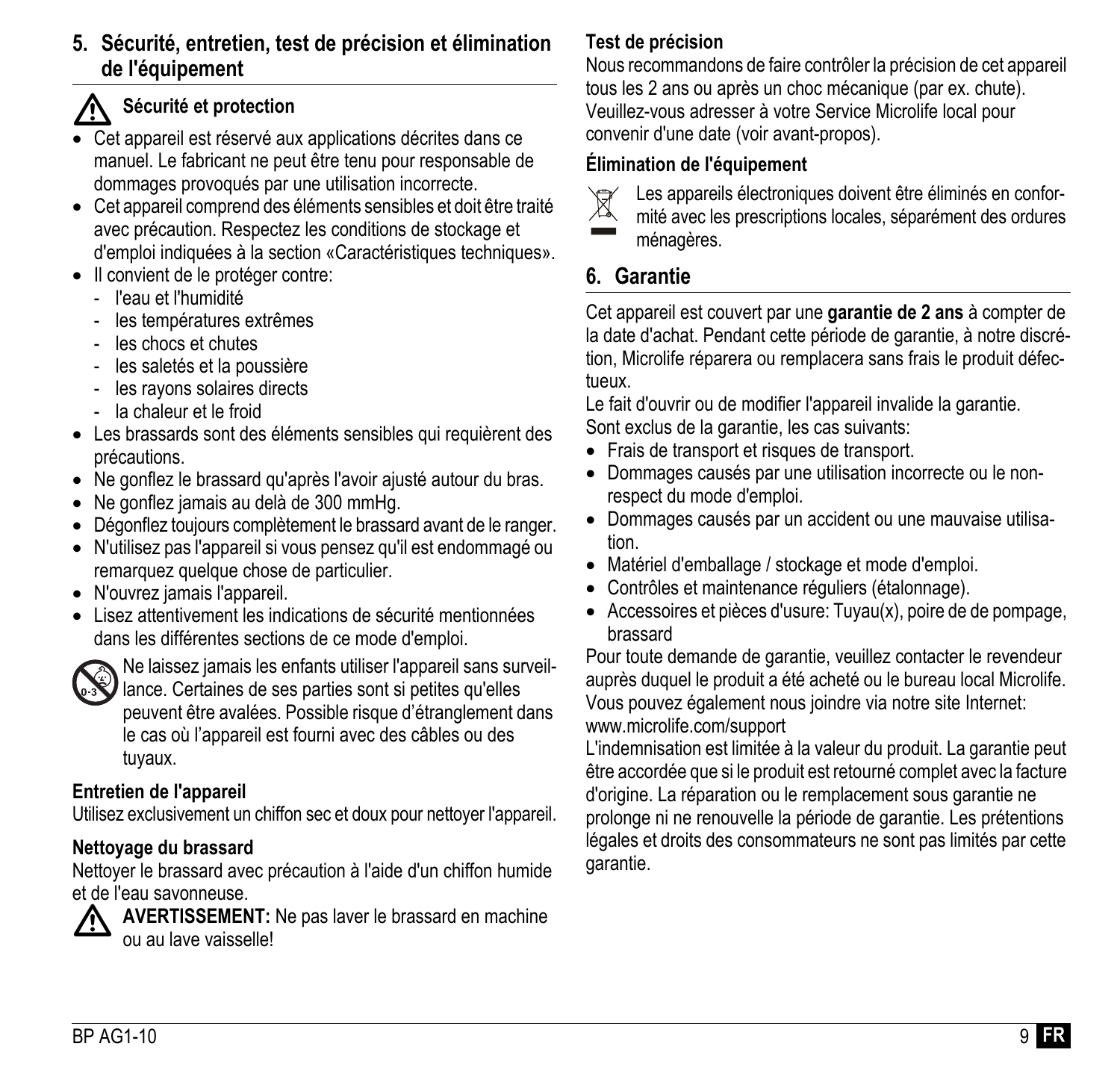#### **/\ Sécurité et protection**

- Cet appareil est réservé aux applications décrites dans ce manuel. Le fabricant ne peut être tenu pour responsable de dommages provoqués par une utilisation incorrecte.
- Cet appareil comprend des éléments sensibles et doit être traité avec précaution. Respectez les conditions de stockage et d'emploi indiquées à la section «Caractéristiques techniques».
- Il convient de le protéger contre:
	- l'eau et l'humidité
	- les températures extrêmes
	- les chocs et chutes
	- les saletés et la poussière
	- les rayons solaires directs
	- la chaleur et le froid
- Les brassards sont des éléments sensibles qui requièrent des précautions.
- Ne gonflez le brassard qu'après l'avoir ajusté autour du bras.
- Ne gonflez jamais au delà de 300 mmHg.
- Dégonflez toujours complètement le brassard avant de le ranger.
- N'utilisez pas l'appareil si vous pensez qu'il est endommagé ou remarquez quelque chose de particulier.
- N'ouvrez jamais l'appareil.
- Lisez attentivement les indications de sécurité mentionnées dans les différentes sections de ce mode d'emploi.



Ne laissez jamais les enfants utiliser l'appareil sans surveillance. Certaines de ses parties sont si petites qu'elles peuvent être avalées. Possible risque d'étranglement dans le cas où l'appareil est fourni avec des câbles ou des tuyaux.

# **Entretien de l'appareil**

Utilisez exclusivement un chiffon sec et doux pour nettoyer l'appareil.

# **Nettoyage du brassard**

Nettoyer le brassard avec précaution à l'aide d'un chiffon humide et de l'eau savonneuse.



 **AVERTISSEMENT:** Ne pas laver le brassard en machine ou au lave vaisselle!

# **Test de précision**

Nous recommandons de faire contrôler la précision de cet appareil tous les 2 ans ou après un choc mécanique (par ex. chute). Veuillez-vous adresser à votre Service Microlife local pour convenir d'une date (voir avant-propos).

### **Élimination de l'équipement**

- $\cancel{R}$
- Les appareils électroniques doivent être éliminés en confor
	- mité avec les prescriptions locales, séparément des ordures ménagères.

# **6. Garantie**

Cet appareil est couvert par une **garantie de 2 ans** à compter de la date d'achat. Pendant cette période de garantie, à notre discrétion, Microlife réparera ou remplacera sans frais le produit défectueux.

Le fait d'ouvrir ou de modifier l'appareil invalide la garantie. Sont exclus de la garantie, les cas suivants:

- Frais de transport et risques de transport.
- Dommages causés par une utilisation incorrecte ou le nonrespect du mode d'emploi.
- Dommages causés par un accident ou une mauvaise utilisation.
- Matériel d'emballage / stockage et mode d'emploi.
- Contrôles et maintenance réguliers (étalonnage).
- Accessoires et pièces d'usure: Tuyau(x), poire de de pompage, brassard

Pour toute demande de garantie, veuillez contacter le revendeur auprès duquel le produit a été acheté ou le bureau local Microlife. Vous pouvez également nous joindre via notre site Internet: www.microlife.com/support

L'indemnisation est limitée à la valeur du produit. La garantie peut être accordée que si le produit est retourné complet avec la facture d'origine. La réparation ou le remplacement sous garantie ne prolonge ni ne renouvelle la période de garantie. Les prétentions légales et droits des consommateurs ne sont pas limités par cette garantie.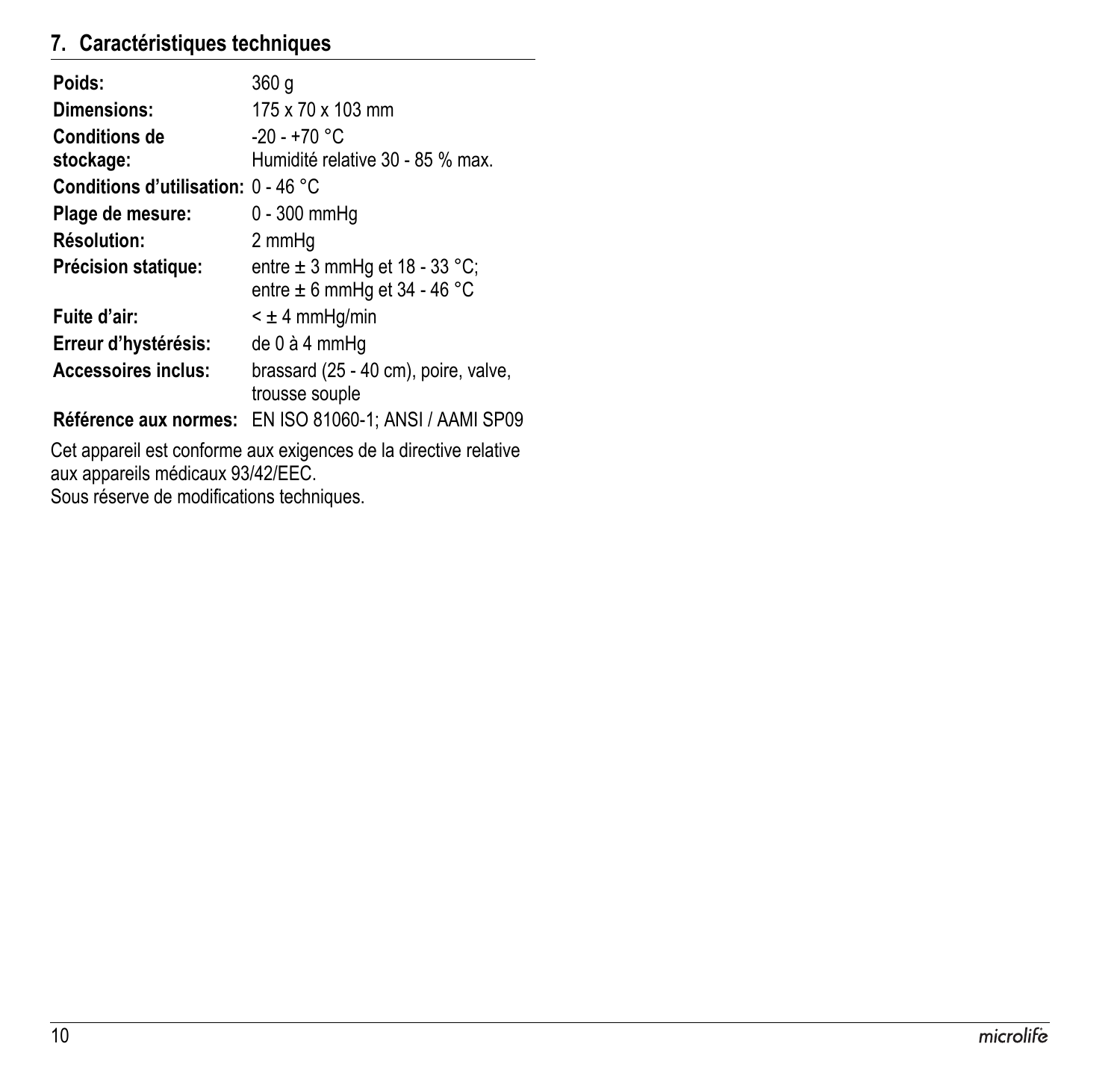# **7. Caractéristiques techniques**

| Poids:                                | 360q                                                                  |
|---------------------------------------|-----------------------------------------------------------------------|
| Dimensions:                           | 175 x 70 x 103 mm                                                     |
| <b>Conditions de</b>                  | $-20 - +70$ °C                                                        |
| stockage:                             | Humidité relative 30 - 85 % max.                                      |
| Conditions d'utilisation: $0 - 46$ °C |                                                                       |
| Plage de mesure:                      | 0 - 300 mmHq                                                          |
| Résolution:                           | 2 mmHq                                                                |
| Précision statique:                   | entre $\pm$ 3 mmHq et 18 - 33 °C;<br>entre $\pm$ 6 mmHg et 34 - 46 °C |
| Fuite d'air:                          | $\leq \pm 4$ mmHq/min                                                 |
| Erreur d'hystérésis:                  | de 0 à 4 mmHq                                                         |
| <b>Accessoires inclus:</b>            | brassard (25 - 40 cm), poire, valve,<br>trousse souple                |
| Référence aux normes:                 | EN ISO 81060-1; ANSI / AAMI SP09                                      |
|                                       |                                                                       |

Cet appareil est conforme aux exigences de la directive relative aux appareils médicaux 93/42/EEC. Sous réserve de modifications techniques.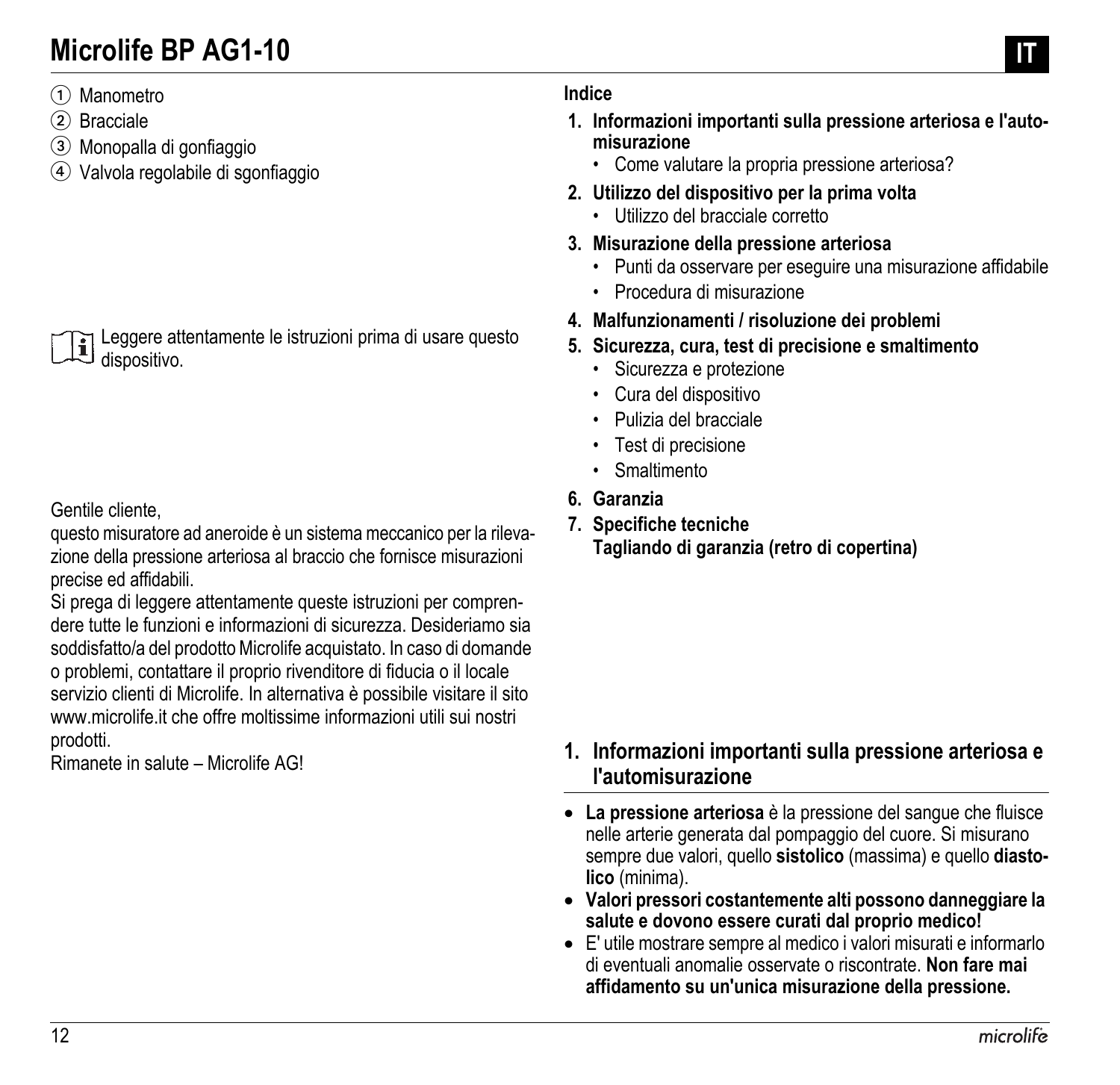# **Microlife BP AG1-10**

- 1 Manometro
- 2 Bracciale
- 3 Monopalla di gonfiaggio
- 4 Valvola regolabile di sgonfiaggio

| ٧<br>٧ |  |
|--------|--|

Leggere attentamente le istruzioni prima di usare questo dispositivo.

#### Gentile cliente,

questo misuratore ad aneroide è un sistema meccanico per la rilevazione della pressione arteriosa al braccio che fornisce misurazioni precise ed affidabili.

Si prega di leggere attentamente queste istruzioni per comprendere tutte le funzioni e informazioni di sicurezza. Desideriamo sia soddisfatto/a del prodotto Microlife acquistato. In caso di domande o problemi, contattare il proprio rivenditore di fiducia o il locale servizio clienti di Microlife. In alternativa è possibile visitare il sito www.microlife.it che offre moltissime informazioni utili sui nostri prodotti.

Rimanete in salute – Microlife AG!

#### **Indice**

- **1. Informazioni importanti sulla pressione arteriosa e l'automisurazione**
	- Come valutare la propria pressione arteriosa?
- **2. Utilizzo del dispositivo per la prima volta**
	- ï Utilizzo del bracciale corretto
- **3. Misurazione della pressione arteriosa**
	- Punti da osservare per eseguire una misurazione affidabile
	- · Procedura di misurazione
- **4. Malfunzionamenti / risoluzione dei problemi**
- **5. Sicurezza, cura, test di precisione e smaltimento**
	- Sicurezza e protezione
	- Cura del dispositivo
	- ï Pulizia del bracciale
	- Test di precisione
	- Smaltimento
- **6. Garanzia**
- **7. Specifiche tecniche Tagliando di garanzia (retro di copertina)**

- **1. Informazioni importanti sulla pressione arteriosa e l'automisurazione**
- **La pressione arteriosa** è la pressione del sangue che fluisce nelle arterie generata dal pompaggio del cuore. Si misurano sempre due valori, quello **sistolico** (massima) e quello **diastolico** (minima).
- **Valori pressori costantemente alti possono danneggiare la salute e dovono essere curati dal proprio medico!**
- E' utile mostrare sempre al medico i valori misurati e informarlo di eventuali anomalie osservate o riscontrate. **Non fare mai affidamento su un'unica misurazione della pressione.**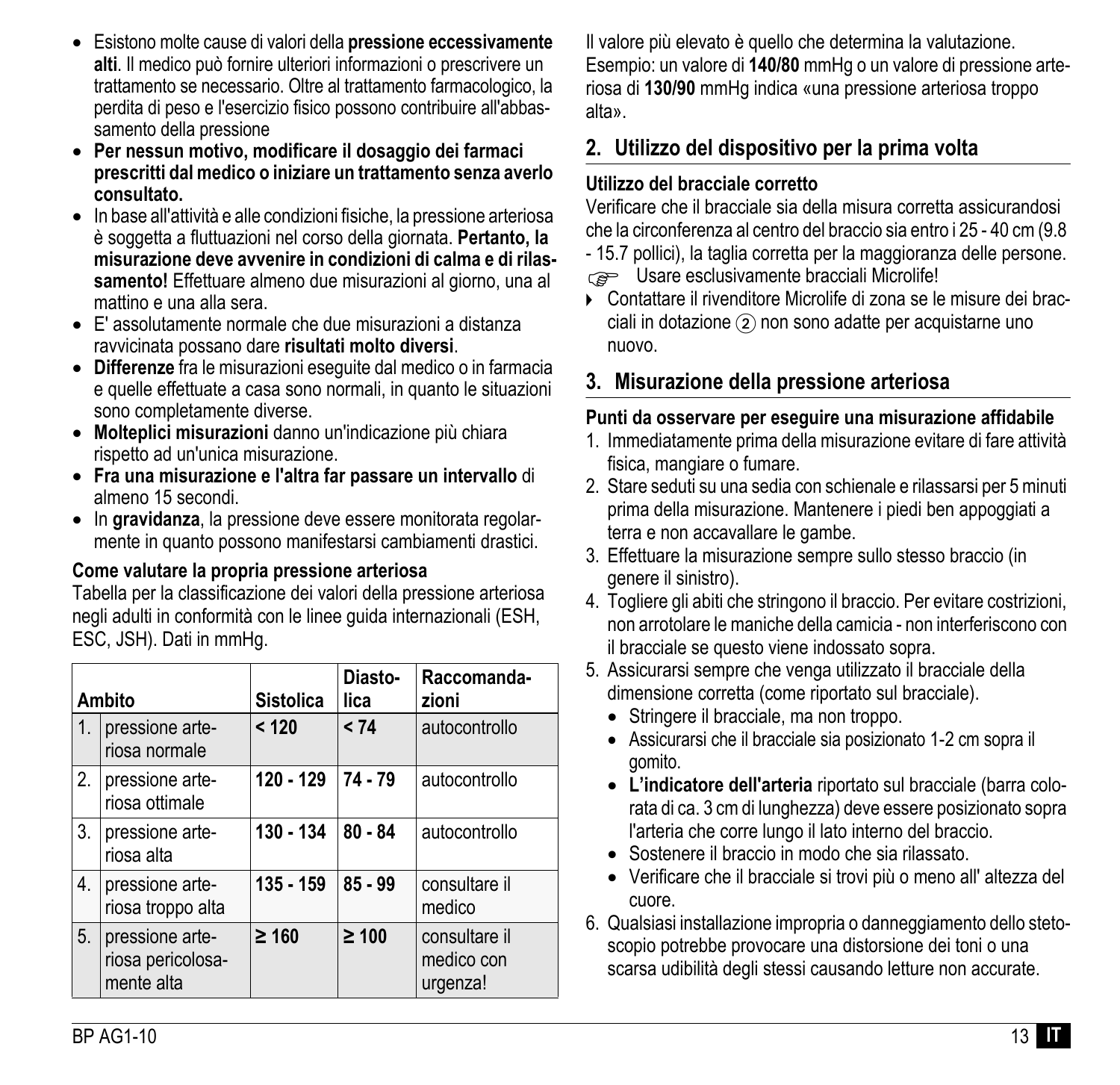- Esistono molte cause di valori della **pressione eccessivamente alti**. Il medico può fornire ulteriori informazioni o prescrivere un trattamento se necessario. Oltre al trattamento farmacologico, la perdita di peso e l'esercizio fisico possono contribuire all'abbassamento della pressione
- **Per nessun motivo, modificare il dosaggio dei farmaci prescritti dal medico o iniziare un trattamento senza averlo consultato.**
- In base all'attività e alle condizioni fisiche, la pressione arteriosa è soggetta a fluttuazioni nel corso della giornata. **Pertanto, la misurazione deve avvenire in condizioni di calma e di rilassamento!** Effettuare almeno due misurazioni al giorno, una al mattino e una alla sera.
- E' assolutamente normale che due misurazioni a distanza ravvicinata possano dare **risultati molto diversi**.
- **Differenze** fra le misurazioni eseguite dal medico o in farmacia e quelle effettuate a casa sono normali, in quanto le situazioni sono completamente diverse.
- **Molteplici misurazioni** danno un'indicazione più chiara rispetto ad un'unica misurazione.
- **Fra una misurazione e l'altra far passare un intervallo** di almeno 15 secondi.
- In **gravidanza**, la pressione deve essere monitorata regolarmente in quanto possono manifestarsi cambiamenti drastici.

#### **Come valutare la propria pressione arteriosa**

Tabella per la classificazione dei valori della pressione arteriosa negli adulti in conformità con le linee guida internazionali (ESH, ESC, JSH). Dati in mmHg.

| <b>Ambito</b> |                                                    | Sistolica  | Diasto-<br>lica | Raccomanda-<br>zioni                    |
|---------------|----------------------------------------------------|------------|-----------------|-----------------------------------------|
| 1.            | pressione arte-<br>riosa normale                   | < 120      | < 74            | autocontrollo                           |
| 2.            | pressione arte-<br>riosa ottimale                  | 120 - 129  | 74 - 79         | autocontrollo                           |
| 3.            | pressione arte-<br>riosa alta                      | 130 - 134  | $80 - 84$       | autocontrollo                           |
| 4.            | pressione arte-<br>riosa troppo alta               | 135 - 159  | $85 - 99$       | consultare il<br>medico                 |
| 5.            | pressione arte-<br>riosa pericolosa-<br>mente alta | $\geq 160$ | $\geq 100$      | consultare il<br>medico con<br>urgenza! |

Il valore più elevato è quello che determina la valutazione. Esempio: un valore di **140/80** mmHg o un valore di pressione arteriosa di **130/90** mmHg indica «una pressione arteriosa troppo alta».

# **2. Utilizzo del dispositivo per la prima volta**

## **Utilizzo del bracciale corretto**

Verificare che il bracciale sia della misura corretta assicurandosi che la circonferenza al centro del braccio sia entro i 25 - 40 cm (9.8

- 15.7 pollici), la taglia corretta per la maggioranza delle persone. Usare esclusivamente bracciali Microlife!
- Contattare il rivenditore Microlife di zona se le misure dei bracciali in dotazione  $(2)$  non sono adatte per acquistarne uno nuovo.

# **3. Misurazione della pressione arteriosa**

## **Punti da osservare per eseguire una misurazione affidabile**

- 1. Immediatamente prima della misurazione evitare di fare attività fisica, mangiare o fumare.
- 2. Stare seduti su una sedia con schienale e rilassarsi per 5 minuti prima della misurazione. Mantenere i piedi ben appoggiati a terra e non accavallare le gambe.
- 3. Effettuare la misurazione sempre sullo stesso braccio (in genere il sinistro).
- 4. Togliere gli abiti che stringono il braccio. Per evitare costrizioni, non arrotolare le maniche della camicia - non interferiscono con il bracciale se questo viene indossato sopra.
- 5. Assicurarsi sempre che venga utilizzato il bracciale della dimensione corretta (come riportato sul bracciale).
	- Stringere il bracciale, ma non troppo.
	- Assicurarsi che il bracciale sia posizionato 1-2 cm sopra il gomito.
	- **L'indicatore dell'arteria** riportato sul bracciale (barra colorata di ca. 3 cm di lunghezza) deve essere posizionato sopra l'arteria che corre lungo il lato interno del braccio.
	- Sostenere il braccio in modo che sia rilassato.
	- Verificare che il bracciale si trovi più o meno all' altezza del cuore.
- 6. Qualsiasi installazione impropria o danneggiamento dello stetoscopio potrebbe provocare una distorsione dei toni o una scarsa udibilità degli stessi causando letture non accurate.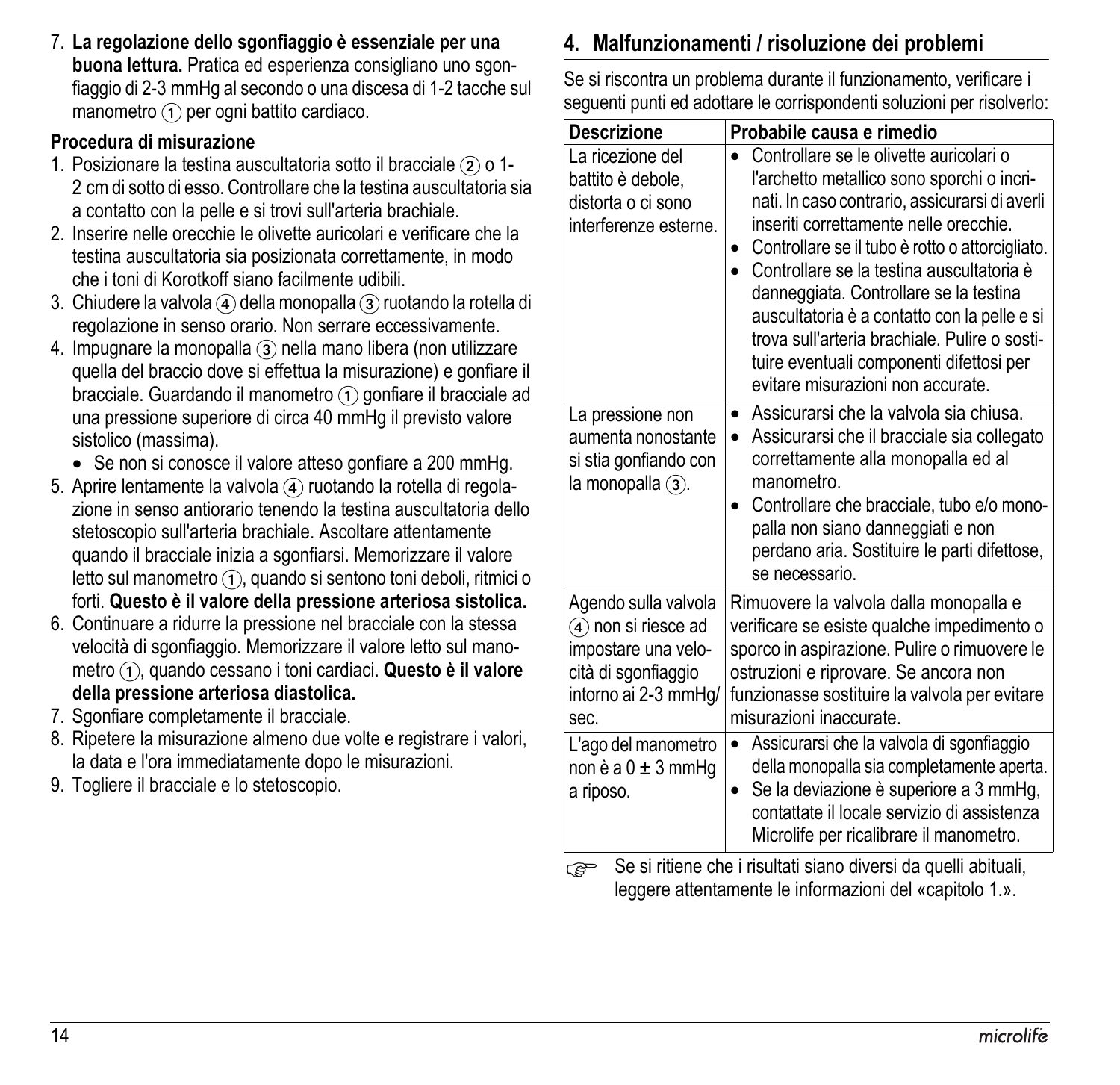7. **La regolazione dello sgonfiaggio è essenziale per una buona lettura.** Pratica ed esperienza consigliano uno sgonfiaggio di 2-3 mmHg al secondo o una discesa di 1-2 tacche sul manometro  $(1)$  per ogni battito cardiaco.

#### **Procedura di misurazione**

- 1. Posizionare la testina auscultatoria sotto il bracciale  $(2)$  o 1-2 cm di sotto di esso. Controllare che la testina auscultatoria sia a contatto con la pelle e si trovi sull'arteria brachiale.
- 2. Inserire nelle orecchie le olivette auricolari e verificare che la testina auscultatoria sia posizionata correttamente, in modo che i toni di Korotkoff siano facilmente udibili.
- 3. Chiudere la valvola 4 della monopalla 3 ruotando la rotella di regolazione in senso orario. Non serrare eccessivamente.
- 4. Impugnare la monopalla 3 nella mano libera (non utilizzare quella del braccio dove si effettua la misurazione) e gonfiare il bracciale. Guardando il manometro 1 gonfiare il bracciale ad una pressione superiore di circa 40 mmHg il previsto valore sistolico (massima).
	- Se non si conosce il valore atteso gonfiare a 200 mmHg.
- 5. Aprire lentamente la valvola (4) ruotando la rotella di regolazione in senso antiorario tenendo la testina auscultatoria dello stetoscopio sull'arteria brachiale. Ascoltare attentamente quando il bracciale inizia a sgonfiarsi. Memorizzare il valore letto sul manometro  $(1)$ , quando si sentono toni deboli, ritmici o forti. **Questo è il valore della pressione arteriosa sistolica.**
- 6. Continuare a ridurre la pressione nel bracciale con la stessa velocità di sgonfiaggio. Memorizzare il valore letto sul manometro 1, quando cessano i toni cardiaci. **Questo è il valore della pressione arteriosa diastolica.**
- 7. Sgonfiare completamente il bracciale.
- 8. Ripetere la misurazione almeno due volte e registrare i valori, la data e l'ora immediatamente dopo le misurazioni.
- 9. Togliere il bracciale e lo stetoscopio.

# **4. Malfunzionamenti / risoluzione dei problemi**

Se si riscontra un problema durante il funzionamento, verificare i seguenti punti ed adottare le corrispondenti soluzioni per risolverlo:

| <b>Descrizione</b>                                                                                                        | Probabile causa e rimedio                                                                                                                                                                                                                                                                                                                                                                                                                                                                                     |
|---------------------------------------------------------------------------------------------------------------------------|---------------------------------------------------------------------------------------------------------------------------------------------------------------------------------------------------------------------------------------------------------------------------------------------------------------------------------------------------------------------------------------------------------------------------------------------------------------------------------------------------------------|
| La ricezione del<br>battito è debole,<br>distorta o ci sono<br>interferenze esterne.                                      | Controllare se le olivette auricolari o<br>l'archetto metallico sono sporchi o incri-<br>nati. In caso contrario, assicurarsi di averli<br>inseriti correttamente nelle orecchie.<br>Controllare se il tubo è rotto o attorcigliato.<br>Controllare se la testina auscultatoria è<br>danneggiata. Controllare se la testina<br>auscultatoria è a contatto con la pelle e si<br>trova sull'arteria brachiale. Pulire o sosti-<br>tuire eventuali componenti difettosi per<br>evitare misurazioni non accurate. |
| La pressione non<br>aumenta nonostante<br>si stia gonfiando con<br>la monopalla (3).                                      | Assicurarsi che la valvola sia chiusa.<br>Assicurarsi che il bracciale sia collegato<br>٠<br>correttamente alla monopalla ed al<br>manometro<br>Controllare che bracciale, tubo e/o mono-<br>palla non siano danneggiati e non<br>perdano aria. Sostituire le parti difettose,<br>se necessario                                                                                                                                                                                                               |
| Agendo sulla valvola<br>4) non si riesce ad<br>impostare una velo-<br>cità di sgonfiaggio<br>intorno ai 2-3 mmHq/<br>sec. | Rimuovere la valvola dalla monopalla e<br>verificare se esiste qualche impedimento o<br>sporco in aspirazione. Pulire o rimuovere le<br>ostruzioni e riprovare. Se ancora non<br>funzionasse sostituire la valvola per evitare<br>misurazioni inaccurate.                                                                                                                                                                                                                                                     |
| L'ago del manometro<br>non è a 0 ± 3 mmHg<br>a riposo.                                                                    | Assicurarsi che la valvola di sgonfiaggio<br>della monopalla sia completamente aperta.<br>Se la deviazione è superiore a 3 mmHg,<br>٠<br>contattate il locale servizio di assistenza<br>Microlife per ricalibrare il manometro.                                                                                                                                                                                                                                                                               |

Se si ritiene che i risultati siano diversi da quelli abituali. leggere attentamente le informazioni del «capitolo 1.».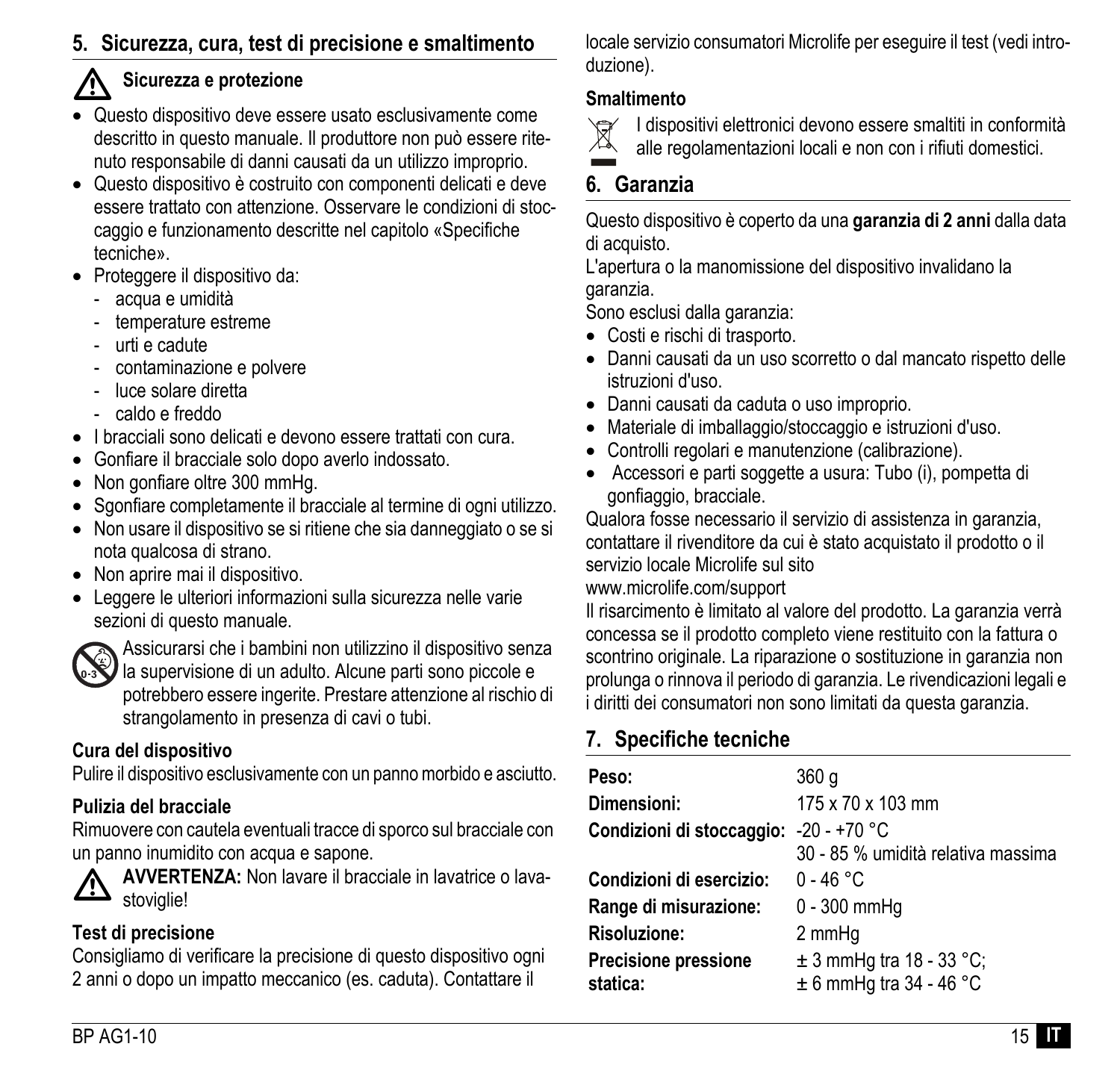# **5. Sicurezza, cura, test di precisione e smaltimento**

#### $\overline{\mathbb{A}}$ **Sicurezza e protezione**

- Questo dispositivo deve essere usato esclusivamente come descritto in questo manuale. Il produttore non può essere ritenuto responsabile di danni causati da un utilizzo improprio.
- Questo dispositivo è costruito con componenti delicati e deve essere trattato con attenzione. Osservare le condizioni di stoccaggio e funzionamento descritte nel capitolo «Specifiche tecniche».
- Proteggere il dispositivo da:
	- acqua e umidità
	- temperature estreme
	- urti e cadute
	- contaminazione e polvere
	- luce solare diretta
	- caldo e freddo
- I bracciali sono delicati e devono essere trattati con cura.
- Gonfiare il bracciale solo dopo averlo indossato.
- Non gonfiare oltre 300 mmHg.
- Sgonfiare completamente il bracciale al termine di ogni utilizzo.
- Non usare il dispositivo se si ritiene che sia danneggiato o se si nota qualcosa di strano.
- Non aprire mai il dispositivo.
- Leggere le ulteriori informazioni sulla sicurezza nelle varie sezioni di questo manuale.



Assicurarsi che i bambini non utilizzino il dispositivo senza la supervisione di un adulto. Alcune parti sono piccole e potrebbero essere ingerite. Prestare attenzione al rischio di strangolamento in presenza di cavi o tubi.

# **Cura del dispositivo**

Pulire il dispositivo esclusivamente con un panno morbido e asciutto.

# **Pulizia del bracciale**

Rimuovere con cautela eventuali tracce di sporco sul bracciale con un panno inumidito con acqua e sapone.



 **AVVERTENZA:** Non lavare il bracciale in lavatrice o lavastoviglie!

# **Test di precisione**

Consigliamo di verificare la precisione di questo dispositivo ogni 2 anni o dopo un impatto meccanico (es. caduta). Contattare il

locale servizio consumatori Microlife per eseguire il test (vedi introduzione).

## **Smaltimento**

- I dispositivi elettronici devono essere smaltiti in conformità  $\forall$ 
	- alle regolamentazioni locali e non con i rifiuti domestici.

# **6. Garanzia**

Questo dispositivo è coperto da una **garanzia di 2 anni** dalla data di acquisto.

L'apertura o la manomissione del dispositivo invalidano la garanzia.

Sono esclusi dalla garanzia:

- Costi e rischi di trasporto.
- Danni causati da un uso scorretto o dal mancato rispetto delle istruzioni d'uso.
- Danni causati da caduta o uso improprio.
- Materiale di imballaggio/stoccaggio e istruzioni d'uso.
- Controlli regolari e manutenzione (calibrazione).
- Accessori e parti soggette a usura: Tubo (i), pompetta di gonfiaggio, bracciale.

Qualora fosse necessario il servizio di assistenza in garanzia, contattare il rivenditore da cui è stato acquistato il prodotto o il servizio locale Microlife sul sito

www.microlife.com/support

Il risarcimento è limitato al valore del prodotto. La garanzia verrà concessa se il prodotto completo viene restituito con la fattura o scontrino originale. La riparazione o sostituzione in garanzia non prolunga o rinnova il periodo di garanzia. Le rivendicazioni legali e i diritti dei consumatori non sono limitati da questa garanzia.

# **7. Specifiche tecniche**

| Peso:                                   | 360q                                                        |
|-----------------------------------------|-------------------------------------------------------------|
| Dimensioni:                             | 175 x 70 x 103 mm                                           |
| Condizioni di stoccaggio:               | $-20 - +70 °C$                                              |
|                                         | 30 - 85 % umidità relativa massima                          |
| Condizioni di esercizio:                | $0 - 46 °C$                                                 |
| Range di misurazione:                   | $0 - 300$ mmHq                                              |
| <b>Risoluzione:</b>                     | 2 mmHq                                                      |
| <b>Precisione pressione</b><br>statica: | $\pm$ 3 mmHg tra 18 - 33 °C;<br>$\pm$ 6 mmHg tra 34 - 46 °C |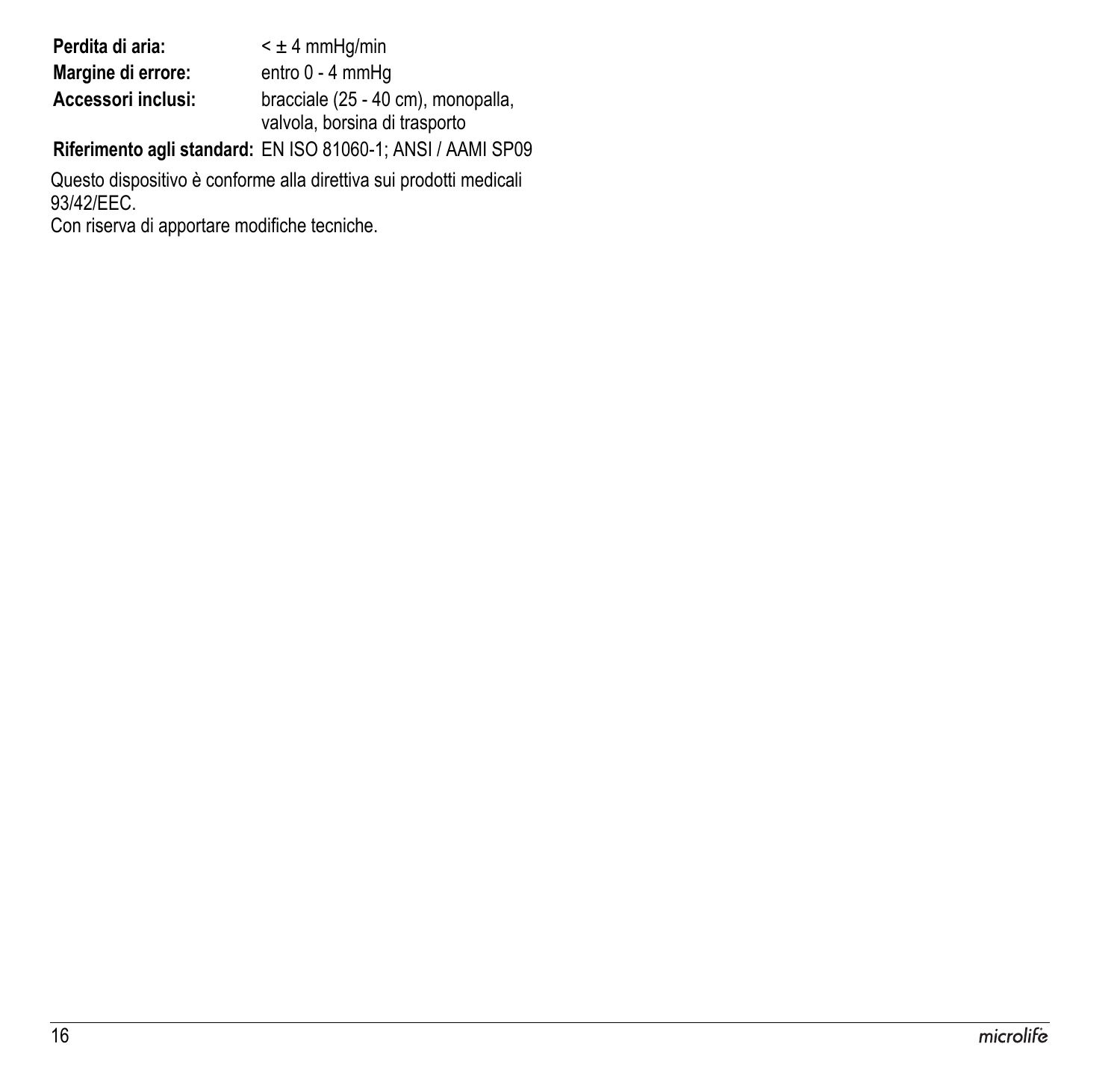| Perdita di aria:   | $\leq \pm 4$ mmHg/min                                               |
|--------------------|---------------------------------------------------------------------|
| Margine di errore: | entro 0 - 4 mmHq                                                    |
| Accessori inclusi: | bracciale (25 - 40 cm), monopalla,<br>valvola, borsina di trasporto |

**Riferimento agli standard:** EN ISO 81060-1; ANSI / AAMI SP09

Questo dispositivo è conforme alla direttiva sui prodotti medicali 93/42/EEC.

Con riserva di apportare modifiche tecniche.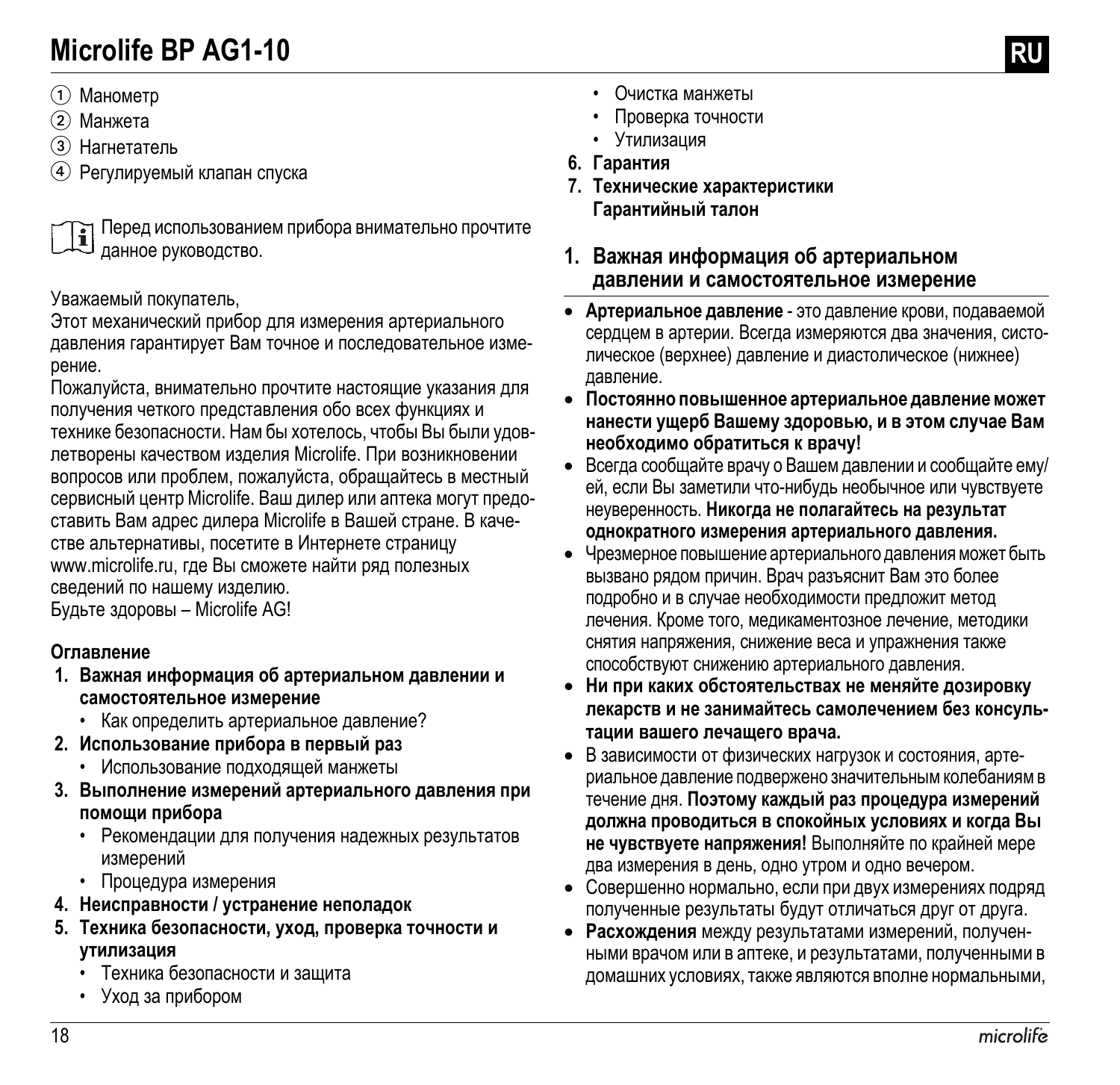# **Microlife BP AG1-10**

- (1) Манометр
- 2 Манжета
- 3 Нагнетатель
- 4 Регулируемый клапан спуска

| v<br>٠<br>٧ | × |
|-------------|---|
|             |   |

Перед использованием прибора внимательно прочтите данное руководство.

### Уважаемый покупатель,

Этот механический прибор для измерения артериального давления гарантирует Вам точное и последовательное измерение.

Пожалуйста, внимательно прочтите настоящие указания для получения четкого представления обо всех функциях и технике безопасности. Нам бы хотелось, чтобы Вы были удовлетворены качеством изделия Microlife. При возникновении вопросов или проблем, пожалуйста, обращайтесь в местный сервисный центр Microlife. Ваш дилер или аптека могут предоставить Вам адрес дилера Microlife в Вашей стране. В качестве альтернативы, посетите в Интернете страницу www.microlife.ru, где Вы сможете найти ряд полезных сведений по нашему изделию. Будьте здоровы – Microlife AG!

# **Оглавление**

- **1. Важная информация об артериальном давлении и самостоятельное измерение**
	- Как определить артериальное давление?
- **2. Использование прибора в первый раз**
	- Использование подходящей манжеты
- **3. Выполнение измерений артериального давления при помощи прибора**
	- Рекомендации для получения надежных результатов измерений
	- Процедура измерения
- **4. Неисправности / устранение неполадок**
- **5. Техника безопасности, уход, проверка точности и утилизация**
	- Техника безопасности и защита
	- Уход за прибором
- Очистка манжеты
- Проверка точности
- Утилизация
- **6. Гарантия**
- **7. Технические характеристики Гарантийный талон**

## **1. Важная информация об артериальном давлении и самостоятельное измерение**

- **Артериальное давление** это давление крови, подаваемой сердцем в артерии. Всегда измеряются два значения, систолическое (верхнее) давление и диастолическое (нижнее) давление.
- **Постоянно повышенное артериальное давлениеможет нанести ущерб Вашему здоровью, и в этом случае Вам необходимо обратиться к врачу!**
- Всегда сообщайте врачу о Вашем давлении и сообщайте ему/ ей, если Вы заметили что-нибудь необычное или чувствуете неуверенность. **Никогда не полагайтесь на результат однократного измерения артериального давления.**
- Чрезмерное повышение артериального давленияможет быть вызвано рядом причин. Врач разъяснит Вам это более подробно и в случае необходимости предложит метод лечения. Кроме того, медикаментозное лечение, методики снятия напряжения, снижение веса и упражнения также способствуют снижению артериального давления.
- **Ни при каких обстоятельствах не меняйте дозировку лекарств и не занимайтесь самолечением без консультации вашего лечащего врача.**
- В зависимости от физических нагрузок и состояния, артериальное давление подвержено знaчитeльным колебаниям в течение дня. **Поэтому каждый раз процедура измерений должна проводиться в спокойных условиях и когда Вы не чувствуете напряжения!** Выполняйте по крайней мере два измерения в день, одно утром и одно вечером.
- Совершенно нормально, если при двух измерениях подряд полученные результаты будут отличаться друг от друга.
- **Расхождения** между результатами измерений, полученными врачом или в аптеке, и результатами, полученными в домашних условиях, также являются вполне нормальными,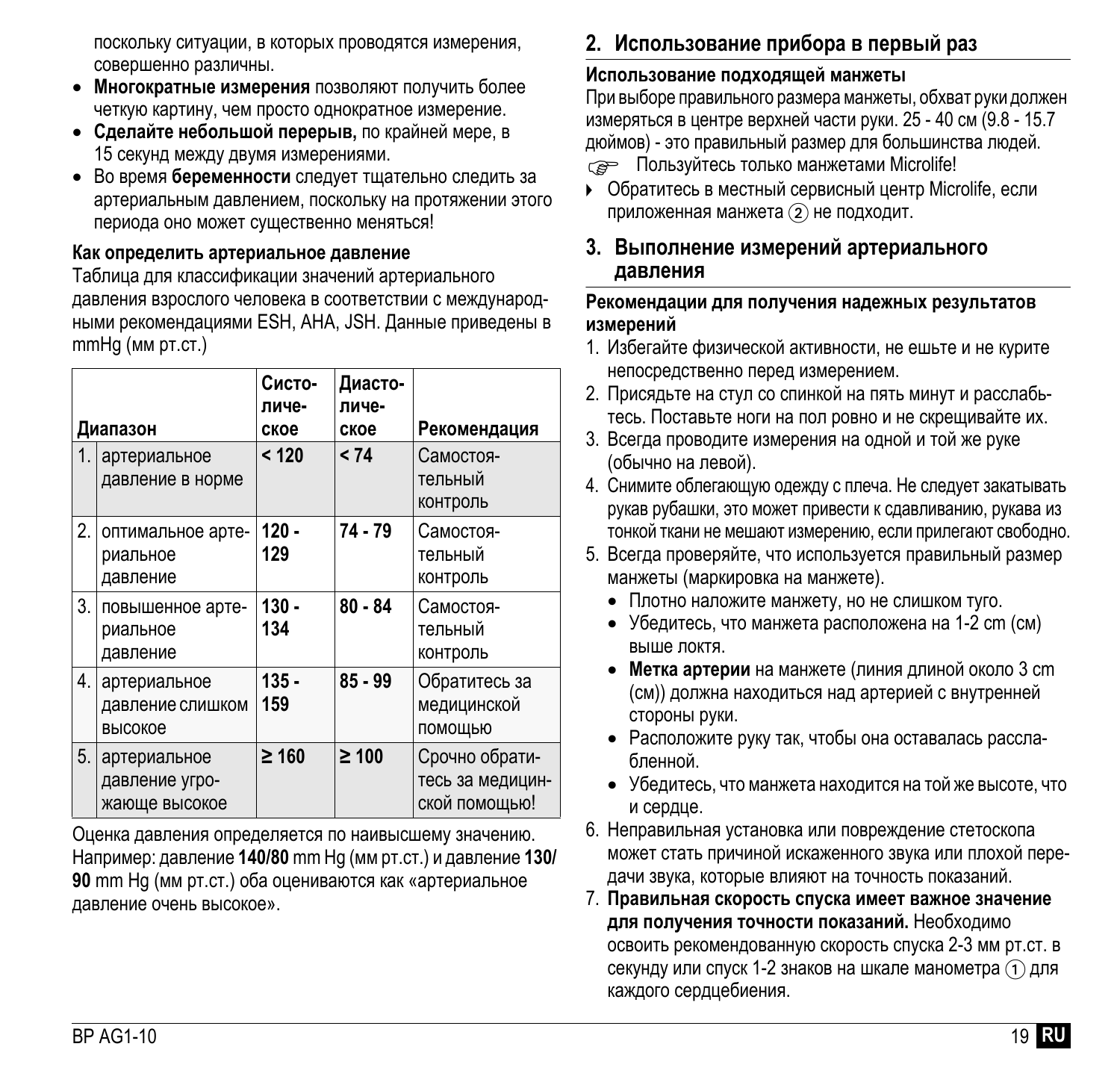поскольку ситуации, в которых проводятся измерения, совершенно различны.

- **Многократные измерения** позволяют получить более четкую картину, чем просто однократное измерение.
- **Сделайте небольшой перерыв,** по крайней мере, в 15 секунд между двумя измерениями.
- Во время **беременности** следует тщательно следить за артериальным давлением, поскольку на протяжении этого периода оно может существенно меняться!

#### **Как определить артериальное давление**

Таблица для классификации значений артериального давления взрослого человека в соответствии с международными рекомендациями ESH, AHA, JSH. Данные приведены в mmHg (мм рт.ст.)

|    | Диапазон                                        | Систо-<br>личе-<br>ское | Диасто-<br>личе-<br>ское | Рекомендация                                        |
|----|-------------------------------------------------|-------------------------|--------------------------|-----------------------------------------------------|
| 1. | артериальное<br>давление в норме                | < 120                   | < 74                     | Самостоя-<br>тельный<br>контроль                    |
| 2. | оптимальное арте-<br>риальное<br>давление       | $120 -$<br>129          | $74 - 79$                | Самостоя-<br>тельный<br>контроль                    |
| 3. | повышенное арте-<br>риальное<br>давление        | $130 -$<br>134          | $80 - 84$                | Самостоя-<br>тельный<br>контроль                    |
| 4. | артериальное<br>давление слишком<br>высокое     | $135 -$<br>159          | $85 - 99$                | Обратитесь за<br>медицинской<br>помощью             |
| 5. | артериальное<br>давление угро-<br>жающе высокое | $\geq 160$              | $\geq 100$               | Срочно обрати-<br>тесь за медицин-<br>ской помощью! |

Оценка давления определяется по наивысшему значению. Например: давление **140/80** mm Hg (мм рт.ст.) и давление **130/ 90** mm Hg (мм рт.ст.) оба оцениваются как «артериальное давление очень высокое».

## **2. Использование прибора в первый раз**

#### **Использование подходящей манжеты**

При выборе правильного размера манжеты, обхват руки должен измеряться в центре верхней части руки. 25 - 40 см (9.8 - 15.7 дюймов) - это правильный размер для большинства людей. **Пользуйтесь только манжетами Microlife!** 

 Обратитесь в местный сервисный центр Microlife, если приложенная манжета 2 не подходит.

#### **3. Выполнение измерений артериального давления**

#### **Рекомендации для получения надежных результатов измерений**

- 1. Избегайте физической активности, не ешьте и не курите непосредственно перед измерением.
- 2. Присядьте на стул со спинкой на пять минут и расслабьтесь. Поставьте ноги на пол ровно и не скрещивайте их.
- 3. Всегда проводите измерения на одной и той же руке (обычно на левой).
- 4. Снимите облегающую одежду с плеча. Не следует закатывать рукав рубашки, это может привести к сдавливанию, рукава из тонкой ткани не мешают измерению, если прилегают свободно.
- 5. Всегда проверяйте, что используется правильный размер манжеты (маркировка на манжете).
	- Плотно наложите манжету, но не слишком туго.
	- Убедитесь, что манжета расположена на 1-2 cm (см) выше локтя.
	- **Метка артерии** на манжете (линия длиной около 3 cm (см)) должна находиться над артерией с внутренней стороны руки.
	- Расположите руку так, чтобы она оставалась расслабленной.
	- Убедитесь, что манжета находится на той же высоте, что и сердце.
- 6. Неправильная установка или повреждение стетоскопа может стать причиной искаженного звука или плохой передачи звука, которые влияют на точность показаний.
- 7. **Правильная скорость спуска имеет важное значение для получения точности показаний.** Необходимо освоить рекомендованную скорость спуска 2-3 мм рт.ст. в секунду или спуск 1-2 знаков на шкале манометра  $\overline{1}$  для каждого сердцебиения.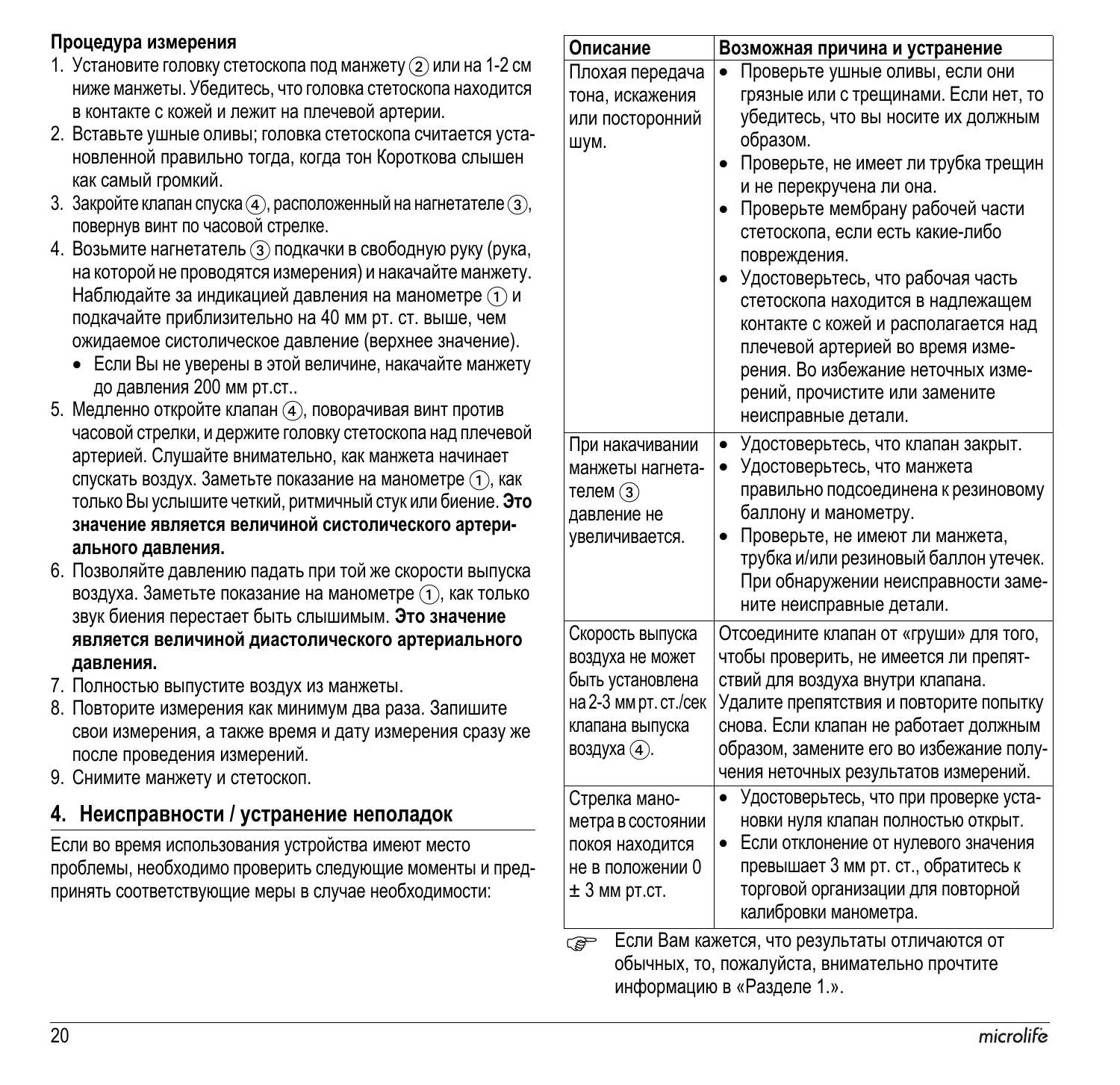#### **Процедура измерения**

- 1. Установите головку стетоскопа под манжету  $(2)$  или на 1-2 см ниже манжеты. Убедитесь, что головка стетоскопа находится в контакте с кожей и лежит на плечевой артерии.
- 2. Вставьте ушные оливы; головка стетоскопа считается установленной правильно тогда, когда тон Короткова слышен как самый громкий.
- 3. Закройте клапан спуска $(4)$ , расположенный на нагнетателе $(3)$ , повернув винт по часовой стрелке.
- 4. Возьмите нагнетатель  $\circ$  подкачки в свободную руку (рука, на которой не проводятся измерения) и накачайте манжету. Наблюдайте за индикацией давления на манометре  $\overline{1}$  и подкачайте приблизительно на 40 мм рт. ст. выше, чем ожидаемое систолическое давление (верхнее значение).
	- Если Вы не уверены в этой величине, накачайте манжету до давления 200 мм рт.ст..
- 5. Медленно откройте клапан (4), поворачивая винт против часовой стрелки, и держите головку стетоскопа над плечевой артерией. Слушайте внимательно, как манжета начинает спускать воздух. Заметьте показание на манометре  $(1)$ , как только Выуслышите четкий, ритмичный стук или биение. **Это значение является величиной систолического артериального давления.**
- 6. Позволяйте давлению падать при той же скорости выпуска воздуха. Заметьте показание на манометре (1), как только звук биения перестает быть слышимым. **Это значение является величиной диастолического артериального давления.**
- 7. Полностью выпустите воздух из манжеты.
- 8. Повторите измерения как минимум два раза. Запишите свои измерения, а также время и дату измерения сразу же после проведения измерений.
- 9. Снимите манжету и стетоскоп.

# **4. Неисправности / устранение неполадок**

Eсли во время использования устройства имеют место проблемы, необходимо проверить следующие моменты и предпринять соответствующие меры в случае необходимости:

| Описание                                                                                                             | Возможная причина и устранение                                                                                                                                                                                                                                                                                                                                                                                                                                                                                                               |
|----------------------------------------------------------------------------------------------------------------------|----------------------------------------------------------------------------------------------------------------------------------------------------------------------------------------------------------------------------------------------------------------------------------------------------------------------------------------------------------------------------------------------------------------------------------------------------------------------------------------------------------------------------------------------|
| Плохая передача<br>тона, искажения<br>или посторонний<br>шум.                                                        | Проверьте ушные оливы, если они<br>грязные или с трещинами. Если нет, то<br>убедитесь, что вы носите их должным<br>образом.<br>Проверьте, не имеет ли трубка трещин<br>и не перекручена ли она.<br>Проверьте мембрану рабочей части<br>стетоскопа, если есть какие-либо<br>повреждения.<br>Удостоверьтесь, что рабочая часть<br>стетоскопа находится в надлежащем<br>контакте с кожей и располагается над<br>плечевой артерией во время изме-<br>рения. Во избежание неточных изме-<br>рений, прочистите или замените<br>неисправные детали. |
| При накачивании<br>манжеты нагнета-<br>телем (3)<br>давление не<br>увеличивается.                                    | Удостоверьтесь, что клапан закрыт.<br>Удостоверьтесь, что манжета<br>$\bullet$<br>правильно подсоединена к резиновому<br>баллону и манометру.<br>Проверьте, не имеют ли манжета,<br>трубка и/или резиновый баллон утечек.<br>При обнаружении неисправности заме-<br>ните неисправные детали.                                                                                                                                                                                                                                                 |
| Скорость выпуска<br>воздуха не может<br>быть установлена<br>на 2-3 мм рт. ст./сек<br>клапана выпуска<br>воздуха (4). | Отсоедините клапан от «груши» для того,<br>чтобы проверить, не имеется ли препят-<br>ствий для воздуха внутри клапана.<br>Удалите препятствия и повторите попытку<br>снова. Если клапан не работает должным<br>образом, замените его во избежание полу-<br>чения неточных результатов измерений.                                                                                                                                                                                                                                             |
| Стрелка мано-<br>метра в состоянии<br>покоя находится<br>не в положении 0<br>$\pm$ 3 мм рт.ст.                       | Удостоверьтесь, что при проверке уста-<br>$\bullet$<br>новки нуля клапан полностью открыт.<br>Если отклонение от нулевого значения<br>٠<br>превышает 3 мм рт. ст., обратитесь к<br>торговой организации для повторной<br>калибровки манометра.                                                                                                                                                                                                                                                                                               |

**ЕСЛИ Вам кажется, что результаты отличаются от** обычных, то, пожалуйста, внимательно прочтите информацию в «Разделе 1.».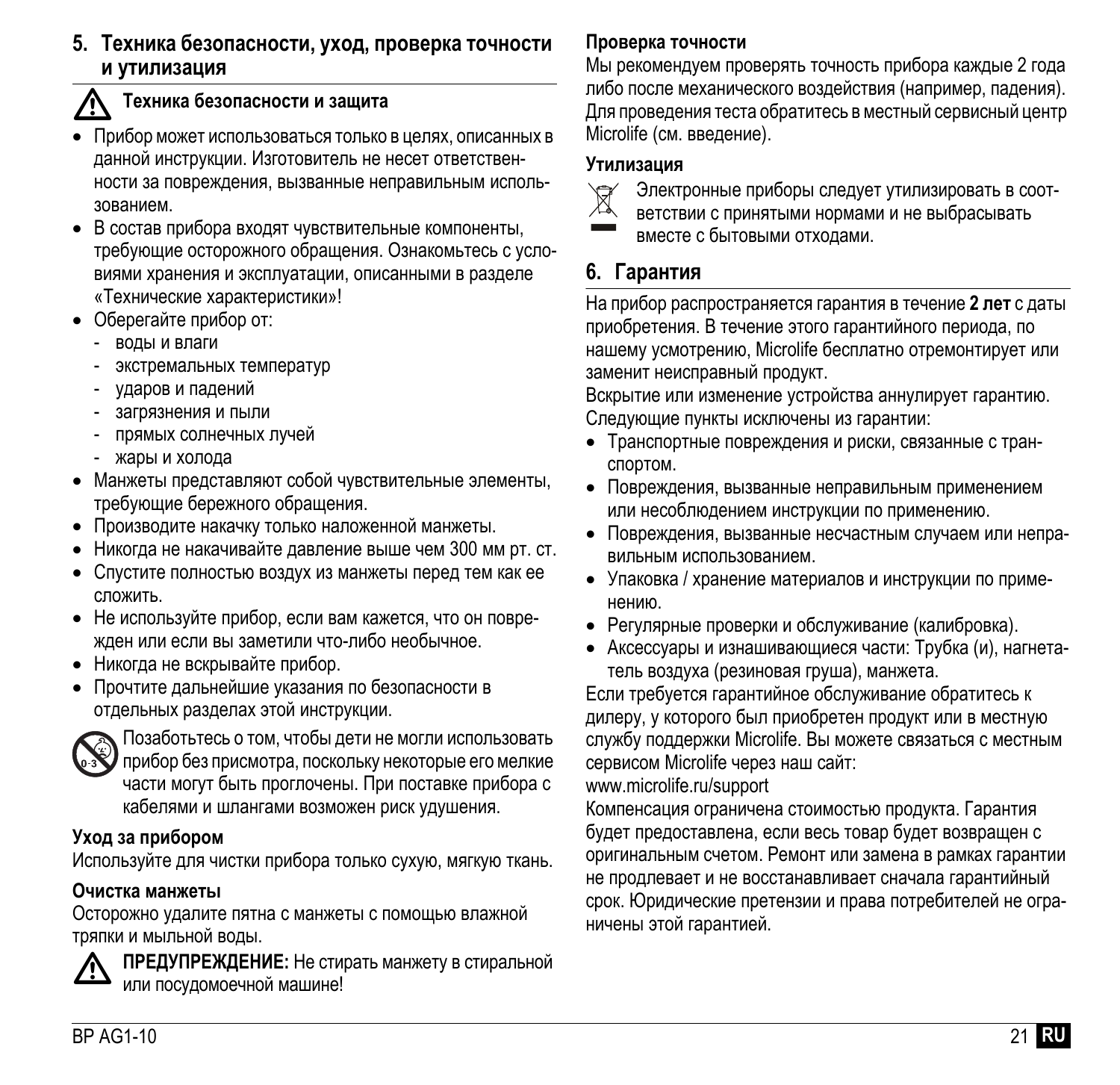#### **5. Техника безопасности, уход, проверка точности и утилизация**

#### $\overline{\mathbb{A}}$ **Техника безопасности и защита**

- Прибор может использоваться только в целях, описанных в данной инструкции. Изготовитель не несет ответственности за повреждения, вызванные неправильным использованием.
- В состав прибора входят чувствительные компоненты, требующие осторожного обращения. Ознакомьтесь с условиями хранения и эксплуатации, описанными в разделе «Технические характеристики»!
- Оберегайте прибор от:
	- воды и влаги
	- экстремальных температур
	- ударов и падений
	- загрязнения и пыли
	- прямых солнечных лучей
	- жары и холода
- Манжеты представляют собой чувствительные элементы, требующие бережного обращения.
- Производите накачку только наложенной манжеты.
- Никогда не накачивайте давление выше чем 300 мм рт. ст.
- Спустите полностью воздух из манжеты перед тем как ее сложить.
- Не используйте прибор, если вам кажется, что он поврежден или если вы заметили что-либо необычное.
- Никогда не вскрывайте прибор.
- Прочтите дальнейшие указания по безопасности в отдельных разделах этой инструкции.



Позаботьтесь о том, чтобы дети не могли использовать прибор без присмотра, поскольку некоторые его мелкие части могут быть проглочены. При поставке прибора с кабелями и шлангами возможен риск удушения.

### **Уход за прибором**

Используйте для чистки прибора только сухую, мягкую ткань.

# **Очистка манжеты**

Осторожно удалите пятна с манжеты с помощью влажной тряпки и мыльной воды.



 **ПРЕДУПРЕЖДЕНИЕ:** Не стирать манжету <sup>в</sup> стиральной или посудомоечной машине!

#### **Проверка точности**

Мы рекомендуем проверять точность прибора каждые 2 года либо после механического воздействия (например, падения). Для проведения теста обратитесь в местный сервисный центр Microlife (см. введение).

#### **Утилизация**

- Электронные приборы следует утилизировать в соответствии с принятыми нормами и не выбрасывать
- $\cancel{\mathbb{X}}$ вместе с бытовыми отходами.

# **6. Гарантия**

На прибор распространяется гарантия в течение **2 лет** с даты приобретения. В течение этого гарантийного периода, по нашему усмотрению, Microlife бесплатно отремонтирует или заменит неисправный продукт.

Вскрытие или изменение устройства аннулирует гарантию. Следующие пункты исключены из гарантии:

- Транспортные повреждения и риски, связанные с транспортом.
- Повреждения, вызванные неправильным применением или несоблюдением инструкции по применению.
- Повреждения, вызванные несчастным случаем или неправильным использованием.
- Упаковка / хранение материалов и инструкции по применению.
- Регулярные проверки и обслуживание (калибровка).
- Аксессуары и изнашивающиеся части: Трубка (и), нагнетатель воздуха (резиновая груша), манжета.

Если требуется гарантийное обслуживание обратитесь к дилеру, у которого был приобретен продукт или в местную службу поддержки Microlife. Вы можете связаться с местным сервисом Microlife через наш сайт:

www.microlife.ru/support

Компенсация ограничена стоимостью продукта. Гарантия будет предоставлена, если весь товар будет возвращен с оригинальным счетом. Ремонт или замена в рамках гарантии не продлевает и не восстанавливает сначала гарантийный срок. Юридические претензии и права потребителей не ограничены этой гарантией.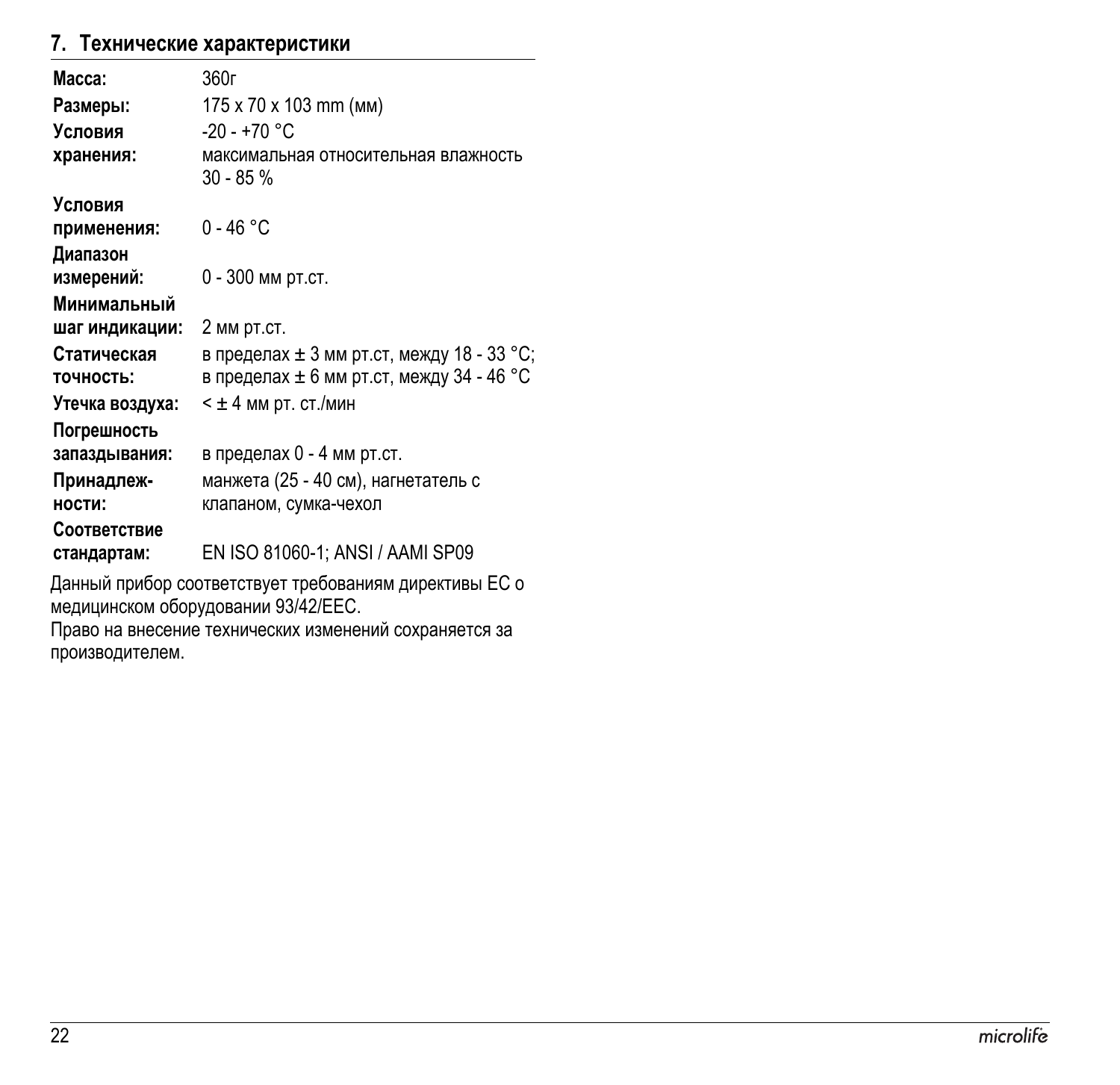# **7. Технические характеристики**

| Macca:                                                 | 360r                                               |  |
|--------------------------------------------------------|----------------------------------------------------|--|
| Размеры:                                               | $175 \times 70 \times 103$ mm (MM)                 |  |
| Условия                                                | $-20 - +70$ °C                                     |  |
| хранения:                                              | максимальная относительная влажность<br>$30 - 85%$ |  |
| Условия                                                |                                                    |  |
| применения:                                            | $0 - 46 °C$                                        |  |
| Диапазон                                               |                                                    |  |
| измерений:                                             | 0 - 300 мм рт.ст.                                  |  |
| Минимальный                                            |                                                    |  |
| шаг индикации:                                         | 2 мм рт.ст.                                        |  |
| Статическая                                            | в пределах ± 3 мм рт.ст, между 18 - 33 °С;         |  |
| точность:                                              | в пределах ± 6 мм рт.ст, между 34 - 46 °С          |  |
| Утечка воздуха:                                        | $\leq$ $\pm$ 4 мм рт. ст./мин                      |  |
| Погрешность                                            |                                                    |  |
| запаздывания:                                          | в пределах 0 - 4 мм рт.ст.                         |  |
| Принадлеж-                                             | манжета (25 - 40 см), нагнетатель с                |  |
| ности:                                                 | клапаном, сумка-чехол                              |  |
| Соответствие                                           |                                                    |  |
| стандартам:                                            | EN ISO 81060-1; ANSI / AAMI SP09                   |  |
| Данный прибор соответствует требованиям директивы ЕС о |                                                    |  |

медицинском оборудовании 93/42/EEC.

Право на внесение технических изменений сохраняется за производителем.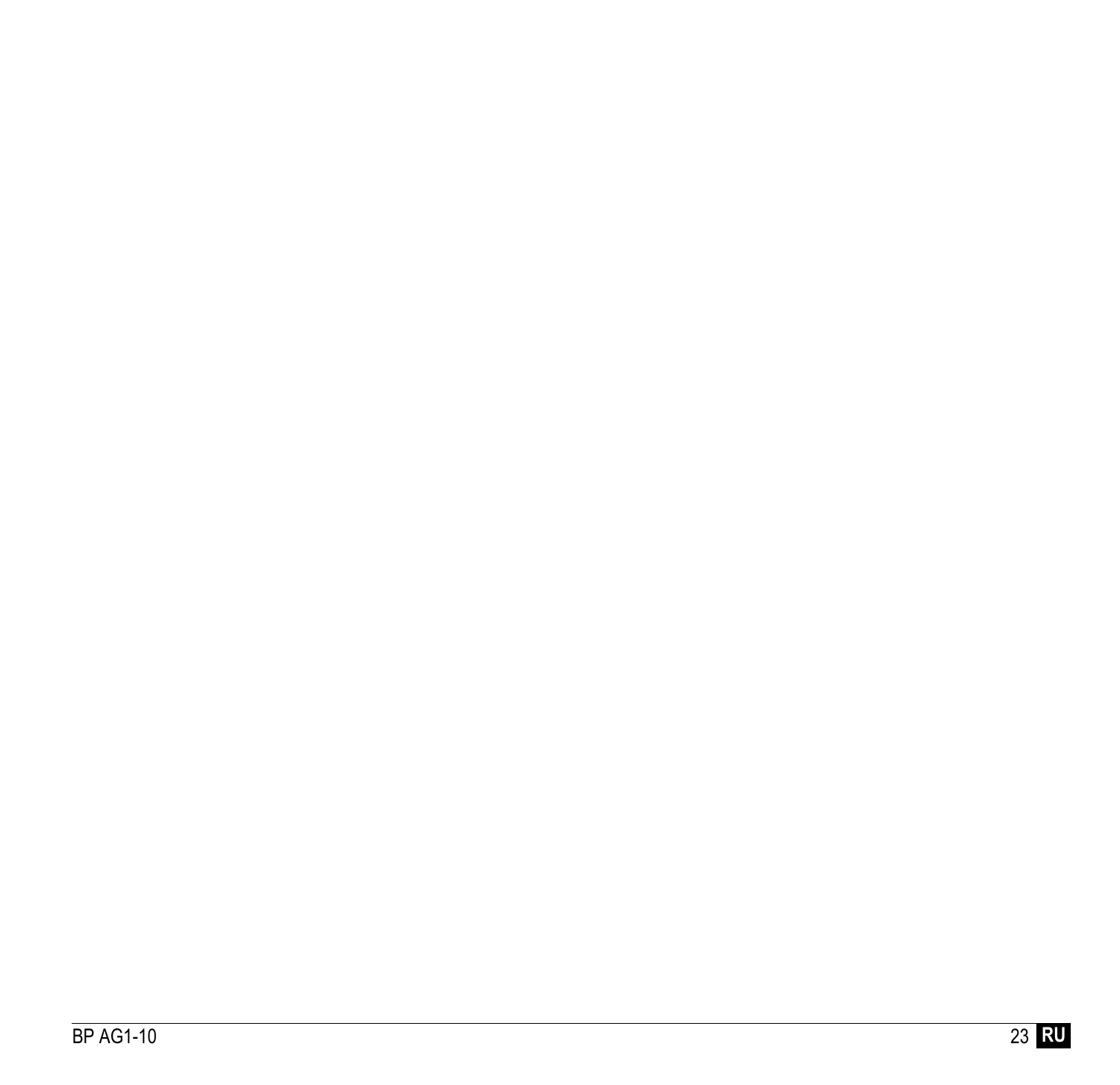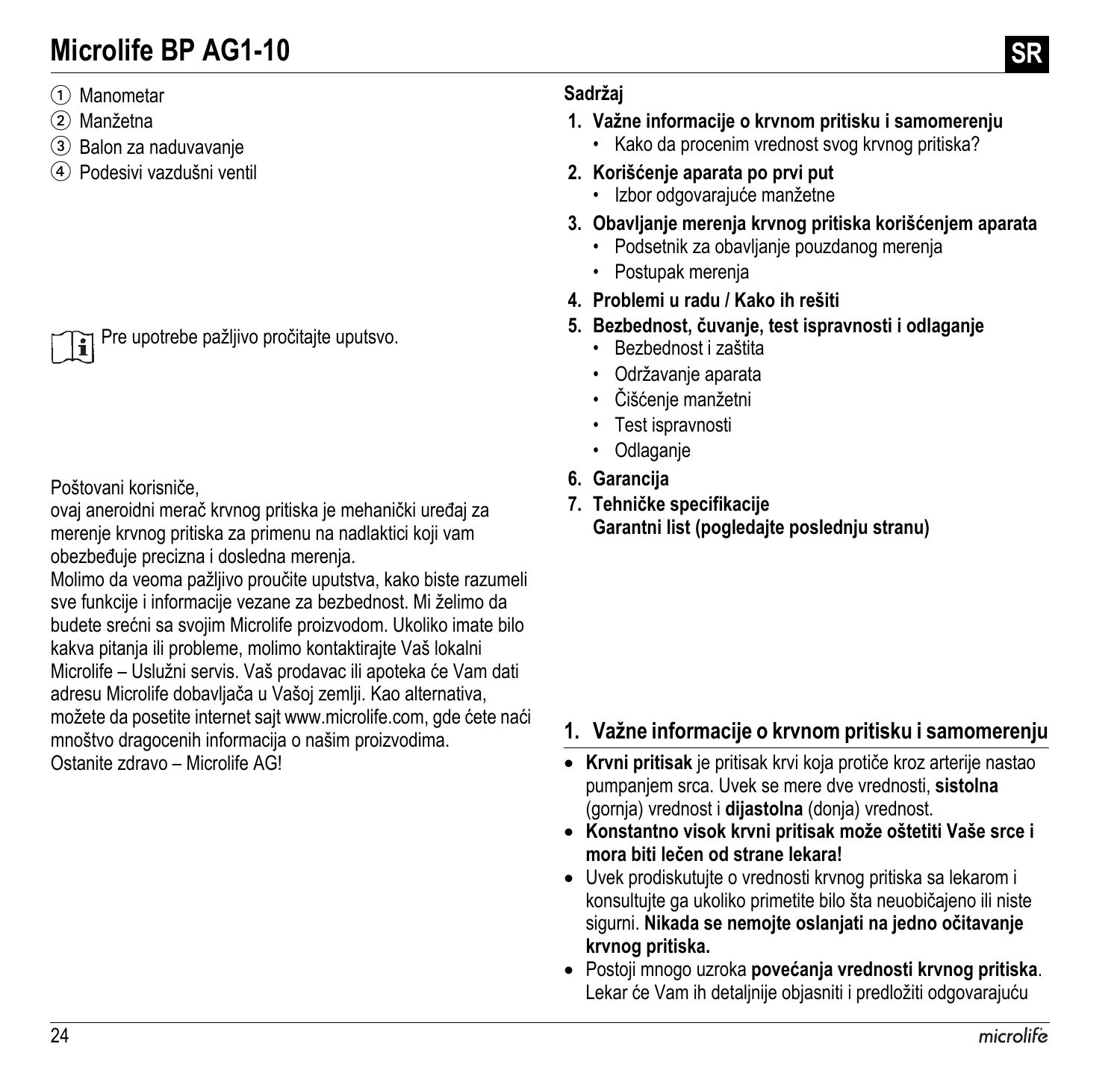# **Microlife BP AG1-10 SR**

- 
- 1 Manometar
- 2 Manžetna
- 3 Balon za naduvavanje
- 4 Podesivi vazdušni ventil

۱ĩ

Pre upotrebe pažljivo pročitajte uputsvo.

## Poštovani korisniče,

ovaj aneroidni merač krvnog pritiska je mehanički uređaj za merenje krvnog pritiska za primenu na nadlaktici koji vam obezbeđuje precizna i dosledna merenja.

Molimo da veoma pažljivo proučite uputstva, kako biste razumeli sve funkcije i informacije vezane za bezbednost. Mi želimo da budete srećni sa svojim Microlife proizvodom. Ukoliko imate bilo kakva pitanja ili probleme, molimo kontaktirajte Vaš lokalni Microlife – Uslužni servis. Vaš prodavac ili apoteka će Vam dati adresu Microlife dobavljača u Vašoj zemlji. Kao alternativa, možete da posetite internet sajt www.microlife.com, gde ćete naći mnoštvo dragocenih informacija o našim proizvodima. Ostanite zdravo – Microlife AG!

## **Sadržaj**

## **1. Važne informacije o krvnom pritisku i samomerenju**

- Kako da procenim vrednost svog krvnog pritiska?
- **2. Korišćenje aparata po prvi put**
	- · Izbor odgovarajuće manžetne
- **3. Obavljanje merenja krvnog pritiska korišćenjem aparata**
	- Podsetnik za obavljanje pouzdanog merenja
	- Postupak merenja
- **4. Problemi u radu / Kako ih rešiti**
- **5. Bezbednost, čuvanje, test ispravnosti i odlaganje**
	- ï Bezbednost i zaštita
	- ï Održavanje aparata
	- Čišćenje manžetni
	- Test ispravnosti
	- Odlaganje
- **6. Garancija**
- **7. Tehničke specifikacije Garantni list (pogledajte poslednju stranu)**

# **1. Važne informacije o krvnom pritisku i samomerenju**

- **Krvni pritisak** je pritisak krvi koja protiče kroz arterije nastao pumpanjem srca. Uvek se mere dve vrednosti, **sistolna** (gornja) vrednost i **dijastolna** (donja) vrednost.
- **Konstantno visok krvni pritisak može oštetiti Vaše srce i mora biti lečen od strane lekara!**
- Uvek prodiskutujte o vrednosti krvnog pritiska sa lekarom i konsultujte ga ukoliko primetite bilo šta neuobičajeno ili niste sigurni. **Nikada se nemojte oslanjati na jedno očitavanje krvnog pritiska.**
- Postoji mnogo uzroka **povećanja vrednosti krvnog pritiska**. Lekar će Vam ih detaljnije objasniti i predložiti odgovarajuću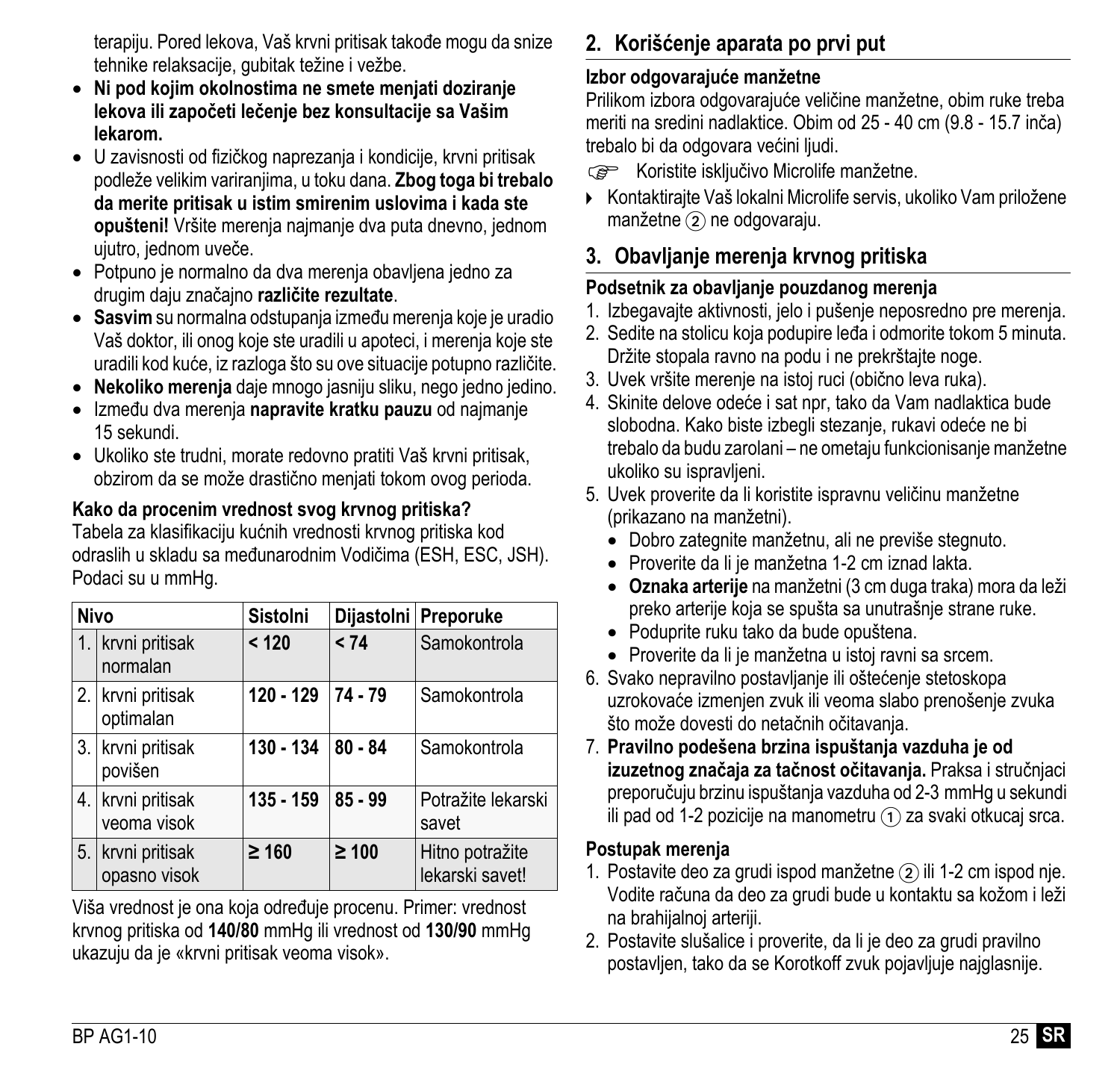terapiju. Pored lekova, Vaš krvni pritisak takođe mogu da snize tehnike relaksacije, gubitak težine i vežbe.

- **Ni pod kojim okolnostima ne smete menjati doziranje lekova ili započeti lečenje bez konsultacije sa Vašim lekarom.**
- U zavisnosti od fizičkog naprezanja i kondicije, krvni pritisak podleže velikim variranjima, u toku dana. **Zbog toga bi trebalo da merite pritisak u istim smirenim uslovima i kada ste opušteni!** Vršite merenja najmanje dva puta dnevno, jednom ujutro, jednom uveče.
- Potpuno je normalno da dva merenja obavljena jedno za drugim daju značajno **različite rezultate**.
- **Sasvim** su normalna odstupanja između merenja koje je uradio Vaš doktor, ili onog koje ste uradili u apoteci, i merenja koje ste uradili kod kuće, iz razloga što su ove situacije potupno različite.
- **Nekoliko merenja** daje mnogo jasniju sliku, nego jedno jedino.
- Između dva merenja **napravite kratku pauzu** od najmanje 15 sekundi.
- Ukoliko ste trudni, morate redovno pratiti Vaš krvni pritisak, obzirom da se može drastično menjati tokom ovog perioda.

### **Kako da procenim vrednost svog krvnog pritiska?**

Tabela za klasifikaciju kućnih vrednosti krvnog pritiska kod odraslih u skladu sa međunarodnim Vodičima (ESH, ESC, JSH). Podaci su u mmHg.

| Nivo |                                | Sistolni   |            | Dijastolni Preporuke               |
|------|--------------------------------|------------|------------|------------------------------------|
|      | 1. krvni pritisak<br>normalan  | < 120      | < 74       | Samokontrola                       |
|      | 2. krvni pritisak<br>optimalan | 120 - 129  | 74 - 79    | Samokontrola                       |
|      | 3. krvni pritisak<br>povišen   | 130 - 134  | $80 - 84$  | Samokontrola                       |
| 4.   | krvni pritisak<br>veoma visok  | 135 - 159  | $85 - 99$  | Potražite lekarski<br>savet        |
| 5.   | krvni pritisak<br>opasno visok | $\geq 160$ | $\geq 100$ | Hitno potražite<br>lekarski savet! |

Viša vrednost je ona koja određuje procenu. Primer: vrednost krvnog pritiska od **140/80** mmHg ili vrednost od **130/90** mmHg ukazuju da je «krvni pritisak veoma visok».

# **2. Korišćenje aparata po prvi put**

#### **Izbor odgovarajuće manžetne**

Prilikom izbora odgovarajuće veličine manžetne, obim ruke treba meriti na sredini nadlaktice. Obim od 25 - 40 cm (9.8 - 15.7 inča) trebalo bi da odgovara većini ljudi.

Koristite isključivo Microlife manžetne.

 Kontaktirajte Vaš lokalni Microlife servis, ukoliko Vam priložene manžetne (2) ne odgovaraju.

# **3. Obavljanje merenja krvnog pritiska**

# **Podsetnik za obavljanje pouzdanog merenja**

- 1. Izbegavajte aktivnosti, jelo i pušenje neposredno pre merenja.
- 2. Sedite na stolicu koja podupire leđa i odmorite tokom 5 minuta. Držite stopala ravno na podu i ne prekrštajte noge.
- 3. Uvek vršite merenje na istoj ruci (obično leva ruka).
- 4. Skinite delove odeće i sat npr, tako da Vam nadlaktica bude slobodna. Kako biste izbegli stezanje, rukavi odeće ne bi trebalo da budu zarolani – ne ometaju funkcionisanje manžetne ukoliko su ispravljeni.
- 5. Uvek proverite da li koristite ispravnu veličinu manžetne (prikazano na manžetni).
	- Dobro zategnite manžetnu, ali ne previše stegnuto.
	- Proverite da li je manžetna 1-2 cm iznad lakta.
	- **Oznaka arterije** na manžetni (3 cm duga traka) mora da leži preko arterije koja se spušta sa unutrašnje strane ruke.
	- Poduprite ruku tako da bude opuštena.
	- Proverite da li je manžetna u istoj ravni sa srcem.
- 6. Svako nepravilno postavljanje ili oštećenje stetoskopa uzrokovaće izmenjen zvuk ili veoma slabo prenošenje zvuka što može dovesti do netačnih očitavanja.
- 7. **Pravilno podešena brzina ispuštanja vazduha je od izuzetnog značaja za tačnost očitavanja.** Praksa i stručnjaci preporučuju brzinu ispuštanja vazduha od 2-3 mmHg u sekundi ili pad od 1-2 pozicije na manometru  $(1)$  za svaki otkucaj srca.

# **Postupak merenja**

- 1. Postavite deo za grudi ispod manžetne (2) ili 1-2 cm ispod nje. Vodite računa da deo za grudi bude u kontaktu sa kožom i leži na brahijalnoj arteriji.
- 2. Postavite slušalice i proverite, da li je deo za grudi pravilno postavljen, tako da se Korotkoff zvuk pojavljuje najglasnije.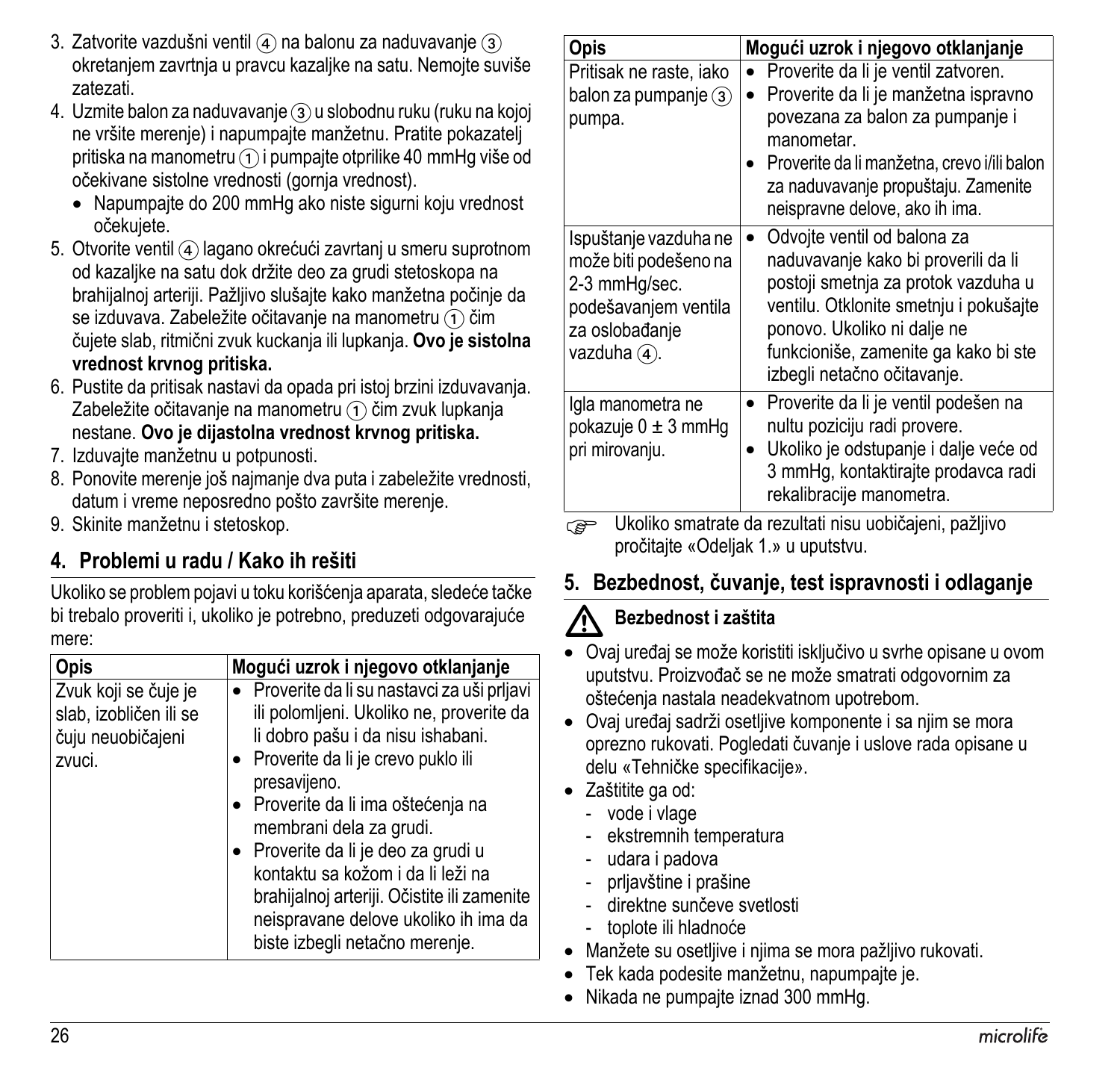- 3. Zatvorite vazdušni ventil  $\widehat{4}$  na balonu za naduvavanie  $\widehat{3}$ okretanjem zavrtnja u pravcu kazaljke na satu. Nemojte suviše zatezati.
- 4. Uzmite balon za naduvavanje 3 u slobodnu ruku (ruku na kojoj ne vršite merenje) i napumpajte manžetnu. Pratite pokazatelj pritiska na manometru  $\widehat{1}$  i pumpaite otprilike 40 mmHg više od očekivane sistolne vrednosti (gornja vrednost).
	- Napumpajte do 200 mmHg ako niste sigurni koju vrednost očekujete.
- 5. Otvorite ventil (4) lagano okrećući zavrtanj u smeru suprotnom od kazaljke na satu dok držite deo za grudi stetoskopa na brahijalnoj arteriji. Pažljivo slušajte kako manžetna počinje da se izduvava. Zabeležite očitavanje na manometru (1) čim čujete slab, ritmični zvuk kuckanja ili lupkanja. **Ovo je sistolna vrednost krvnog pritiska.**
- 6. Pustite da pritisak nastavi da opada pri istoj brzini izduvavanja. Zabeležite očitavanje na manometru  $\bigcap$  čim zvuk lupkanja nestane. **Ovo je dijastolna vrednost krvnog pritiska.**
- 7. Izduvajte manžetnu u potpunosti.
- 8. Ponovite merenje još najmanje dva puta i zabeležite vrednosti, datum i vreme neposredno pošto završite merenje.
- 9. Skinite manžetnu i stetoskop.

# **4. Problemi u radu / Kako ih rešiti**

Ukoliko se problem pojavi u toku korišćenja aparata, sledeće tačke bi trebalo proveriti i, ukoliko je potrebno, preduzeti odgovarajuće mere:

| Opis                                                                          | Mogući uzrok i njegovo otklanjanje                                                                                                                                                                                                                                                                                                                                                                                                                        |
|-------------------------------------------------------------------------------|-----------------------------------------------------------------------------------------------------------------------------------------------------------------------------------------------------------------------------------------------------------------------------------------------------------------------------------------------------------------------------------------------------------------------------------------------------------|
| Zvuk koji se čuje je<br>slab, izobličen ili se<br>čuju neuobičajeni<br>zvuci. | • Proverite da li su nastavci za uši prljavi<br>ili polomljeni. Ukoliko ne, proverite da<br>li dobro pašu i da nisu ishabani.<br>· Proverite da li je crevo puklo ili<br>presavijeno.<br>Proverite da li ima oštećenja na<br>membrani dela za grudi.<br>• Proverite da li je deo za grudi u<br>kontaktu sa kožom i da li leži na<br>brahijalnoj arteriji. Očistite ili zamenite<br>neispravane delove ukoliko ih ima da<br>biste izbegli netačno merenje. |

| Opis                                                                                                                      | Mogući uzrok i njegovo otklanjanje                                                                                                                                                                                                                        |
|---------------------------------------------------------------------------------------------------------------------------|-----------------------------------------------------------------------------------------------------------------------------------------------------------------------------------------------------------------------------------------------------------|
| Pritisak ne raste, iako<br>balon za pumpanje $\circled{3}$<br>pumpa.                                                      | Proverite da li je ventil zatvoren.<br>Proverite da li je manžetna ispravno<br>povezana za balon za pumpanje i<br>manometar.<br>Proverite da li manžetna, crevo i/ili balon<br>za naduvavanje propuštaju. Zamenite<br>neispravne delove, ako ih ima.      |
| Ispuštanje vazduha ne<br>može biti podešeno na<br>2-3 mmHg/sec.<br>podešavanjem ventila<br>za oslobađanje<br>vazduha (4). | Odvojte ventil od balona za<br>naduvavanje kako bi proverili da li<br>postoji smetnja za protok vazduha u<br>ventilu. Otklonite smetnju i pokušajte<br>ponovo. Ukoliko ni dalje ne<br>funkcioniše, zamenite ga kako bi ste<br>izbegli netačno očitavanje. |
| Igla manometra ne<br>pokazuje $0 \pm 3$ mmHg<br>pri mirovanju.                                                            | Proverite da li je ventil podešen na<br>nultu poziciju radi provere.<br>Ukoliko je odstupanje i dalje veće od<br>3 mmHg, kontaktirajte prodavca radi<br>rekalibracije manometra.                                                                          |

Ukoliko smatrate da rezultati nisu uobičajeni, pažlijvo pročitajte «Odeljak 1.» u uputstvu.

# **5. Bezbednost, čuvanje, test ispravnosti i odlaganje**

#### $\overline{\mathbb{A}}$ **Bezbednost i zaštita**

- Ovaj uređaj se može koristiti isključivo u svrhe opisane u ovom uputstvu. Proizvođač se ne može smatrati odgovornim za oštećenja nastala neadekvatnom upotrebom.
- Ovaj uređaj sadrži osetljive komponente i sa njim se mora oprezno rukovati. Pogledati čuvanje i uslove rada opisane u delu «Tehničke specifikacije».
- Zaštitite ga od:
	- vode i vlage
	- ekstremnih temperatura
	- udara i padova
	- prljavštine i prašine
	- direktne sunčeve svetlosti
	- toplote ili hladnoće
- Manžete su osetljive i njima se mora pažljivo rukovati.
- Tek kada podesite manžetnu, napumpajte je.
- Nikada ne pumpaite iznad 300 mmHg.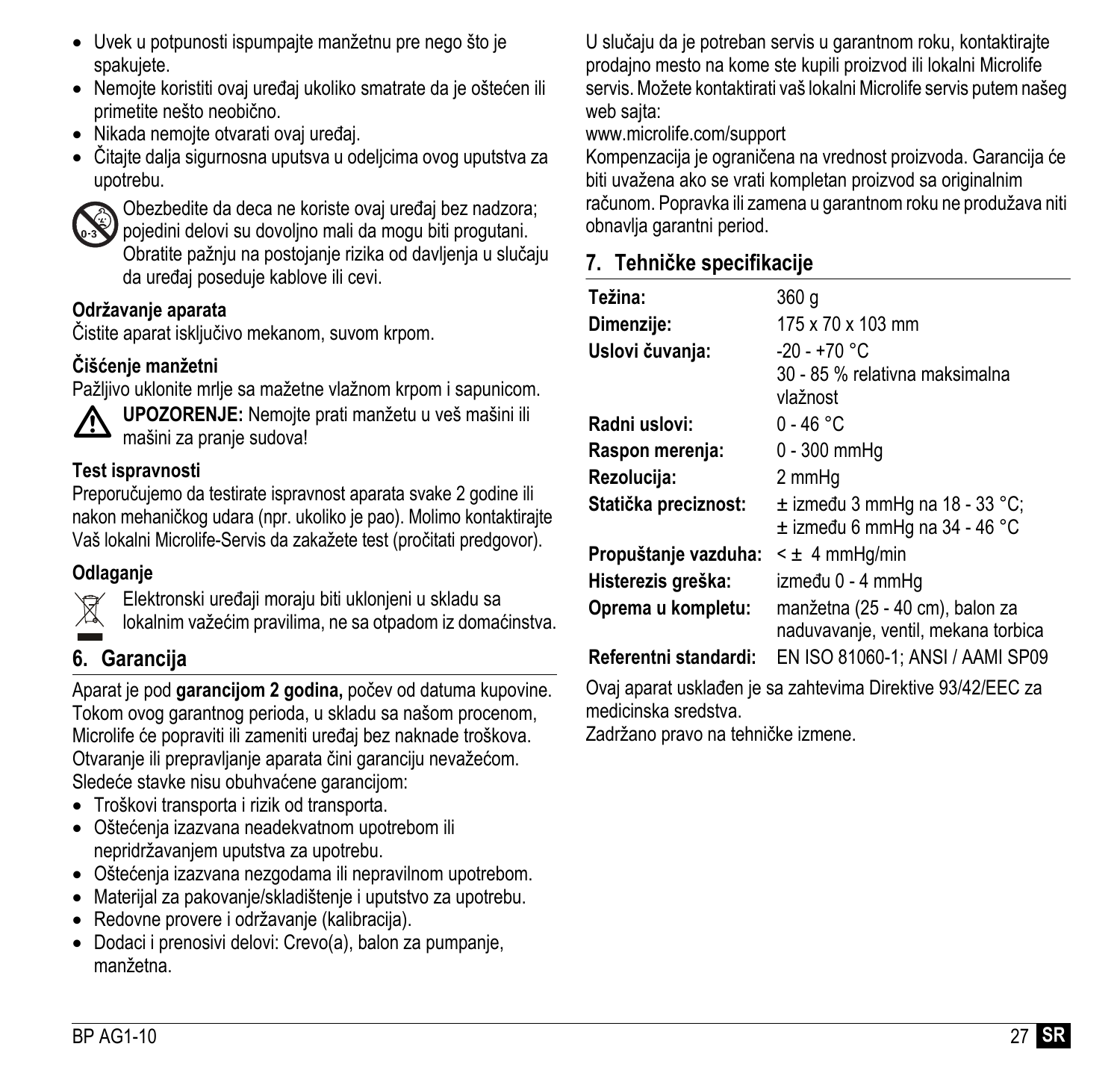- Uvek u potpunosti ispumpajte manžetnu pre nego što je spakujete.
- Nemojte koristiti ovaj uređaj ukoliko smatrate da je oštećen ili primetite nešto neobično.
- Nikada nemojte otvarati ovaj uređaj.
- Čitajte dalja sigurnosna uputsva u odeljcima ovog uputstva za upotrebu.



Obezbedite da deca ne koriste ovaj uređaj bez nadzora; pojedini delovi su dovoljno mali da mogu biti progutani. Obratite pažnju na postojanje rizika od davljenja u slučaju da uređaj poseduje kablove ili cevi.

## **Održavanje aparata**

Čistite aparat isključivo mekanom, suvom krpom.

# **Čišćenje manžetni**

Pažljivo uklonite mrlje sa mažetne vlažnom krpom i sapunicom.



 **UPOZORENJE:** Nemojte prati manžetu u veš mašini ili mašini za pranje sudova!

# **Test ispravnosti**

Preporučujemo da testirate ispravnost aparata svake 2 godine ili nakon mehaničkog udara (npr. ukoliko je pao). Molimo kontaktirajte Vaš lokalni Microlife-Servis da zakažete test (pročitati predgovor).

# **Odlaganje**

- $\forall$ ∕₩
	- Elektronski uređaji moraju biti uklonjeni u skladu sa
	- lokalnim važećim pravilima, ne sa otpadom iz domaćinstva.

# **6. Garancija**

Aparat je pod **garancijom 2 godina,** počev od datuma kupovine. Tokom ovog garantnog perioda, u skladu sa našom procenom, Microlife će popraviti ili zameniti uređaj bez naknade troškova. Otvaranje ili prepravljanje aparata čini garanciju nevažećom. Sledeće stavke nisu obuhvaćene garancijom:

- Troškovi transporta i rizik od transporta.
- Oštećenja izazvana neadekvatnom upotrebom ili nepridržavanjem uputstva za upotrebu.
- Oštećenja izazvana nezgodama ili nepravilnom upotrebom.
- Materijal za pakovanje/skladištenje i uputstvo za upotrebu.
- Redovne provere i održavanje (kalibracija).
- Dodaci i prenosivi delovi: Crevo(a), balon za pumpanje, manžetna.

U slučaju da je potreban servis u garantnom roku, kontaktirajte prodajno mesto na kome ste kupili proizvod ili lokalni Microlife servis. Možete kontaktirati vaš lokalni Microlife servis putem našeg web saita:

#### www.microlife.com/support

Kompenzacija je ograničena na vrednost proizvoda. Garancija će biti uvažena ako se vrati kompletan proizvod sa originalnim računom. Popravka ili zamena u garantnom roku ne produžava niti obnavlja garantni period.

# **7. Tehničke specifikacije**

| Težina:               | 360 g                                                                   |
|-----------------------|-------------------------------------------------------------------------|
| Dimenzije:            | 175 x 70 x 103 mm                                                       |
| Uslovi čuvanja:       | $-20 - +70$ °C                                                          |
|                       | 30 - 85 % relativna maksimalna<br>vlažnost                              |
| Radni uslovi:         | 0 - 46 °C                                                               |
| Raspon merenja:       | 0 - 300 mmHq                                                            |
| Rezolucija:           | 2 mmHq                                                                  |
| Statička preciznost:  | $\pm$ između 3 mmHq na 18 - 33 °C;<br>$\pm$ između 6 mmHq na 34 - 46 °C |
| Propuštanje vazduha:  | $\leq \pm$ 4 mmHg/min                                                   |
| Histerezis greška:    | između 0 - 4 mmHq                                                       |
| Oprema u kompletu:    | manžetna (25 - 40 cm), balon za<br>naduvavanje, ventil, mekana torbica  |
| Referentni standardi: | EN ISO 81060-1; ANSI / AAMI SP09                                        |
|                       |                                                                         |

Ovaj aparat usklađen je sa zahtevima Direktive 93/42/EEC za medicinska sredstva.

Zadržano pravo na tehničke izmene.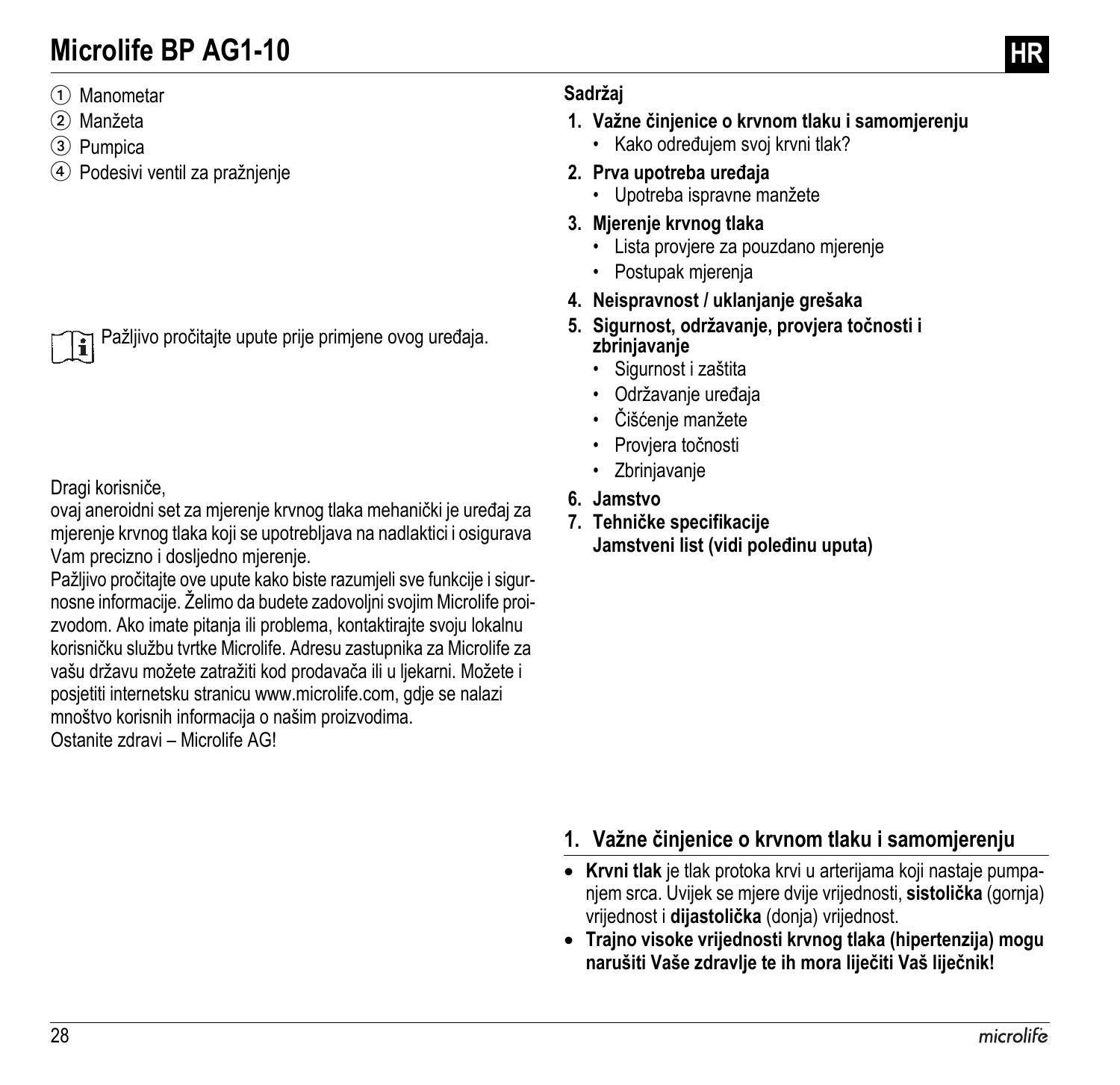# **Microlife BP AG1-10**

- 1 Manometar
- 2 Manžeta
- 3 Pumpica
- 4 Podesivi ventil za pražnjenje

١i

Pažljivo pročitajte upute prije primjene ovog uređaja.

# Dragi korisniče,

ovaj aneroidni set za mjerenje krvnog tlaka mehanički je uređaj za mjerenje krvnog tlaka koji se upotrebljava na nadlaktici i osigurava Vam precizno i dosljedno mjerenje.

Pažljivo pročitajte ove upute kako biste razumjeli sve funkcije i sigurnosne informacije. Želimo da budete zadovoljni svojim Microlife proizvodom. Ako imate pitanja ili problema, kontaktirajte svoju lokalnu korisničku službu tvrtke Microlife. Adresu zastupnika za Microlife za vašu državu možete zatražiti kod prodavača ili u ljekarni. Možete i posjetiti internetsku stranicu www.microlife.com, gdje se nalazi mnoštvo korisnih informacija o našim proizvodima. Ostanite zdravi – Microlife AG!

## **Sadržaj**

- **1. Važne činjenice o krvnom tlaku i samomjerenju**
	- Kako određujem svoj krvni tlak?
- **2. Prva upotreba uređaja**
	- Upotreba ispravne manžete
- **3. Mjerenje krvnog tlaka**
	- Lista provjere za pouzdano mjerenje
	- Postupak mjerenja
- **4. Neispravnost / uklanjanje grešaka**
- **5. Sigurnost, održavanje, provjera točnosti i zbrinjavanje**
	- Sigurnost i zaštita
	- Održavanie uređaja
	- Čišćenie manžete
	- Provjera točnosti
	- Zbrinjavanje
- **6. Jamstvo**
- **7. Tehničke specifikacije Jamstveni list (vidi poleđinu uputa)**

- **1. Važne činjenice o krvnom tlaku i samomjerenju**
- **Krvni tlak** je tlak protoka krvi u arterijama koji nastaje pumpanjem srca. Uvijek se mjere dvije vrijednosti, **sistolička** (gornja) vrijednost i **dijastolička** (donja) vrijednost.
- **Trajno visoke vrijednosti krvnog tlaka (hipertenzija) mogu narušiti Vaše zdravlje te ih mora liječiti Vaš liječnik!**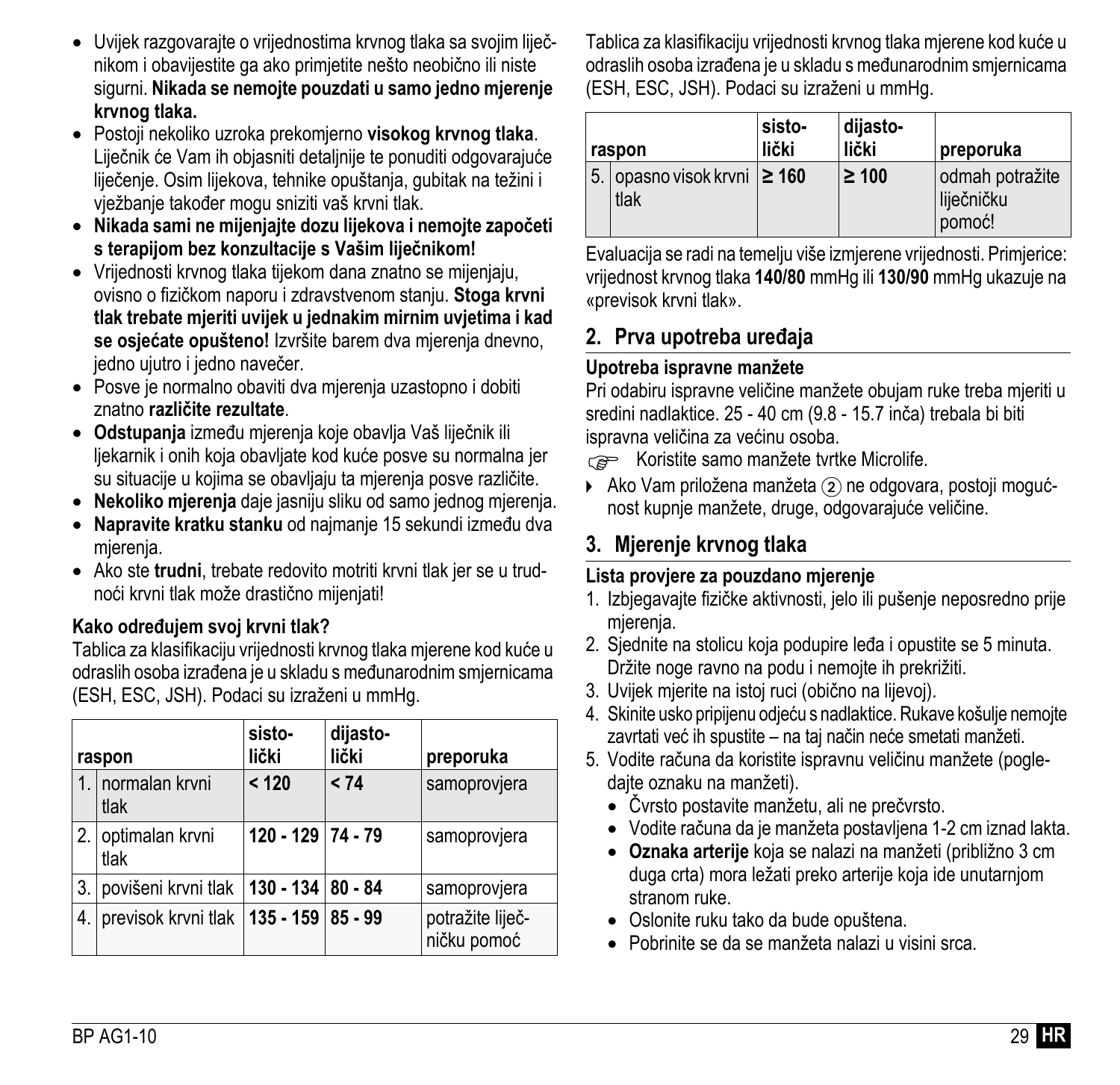- Uvijek razgovarajte o vrijednostima krvnog tlaka sa svojim liječnikom i obavijestite ga ako primjetite nešto neobično ili niste sigurni. **Nikada se nemojte pouzdati u samo jedno mjerenje krvnog tlaka.**
- Postoji nekoliko uzroka prekomjerno **visokog krvnog tlaka**. Liječnik će Vam ih objasniti detaljnije te ponuditi odgovarajuće liječenje. Osim lijekova, tehnike opuštanja, gubitak na težini i vježbanje također mogu sniziti vaš krvni tlak.
- **Nikada sami ne mijenjajte dozu lijekova i nemojte započeti s terapijom bez konzultacije s Vašim liječnikom!**
- Vrijednosti krvnog tlaka tijekom dana znatno se mijenjaju, ovisno o fizičkom naporu i zdravstvenom stanju. **Stoga krvni tlak trebate mjeriti uvijek u jednakim mirnim uvjetima i kad se osjećate opušteno!** Izvršite barem dva mjerenja dnevno, jedno ujutro i jedno navečer.
- Posve je normalno obaviti dva mierenja uzastopno i dobiti znatno **različite rezultate**.
- **Odstupanja** između mjerenja koje obavlja Vaš liječnik ili ljekarnik i onih koja obavljate kod kuće posve su normalna jer su situacije u kojima se obavljaju ta mjerenja posve različite.
- **Nekoliko mjerenja** daje jasniju sliku od samo jednog mjerenja.
- **Napravite kratku stanku** od najmanje 15 sekundi između dva mjerenja.
- Ako ste **trudni**, trebate redovito motriti krvni tlak jer se u trudnoći krvni tlak može drastično mijenjati!

#### **Kako određujem svoj krvni tlak?**

Tablica za klasifikaciju vrijednosti krvnog tlaka mjerene kod kuće u odraslih osoba izrađena je u skladu s međunarodnim smjernicama (ESH, ESC, JSH). Podaci su izraženi u mmHg.

|                  | raspon                  | sisto-<br>lički     | dijasto-<br>lički | preporuka                       |
|------------------|-------------------------|---------------------|-------------------|---------------------------------|
| $\mathbf{1}$ .   | normalan krvni<br>tlak  | < 120               | < 74              | samoproviera                    |
| 2.               | optimalan krvni<br>tlak | 120 129 74 79       |                   | samoproviera                    |
| 3.               | povišeni krvni tlak     | 130 - 134   80 - 84 |                   | samoproviera                    |
| $\overline{4}$ . | previsok krvni tlak     | 135 - 159 85 - 99   |                   | potražite liječ-<br>ničku pomoć |

Tablica za klasifikaciju vrijednosti krvnog tlaka mjerene kod kuće u odraslih osoba izrađena je u skladu s međunarodnim smjernicama (ESH, ESC, JSH). Podaci su izraženi u mmHg.

|    | raspon                                  | sisto-<br>lički | dijasto-<br>lički | preporuka                               |
|----|-----------------------------------------|-----------------|-------------------|-----------------------------------------|
| 5. | opasno visok krvni $  \geq 160$<br>tlak |                 | $\geq 100$        | odmah potražite<br>liječničku<br>pomoć! |

Evaluacija se radi na temelju više izmjerene vrijednosti. Primjerice: vrijednost krvnog tlaka **140/80** mmHg ili **130/90** mmHg ukazuje na «previsok krvni tlak».

# **2. Prva upotreba uređaja**

## **Upotreba ispravne manžete**

Pri odabiru ispravne veličine manžete obujam ruke treba mjeriti u sredini nadlaktice. 25 - 40 cm (9.8 - 15.7 inča) trebala bi biti ispravna veličina za većinu osoba.

**Koristite samo manžete tvrtke Microlife.** 

Ako Vam priložena manžeta  $\Omega$  ne odgovara, postoji mogućnost kupnje manžete, druge, odgovarajuće veličine.

# **3. Mjerenje krvnog tlaka**

### **Lista provjere za pouzdano mjerenje**

- 1. Izbjegavajte fizičke aktivnosti, jelo ili pušenje neposredno prije mjerenja.
- 2. Sjednite na stolicu koja podupire leđa i opustite se 5 minuta. Držite noge ravno na podu i nemojte ih prekrižiti.
- 3. Uvijek mjerite na istoj ruci (obično na lijevoj).
- 4. Skinite usko pripijenu odjeću s nadlaktice. Rukave košulje nemojte zavrtati već ih spustite – na taj način neće smetati manžeti.
- 5. Vodite računa da koristite ispravnu veličinu manžete (pogledajte oznaku na manžeti).
	- Čvrsto postavite manžetu, ali ne prečvrsto.
	- Vodite računa da je manžeta postavljena 1-2 cm iznad lakta.
	- **Oznaka arterije** koja se nalazi na manžeti (približno 3 cm duga crta) mora ležati preko arterije koja ide unutarnjom stranom ruke.
	- Oslonite ruku tako da bude opuštena.
	- Pobrinite se da se manžeta nalazi u visini srca.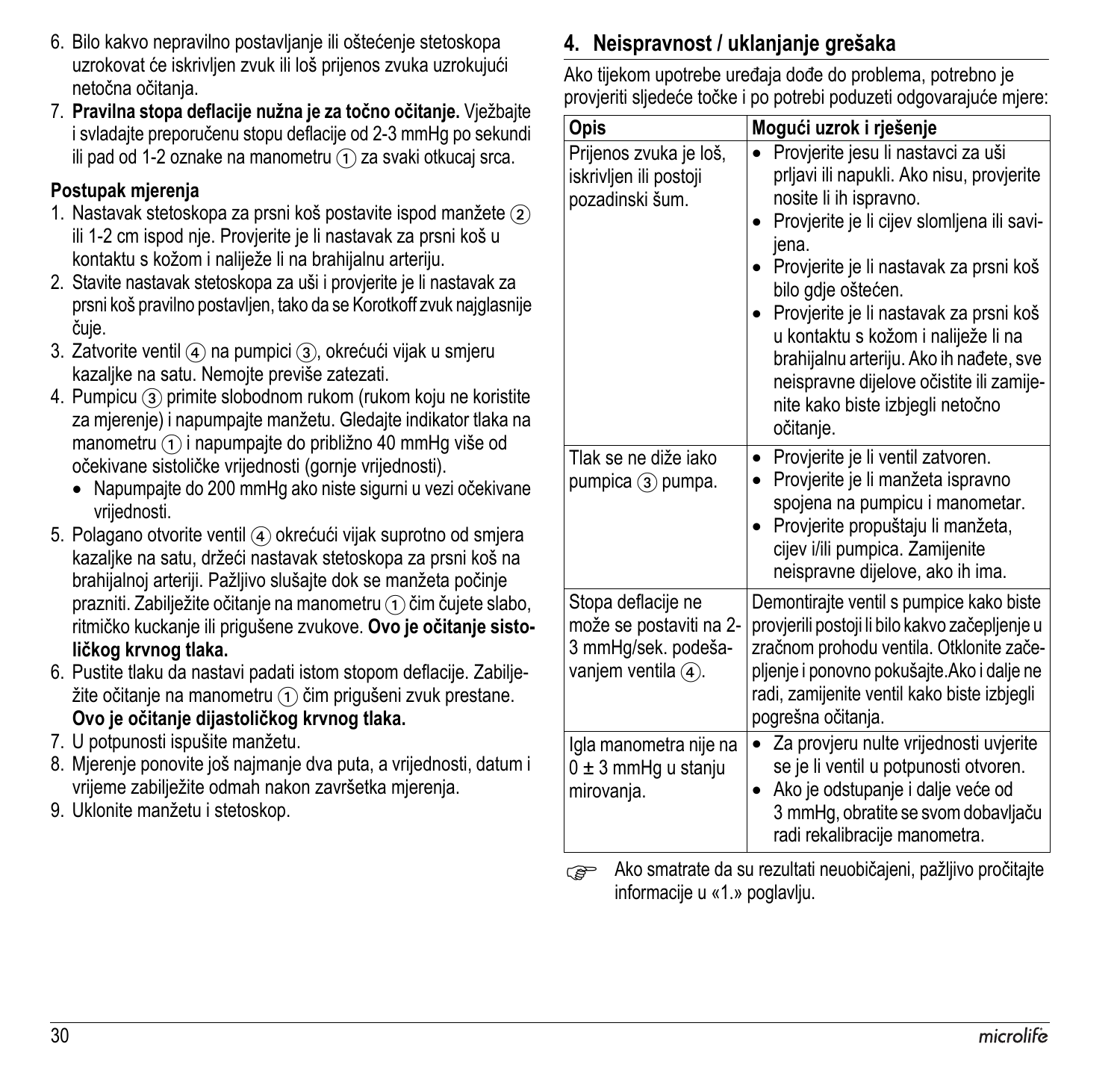- 6. Bilo kakvo nepravilno postavljanje ili oštećenje stetoskopa uzrokovat će iskrivljen zvuk ili loš prijenos zvuka uzrokujući netočna očitanja.
- 7. **Pravilna stopa deflacije nužna je za točno očitanje.** Vježbajte i svladajte preporučenu stopu deflacije od 2-3 mmHg po sekundi ili pad od 1-2 oznake na manometru  $\Omega$  za svaki otkucaj srca.

## **Postupak mjerenja**

- 1. Nastavak stetoskopa za prsni koš postavite ispod manžete 2 ili 1-2 cm ispod nje. Provjerite je li nastavak za prsni koš u kontaktu s kožom i naliježe li na brahijalnu arteriju.
- 2. Stavite nastavak stetoskopa za uši i provjerite je li nastavak za prsni koš pravilno postavljen, tako da se Korotkoff zvuk najglasnije čuje.
- 3. Zatvorite ventil  $\overline{4}$  na pumpici  $\overline{3}$ , okrećući vijak u smjeru kazaljke na satu. Nemojte previše zatezati.
- 4. Pumpicu 3 primite slobodnom rukom (rukom koju ne koristite za mjerenje) i napumpajte manžetu. Gledajte indikator tlaka na manometru  $\Omega$  i napumpajte do približno 40 mmHg više od očekivane sistoličke vrijednosti (gornje vrijednosti).
	- Napumpajte do 200 mmHg ako niste sigurni u vezi očekivane vrijednosti.
- 5. Polagano otvorite ventil 4 okrećući vijak suprotno od smjera kazaljke na satu, držeći nastavak stetoskopa za prsni koš na brahijalnoj arteriji. Pažljivo slušajte dok se manžeta počinje prazniti. Zabilježite očitanje na manometru  $(1)$  čim čujete slabo, ritmičko kuckanje ili prigušene zvukove. **Ovo je očitanje sistoličkog krvnog tlaka.**
- 6. Pustite tlaku da nastavi padati istom stopom deflacije. Zabilježite očitanje na manometru (1) čim prigušeni zvuk prestane. **Ovo je očitanje dijastoličkog krvnog tlaka.**
- 7. U potpunosti ispušite manžetu.
- 8. Mjerenje ponovite još najmanje dva puta, a vrijednosti, datum i vrijeme zabilježite odmah nakon završetka mjerenja.
- 9. Uklonite manžetu i stetoskop.

# **4. Neispravnost / uklanjanje grešaka**

Ako tijekom upotrebe uređaja dođe do problema, potrebno je provjeriti sljedeće točke i po potrebi poduzeti odgovarajuće mjere:

| <b>Opis</b>                                                                                 | Mogući uzrok i rješenje                                                                                                                                                                                                                                                                                                                                                                                                                                   |
|---------------------------------------------------------------------------------------------|-----------------------------------------------------------------------------------------------------------------------------------------------------------------------------------------------------------------------------------------------------------------------------------------------------------------------------------------------------------------------------------------------------------------------------------------------------------|
| Prijenos zvuka je loš,<br>iskrivljen ili postoji<br>pozadinski šum.                         | Provjerite jesu li nastavci za uši<br>prljavi ili napukli. Ako nisu, provjerite<br>nosite li ih ispravno.<br>Provjerite je li cijev slomljena ili savi-<br>jena.<br>Provjerite je li nastavak za prsni koš<br>bilo gdje oštećen.<br>Provjerite je li nastavak za prsni koš<br>u kontaktu s kožom i naliježe li na<br>brahijalnu arteriju. Ako ih nađete, sve<br>neispravne dijelove očistite ili zamije-<br>nite kako biste izbjegli netočno<br>očitanje. |
| Tlak se ne diže jako<br>pumpica (3) pumpa.                                                  | Provjerite je li ventil zatvoren.<br>Provjerite je li manžeta ispravno<br>spojena na pumpicu i manometar.<br>Provjerite propuštaju li manžeta,<br>cijev i/ili pumpica. Zamijenite<br>neispravne dijelove, ako ih ima.                                                                                                                                                                                                                                     |
| Stopa deflacije ne<br>može se postaviti na 2-<br>3 mmHg/sek. podeša-<br>vanjem ventila (4). | Demontirajte ventil s pumpice kako biste<br>provjerili postoji li bilo kakvo začepljenje u<br>zračnom prohodu ventila. Otklonite zače-<br>pljenje i ponovno pokušajte. Ako i dalje ne<br>radi, zamijenite ventil kako biste izbjegli<br>pogrešna očitanja.                                                                                                                                                                                                |
| Igla manometra nije na<br>$0 \pm 3$ mmHg u stanju<br>mirovanja.                             | Za provjeru nulte vrijednosti uvjerite<br>se je li ventil u potpunosti otvoren.<br>Ako je odstupanje i dalje veće od<br>3 mmHg, obratite se svom dobavljaču<br>radi rekalibracije manometra.                                                                                                                                                                                                                                                              |

Ako smatrate da su rezultati neuobičajeni, pažlijvo pročitajte informacije u «1.» poglavlju.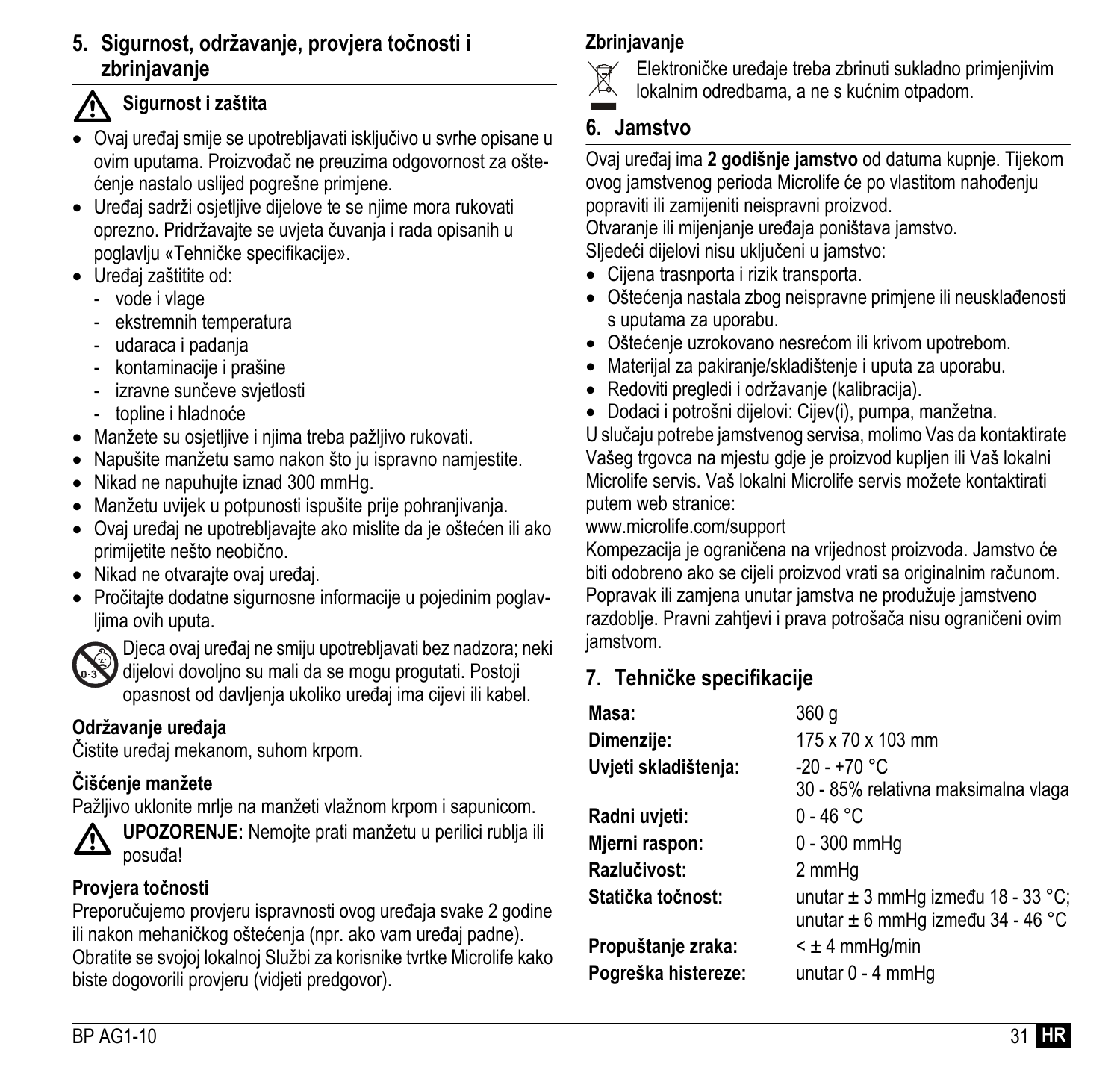## **5. Sigurnost, održavanje, provjera točnosti i zbrinjavanje**

#### Л **Sigurnost i zaštita**

- Ovaj uređaj smije se upotrebljavati isključivo u svrhe opisane u ovim uputama. Proizvođač ne preuzima odgovornost za oštećenje nastalo uslijed pogrešne primjene.
- Uređaj sadrži osjetljive dijelove te se njime mora rukovati oprezno. Pridržavajte se uvjeta čuvanja i rada opisanih u poglavlju «Tehničke specifikacije».
- Uređaj zaštitite od:
	- vode i vlage
	- ekstremnih temperatura
	- udaraca i padanja
	- kontaminacije i prašine
	- izravne sunčeve svjetlosti
	- topline i hladnoće
- Manžete su osietlijve i nijma treba pažlijvo rukovati.
- Napušite manžetu samo nakon što ju ispravno namjestite.
- Nikad ne napuhujte iznad 300 mmHg.
- Manžetu uvijek u potpunosti ispušite prije pohranjivanja.
- Ovaj uređaj ne upotrebljavajte ako mislite da je oštećen ili ako primijetite nešto neobično.
- Nikad ne otvarajte ovaj uređaj.
- Pročitajte dodatne sigurnosne informacije u pojedinim poglavliima ovih uputa.



Djeca ovaj uređaj ne smiju upotrebljavati bez nadzora; neki dijelovi dovoljno su mali da se mogu progutati. Postoji opasnost od davljenja ukoliko uređaj ima cijevi ili kabel.

# **Održavanje uređaja**

Čistite uređaj mekanom, suhom krpom.

# **Čišćenje manžete**

Pažljivo uklonite mrlje na manžeti vlažnom krpom i sapunicom.



 **UPOZORENJE:** Nemojte prati manžetu u perilici rublja ili posuđa!

# **Provjera točnosti**

Preporučujemo provjeru ispravnosti ovog uređaja svake 2 godine ili nakon mehaničkog oštećenja (npr. ako vam uređaj padne). Obratite se svojoj lokalnoj Službi za korisnike tvrtke Microlife kako biste dogovorili provjeru (vidjeti predgovor).

# **Zbrinjavanje**

Elektroničke uređaje treba zbrinuti sukladno primjenjivim ∀₩

႓Ҳ lokalnim odredbama, a ne s kućnim otpadom.

# **6. Jamstvo**

Ovaj uređaj ima **2 godišnje jamstvo** od datuma kupnje. Tijekom ovog jamstvenog perioda Microlife će po vlastitom nahođenju popraviti ili zamijeniti neispravni proizvod.

Otvaranje ili mijenjanje uređaja poništava jamstvo.

Sljedeći dijelovi nisu uključeni u jamstvo:

- Cijena trasnporta i rizik transporta.
- Oštećenja nastala zbog neispravne primjene ili neusklađenosti s uputama za uporabu.
- Oštećenje uzrokovano nesrećom ili krivom upotrebom.
- Materijal za pakiranje/skladištenje i uputa za uporabu.
- Redoviti pregledi i održavanje (kalibracija).
- Dodaci i potrošni dijelovi: Cijev(i), pumpa, manžetna.

U slučaju potrebe jamstvenog servisa, molimo Vas da kontaktirate Vašeg trgovca na mjestu gdje je proizvod kupljen ili Vaš lokalni Microlife servis. Vaš lokalni Microlife servis možete kontaktirati putem web stranice:

## www.microlife.com/support

Kompezacija je ograničena na vrijednost proizvoda. Jamstvo će biti odobreno ako se cijeli proizvod vrati sa originalnim računom. Popravak ili zamjena unutar jamstva ne produžuje jamstveno razdoblje. Pravni zahtjevi i prava potrošača nisu ograničeni ovim jamstvom.

# **7. Tehničke specifikacije**

| Masa:<br>Dimenzije:<br>Uvjeti skladištenja:                          | 360q<br>175 x 70 x 103 mm<br>$-20 - +70$ °C<br>30 - 85% relativna maksimalna vlaga |
|----------------------------------------------------------------------|------------------------------------------------------------------------------------|
| Radni uvjeti:<br>Mjerni raspon:<br>Razlučivost:<br>Statička točnost: | $0 - 46 °C$<br>$0 - 300$ mmHq<br>2 mmHq<br>unutar $\pm$ 3 mmHg između 18 - 33 °C;  |
| Propuštanje zraka:<br>Pogreška histereze:                            | unutar ± 6 mmHg između 34 - 46 °C<br>$\leq \pm 4$ mmHq/min<br>unutar 0 - 4 mmHq    |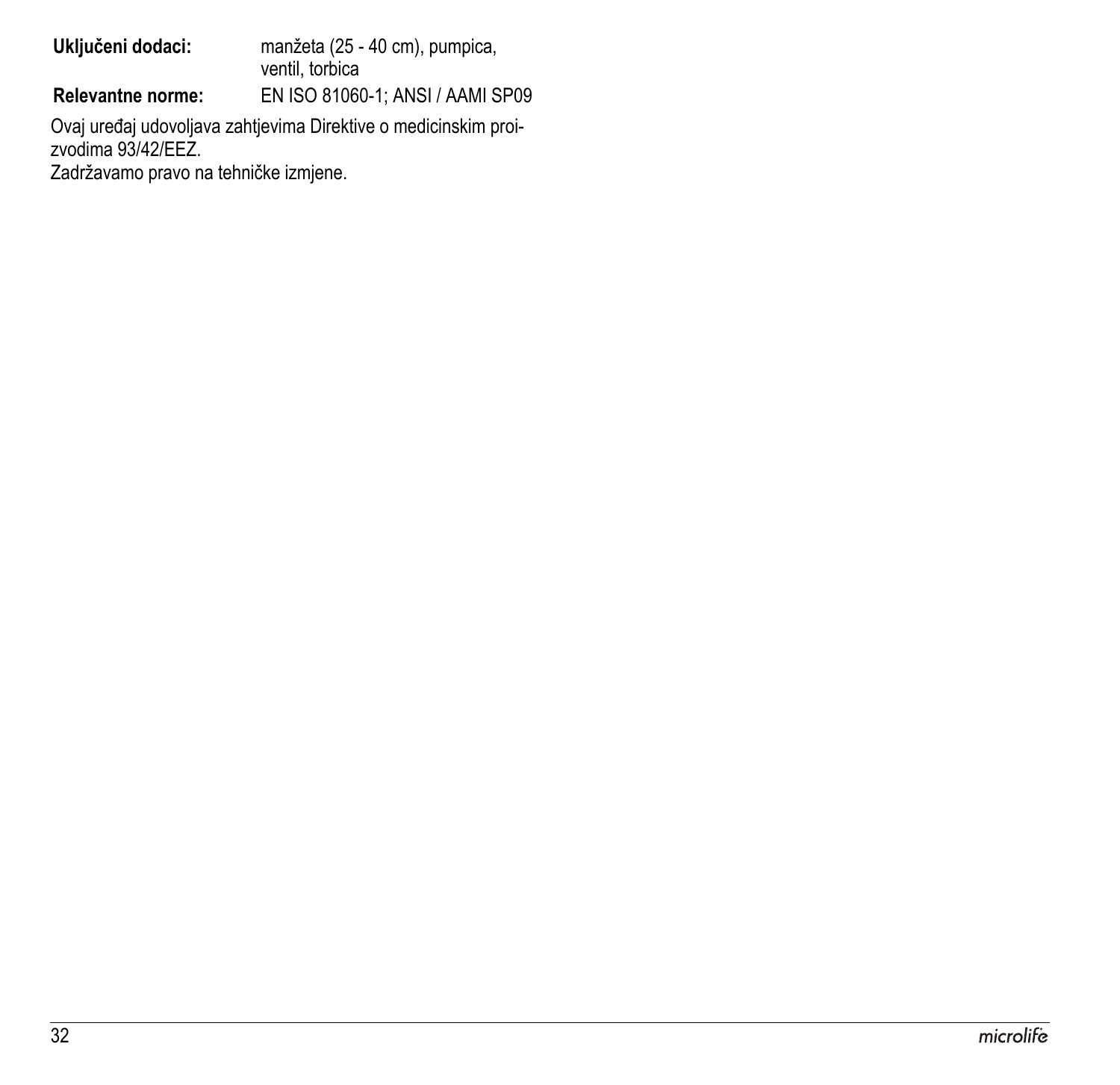**Uključeni dodaci:** manžeta (25 - 40 cm), pumpica, ventil, torbica **Relevantne norme:** EN ISO 81060-1; ANSI / AAMI SP09

Ovaj uređaj udovoljava zahtjevima Direktive o medicinskim proizvodima 93/42/EEZ. Zadržavamo pravo na tehničke izmjene.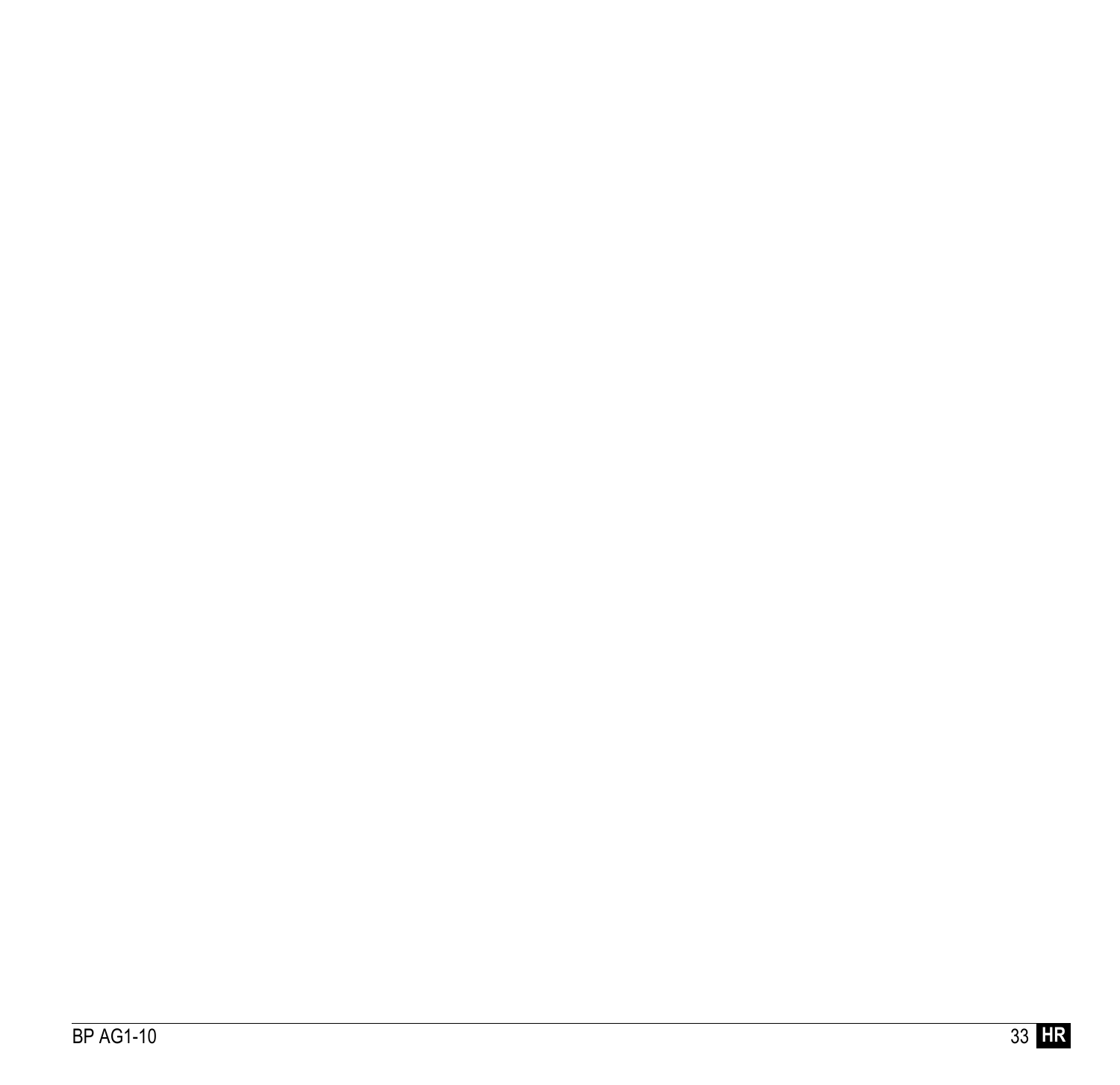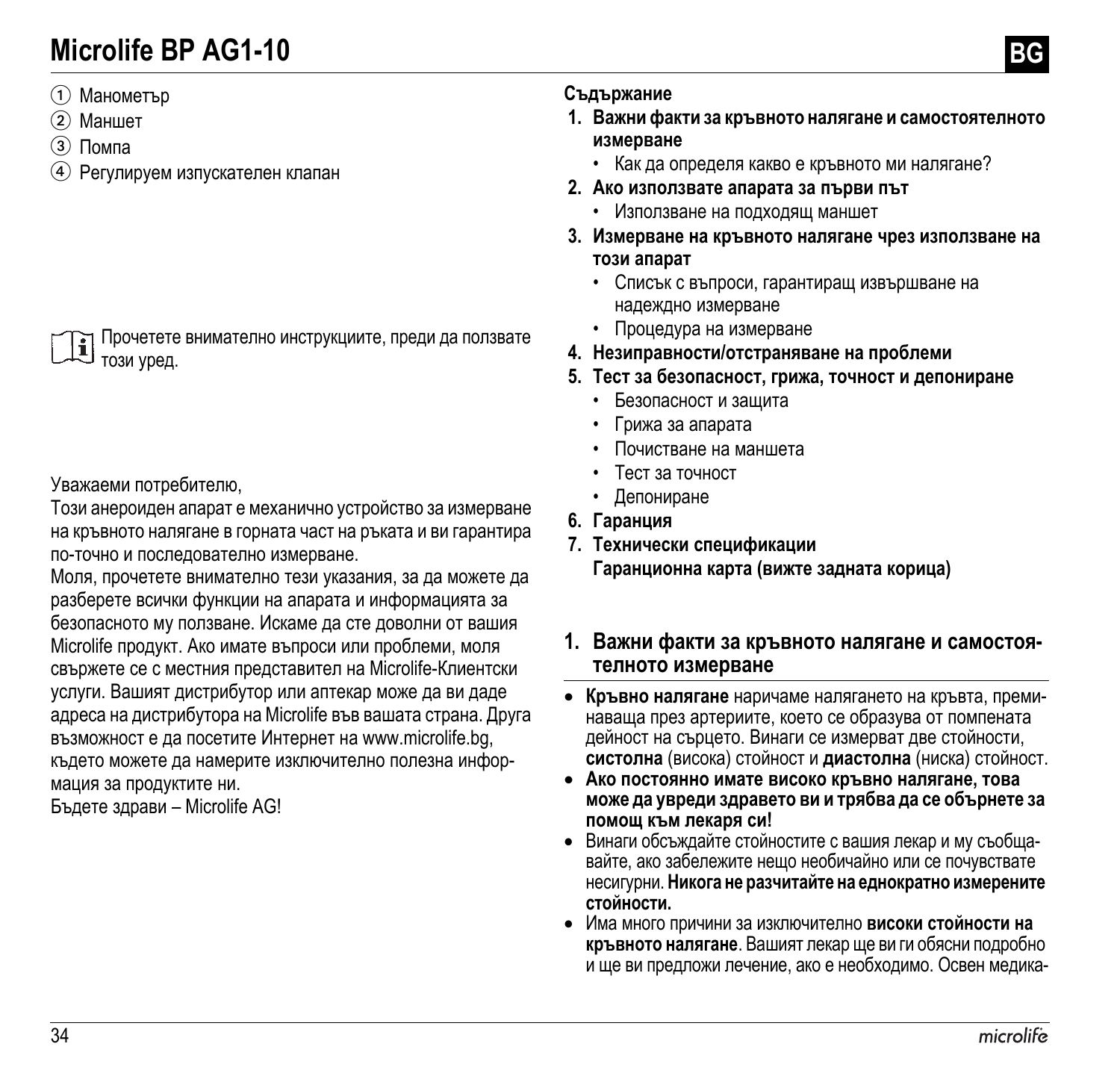# **Microlife BP AG1-10 BG**

- 1 Манометър
- $(2)$  Маншет
- 3 Помпа
- 4 Регулируем изпускателен клапан

Прочетете внимателно инструкциите, преди да ползвате този уред.

## Уважаеми потребителю,

Този анероиден апарат е механично устройство за измерване на кръвното налягане в горната част на ръката и ви гарантира по-точно и последователно измерване.

Моля, прочетете внимателно тези указания, за да можете да разберете всички функции на апарата и информацията за безопасното му ползване. Искаме да сте доволни от вашия Microlife продукт. Ако имате въпроси или проблеми, моля свържете се с местния представител на Microlife-Клиентски услуги. Вашият дистрибутор или аптекар може да ви даде адреса на дистрибутора на Microlife във вашата страна. Друга възможност е да посетите Интернет на www.microlife.bg, където можете да намерите изключително полезна информация за продуктите ни.

Бъдете здрави – Microlife AG!

# **Съдържание**

- **1. Важни факти за кръвното налягане и самостоятелното измерване**
	- Как да определя какво е кръвното ми налягане?
- **2. Ако използвате апарата за първи път**
	- Използване на подходящ маншет
- **3. Измерване на кръвното налягане чрез използване на този апарат**
	- Списък с въпроси, гарантиращ извършване на надеждно измерване
	- Процедура на измерване
- **4. Незиправности/отстраняване на проблеми**
- **5. Тест за безопасност, грижа, точност и депониране**
	- Безопасност и защита
	- Грижа за апарата
	- ï Почистване на маншета
	- Тест за точност
	- **Депониране**
- **6. Гаранция**
- **7. Технически спецификации**

**Гаранционна карта (вижте задната корица)**

#### **1. Важни факти за кръвното налягане и самостоятелното измерване**

- **Кръвно налягане** наричаме налягането на кръвта, преминаваща през артериите, което се образува от помпената дейност на сърцето. Винаги се измерват две стойности, **систолна** (висока) стойност и **диастолна** (ниска) стойност.
- **Ако постоянно имате високо кръвно налягане, това може да увреди здравето ви и трябва да се обърнете за помощ към лекаря си!**
- Винаги обсъждайте стойностите с вашия лекар и му съобщавайте, ако забележите нещо необичайно или се почувствате несигурни. **Никога не разчитайте на еднократно измерените стойности.**
- Има много причини за изключително **високи стойности на кръвното налягане**. Вашият лекарще ви ги обясни подробно и ще ви предложи лечение, ако е необходимо. Освен медика-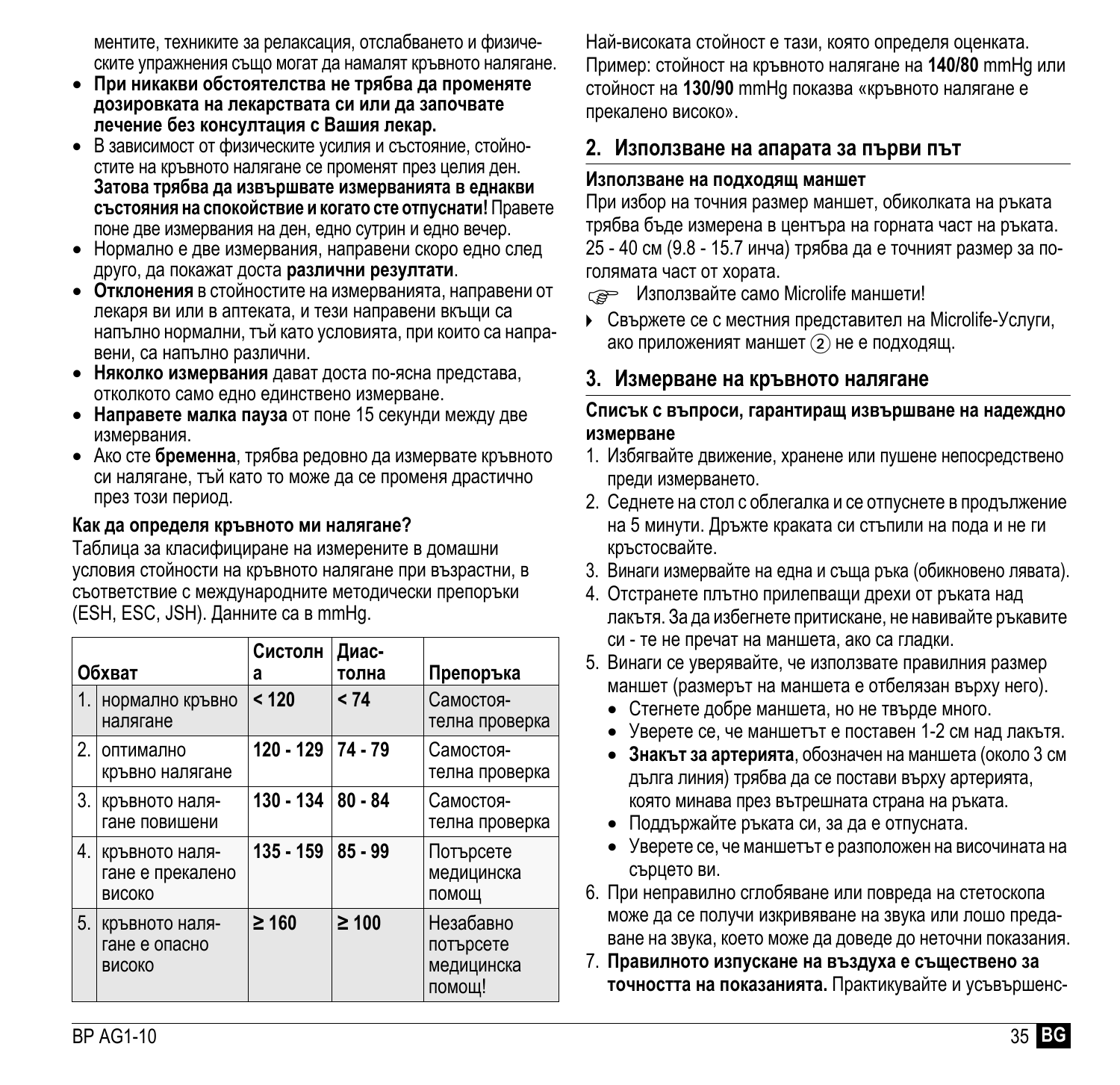ментите, техниките за релаксация, отслабването и физическите упражнения също могат да намалят кръвното налягане.

- **При никакви обстоятелства не трябва да променяте дозировката на лекарствата си или да започвате лечение без консултация с Вашия лекар.**
- В зависимост от физическите усилия и състояние, стойностите на кръвното налягане се променят през целия ден. **Затова трябва да извършвате измерванията в еднакви състояния на спокойствие и когато сте отпуснати!** Правете поне две измервания на ден, едно сутрин и едно вечер.
- Нормално е две измервания, направени скоро едно след друго, да покажат доста **различни резултати**.
- **Отклонения** в стойностите на измерванията, направени от лекаря ви или в аптеката, и тези направени вкъщи са напълно нормални, тъй като условията, при които са направени, са напълно различни.
- **Няколко измервания** дават доста по-ясна представа, отколкото само едно единствено измерване.
- **Направете малка пауза** от поне 15 секунди между две измервания.
- Ако сте **бременна**, трябва редовно да измервате кръвното си налягане, тъй като то може да се променя драстично през този период.

#### **Как да определя кръвното ми налягане?**

Таблица за класифициране на измерените в домашни условия стойности на кръвното налягане при възрастни, в съответствие с международните методически препоръки (ESH, ESC, JSH). Данните са в mmHg.

|                  | Обхват                                           | Систолн<br>a | Диас-<br>толна | Препоръка                                      |
|------------------|--------------------------------------------------|--------------|----------------|------------------------------------------------|
|                  | 1. нормално кръвно<br>налягане                   | < 120        | < 74           | Самостоя-<br>телна проверка                    |
| $\overline{2}$ . | оптимално<br>кръвно налягане                     | 120 - 129    | $74 - 79$      | Самостоя-<br>телна проверка                    |
| 3.               | кръвното наля-<br>гане повишени                  | 130 - 134    | 80 - 84        | Самостоя-<br>телна проверка                    |
| 4.               | кръвното наля-<br>гане е прекалено<br>ВИСОКО     | $135 - 159$  | $85 - 99$      | Потърсете<br>медицинска<br>помощ               |
| 5.               | кръвното наля-<br>гане е опасно<br><b>ВИСОКО</b> | $\geq 160$   | $\geq 100$     | Незабавно<br>потърсете<br>медицинска<br>помощ! |

Най-високата стойност е тази, която определя оценката. Пример: стойност на кръвното налягане на **140/80** mmHg или стойност на **130/90** mmHg показва «кръвното налягане е прекалено високо».

#### **2. Използване на апарата за първи път**

#### **Използване на подходящ маншет**

При избор на точния размер маншет, обиколката на ръката трябва бъде измерена в центъра на горната част на ръката. 25 - 40 см (9.8 - 15.7 инча) трябва да е точният размер за поголямата част от хората.

**ВАЗПОЛЗВАЙТЕ САМО Microlife маншети!** 

 Свържете се с местния представител на Microlife-Услуги, ако приложеният маншет (2) не е подходящ.

## **3. Измерване на кръвното налягане**

#### **Списък с въпроси, гарантиращ извършване на надеждно измерване**

- 1. Избягвайте движение, хранене или пушене непосредствено преди измерването.
- 2. Седнете на стол с облегалка и се отпуснете в продължение на 5 минути. Дръжте краката си стъпили на пода и не ги кръстосвайте.
- 3. Винаги измервайте на една и съща ръка (обикновено лявата).
- 4. Отстранете плътно прилепващи дрехи от ръката над лакътя. За да избегнете притискане, не навивайте ръкавите си - те не пречат на маншета, ако са гладки.
- 5. Винаги се уверявайте, че използвате правилния размер маншет (размерът на маншета е отбелязан върху него).
	- Стегнете добре маншета, но не твърде много.
	- Уверете се, че маншетът е поставен 1-2 см над лакътя.
	- **Знакът за артерията**, обозначен на маншета (около 3 см дълга линия) трябва да се постави върху артерията, която минава през вътрешната страна на ръката.
	- Поддържайте ръката си, за да е отпусната.
	- Уверете се, че маншетът е разположен на височината на сърцето ви.
- 6. При неправилно сглобяване или повреда на стетоскопа може да се получи изкривяване на звука или лошо предаване на звука, което може да доведе до неточни показания.
- 7. **Правилното изпускане на въздуха е съществено за точността на показанията.** Практикувайте и усъвършенс-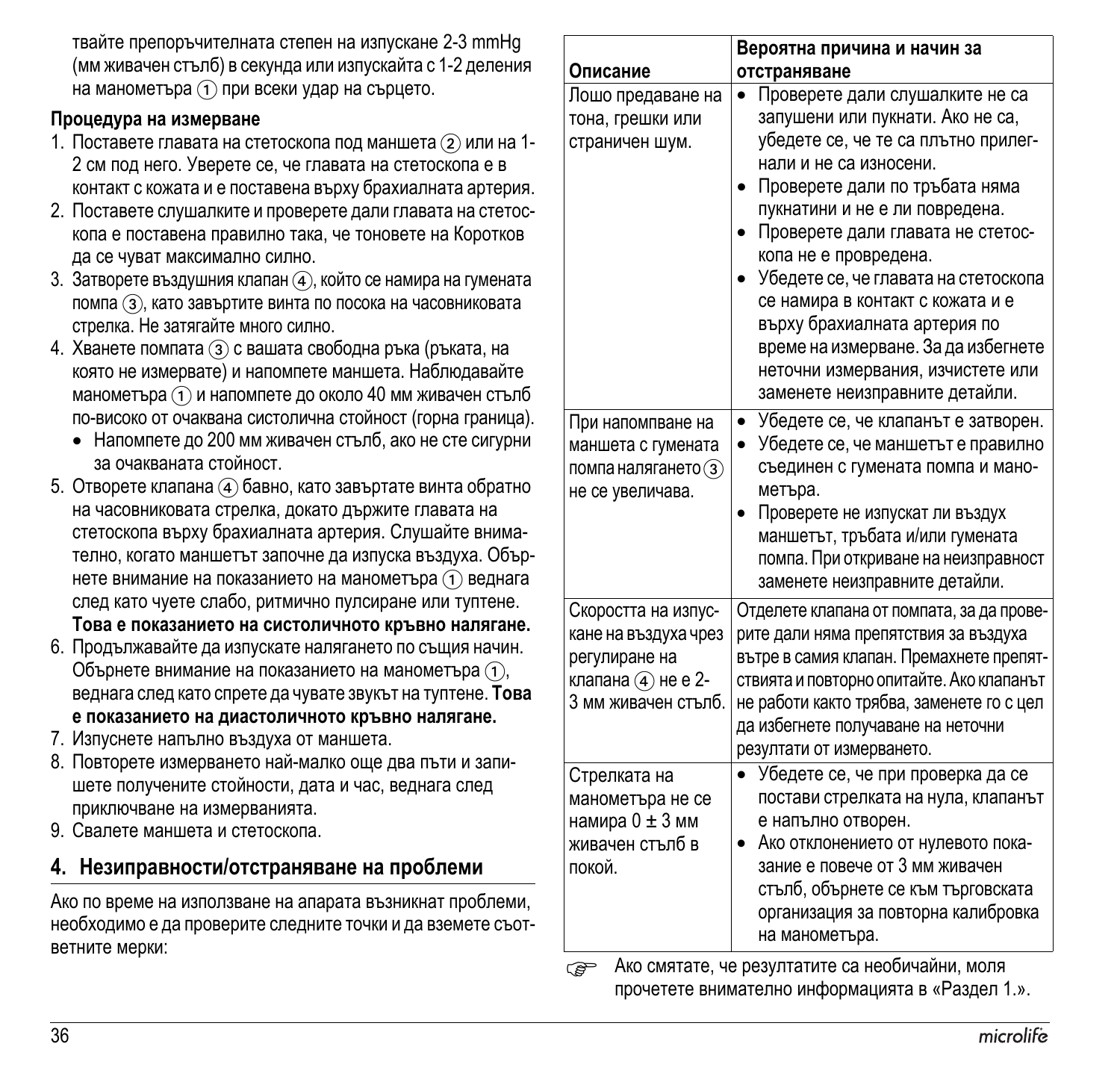твайте препоръчителната степен на изпускане 2-3 mmHg (мм живачен стълб) в секунда или изпускайта с 1-2 деления на манометъра (1) при всеки удар на сърцето.

#### **Процедура на измерване**

- 1. Поставете главата на стетоскопа под маншета (2) или на 1-2 см под него. Уверете се, че главата на стетоскопа е в контакт с кожата и е поставена върху брахиалната артерия.
- 2. Поставете слушалките и проверете дали главата на стетоскопа е поставена правилно така, че тоновете на Коротков да се чуват максимално силно.
- 3. Затворете въздушния клапан  $\widehat{4}$ , който се намира на гумената помпа  $(3)$ , като завъртите винта по посока на часовниковата стрелка. Не затягайте много силно.
- 4. Хванете помпата (3) с вашата свободна ръка (ръката, на която не измервате) и напомпете маншета. Наблюдавайте манометъра  $\overline{1}$  и напомпете до около 40 мм живачен стълб по-високо от очаквана систолична стойност (горна граница).
	- Напомпете до 200 мм живачен стълб, ако не сте сигурни за очакваната стойност.
- 5. Отворете клапана 4 бавно, като завъртате винта обратно на часовниковата стрелка, докато държите главата на стетоскопа върху брахиалната артерия. Слушайте внимателно, когато маншетът започне да изпуска въздуха. Обърнете внимание на показанието на манометъра  $\widehat{1}$  веднага след като чуете слабо, ритмично пулсиране или туптене.

#### **Това е показанието на систоличното кръвно налягане.**

- 6. Продължавайте да изпускате налягането по същия начин. Обърнете внимание на показанието на манометъра  $(1)$ . веднага след като спрете да чувате звукът на туптене. **Това е показанието на диастоличното кръвно налягане.**
- 7. Изпуснете напълно въздуха от маншета.
- 8. Повторете измерването най-малко още два пъти и запишете получените стойности, дата и час, веднага след приключване на измерванията.
- 9. Свалете маншета и стетоскопа.

# **4. Незиправности/отстраняване на проблеми**

Ако по време на използване на апарата възникнат проблеми, необходимо е да проверите следните точки и да вземете съответните мерки:

|                                                                                                            | Вероятна причина и начин за                                                                                                                                                                                                                                                                                                                                                                                                                                                                                   |
|------------------------------------------------------------------------------------------------------------|---------------------------------------------------------------------------------------------------------------------------------------------------------------------------------------------------------------------------------------------------------------------------------------------------------------------------------------------------------------------------------------------------------------------------------------------------------------------------------------------------------------|
| Описание                                                                                                   | отстраняване                                                                                                                                                                                                                                                                                                                                                                                                                                                                                                  |
| Лошо предаване на<br>тона, грешки или<br>страничен шум.                                                    | Проверете дали слушалките не са<br>$\bullet$<br>запушени или пукнати. Ако не са,<br>убедете се, че те са плътно прилег-<br>нали и не са износени.<br>Проверете дали по тръбата няма<br>пукнатини и не е ли повредена.<br>Проверете дали главата не стетос-<br>копа не е провредена.<br>Убедете се, че главата на стетоскопа<br>се намира в контакт с кожата и е<br>върху брахиалната артерия по<br>време на измерване. За да избегнете<br>неточни измервания, изчистете или<br>заменете неизправните детайли. |
| При напомпване на<br>маншета с гумената<br>помпа налягането (3)<br>не се увеличава.                        | Убедете се, че клапанът е затворен.<br>٠<br>Убедете се, че маншетът е правилно<br>٠<br>съединен с гумената помпа и мано-<br>метъра.<br>Проверете не изпускат ли въздух<br>маншетът, тръбата и/или гумената<br>помпа. При откриване на неизправност<br>заменете неизправните детайли.                                                                                                                                                                                                                          |
| Скоростта на изпус-<br>кане на въздуха чрез<br>регулиране на<br>клапана (4) не е 2-<br>3 мм живачен стълб. | Отделете клапана от помпата, за да прове-<br>рите дали няма препятствия за въздуха<br>вътре в самия клапан. Премахнете препят-<br>ствията и повторно опитайте. Ако клапанът<br>не работи както трябва, заменете го с цел<br>да избегнете получаване на неточни<br>резултати от измерването.                                                                                                                                                                                                                   |
| Стрелката на<br>манометъра не се<br>намира 0 ± 3 мм<br>живачен стълб в<br>покой.                           | Убедете се, че при проверка да се<br>постави стрелката на нула, клапанът<br>е напълно отворен.<br>Ако отклонението от нулевото пока-<br>зание е повече от 3 мм живачен<br>стълб, обърнете се към търговската<br>организация за повторна калибровка<br>на манометъра.                                                                                                                                                                                                                                          |

**Ако смятате, че резултатите са необичайни, моля** прочетете внимателно информацията в «Раздел 1.».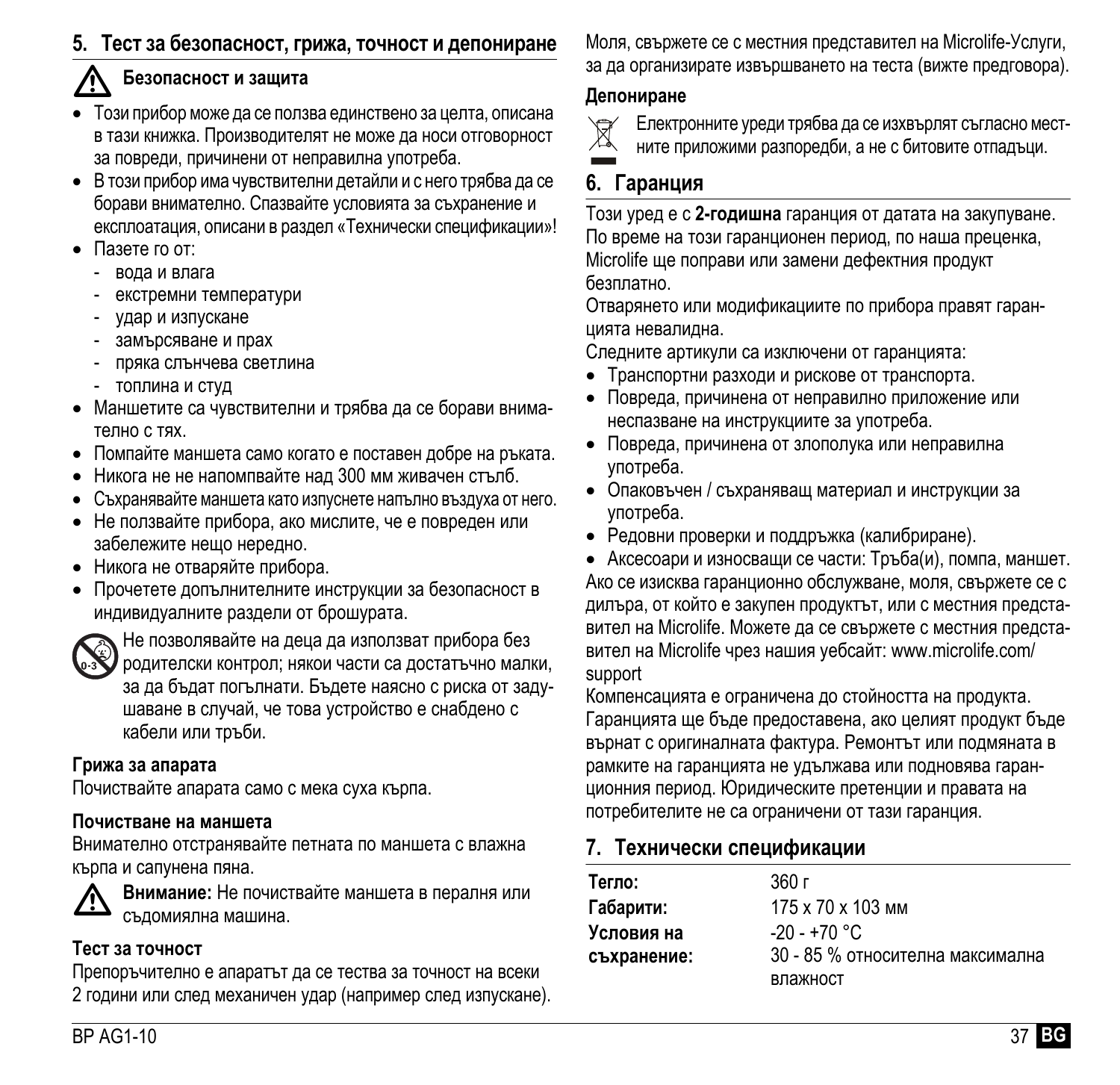# **5. Тест за безопасност, грижа, точност и депониране**

#### $\overline{\mathbb{A}}$ **Безопасност и защита**

- Този прибор може да се ползва единствено за целта, описана в тази книжка. Производителят не може да носи отговорност за повреди, причинени от неправилна употреба.
- В този прибор има чувствителни детайли и с него трябва да се борави внимателно. Спазвайте условията за съхранение и експлоатация, описани в раздел «Технически спецификации»!
- Пазете го от:
	- вода и влага
	- екстремни температури
	- удар и изпускане
	- замърсяване и прах
	- пряка слънчева светлина
	- топлина и студ
- Маншетите са чувствителни и трябва да се борави внимателно с тях.
- Помпайте маншета само когато е поставен добре на ръката.
- Никога не не напомпвайте над 300 мм живачен стълб.
- Съхранявайте маншета като изпуснете напълно въздуха от него.
- Не ползвайте прибора, ако мислите, че е повреден или забележите нещо нередно.
- Никога не отваряйте прибора.
- Прочетете допълнителните инструкции за безопасност в индивидуалните раздели от брошурата.



Не позволявайте на деца да използват прибора без **Водителски контрол; някои части са достатъчно малки, в село се достатъчно малки, са село се так се так се так** за да бъдат погълнати. Бъдете наясно с риска от задушаване в случай, че това устройство е снабдено с кабели или тръби.

### **Грижа за апарата**

Почиствайте апарата само с мека суха кърпа.

#### **Почистване на маншета**

Внимателно отстранявайте петната по маншета с влажна кърпа и сапунена пяна.



 **Внимание:** Не почиствайте маншета <sup>в</sup> пералня или съдомиялна машина.

#### **Тест за точност**

Препоръчително е апаратът да се тества за точност на всеки 2 години или след механичен удар (например след изпускане). Моля, свържете се с местния представител на Microlife-Услуги, за да организирате извършването на теста (вижте предговора).

#### **Депониране**

 $\forall$ Eлектронните уреди трябва да се изхвърлят съгласно мест-

XX.

ните приложими разпоредби, а не с битовите отпадъци.

# **6. Гаранция**

Този уред e c **2-годишна** гаранция от датата на закупуване. По време на този гаранционен период, по наша преценка, Microlife ще поправи или замени дефектния продукт безплатно.

Отварянето или модификациите по прибора правят гаранцията невалидна.

Следните артикули са изключени от гаранцията:

- Транспортни разходи и рискове от транспорта.
- Повреда, причинена от неправилно приложение или неспазване на инструкциите за употреба.
- Повреда, причинена от злополука или неправилна употреба.
- Опаковъчен / съхраняващ материал и инструкции за употреба.
- Редовни проверки и поддръжка (калибриране).

 Аксесоари и износващи се части: Тръба(и), помпа, маншет. Ако се изисква гаранционно обслужване, моля, свържете се с дилъра, от който е закупен продуктът, или с местния представител на Microlife. Можете да се свържете с местния представител на Microlife чрез нашия уебсайт: www.microlife.com/ support

Компенсацията е ограничена до стойността на продукта. Гаранцията ще бъде предоставена, ако целият продукт бъде върнат с оригиналната фактура. Ремонтът или подмяната в рамките на гаранцията не удължава или подновява гаранционния период. Юридическите претенции и правата на потребителите не са ограничени от тази гаранция.

### **7. Технически спецификации**

| Тегло:      | 360 г                            |
|-------------|----------------------------------|
| Габарити:   | 175 x 70 x 103 MM                |
| Условия на  | $-20 - +70$ °C                   |
| съхранение: | 30 - 85 % относителна максимална |
|             | влажност                         |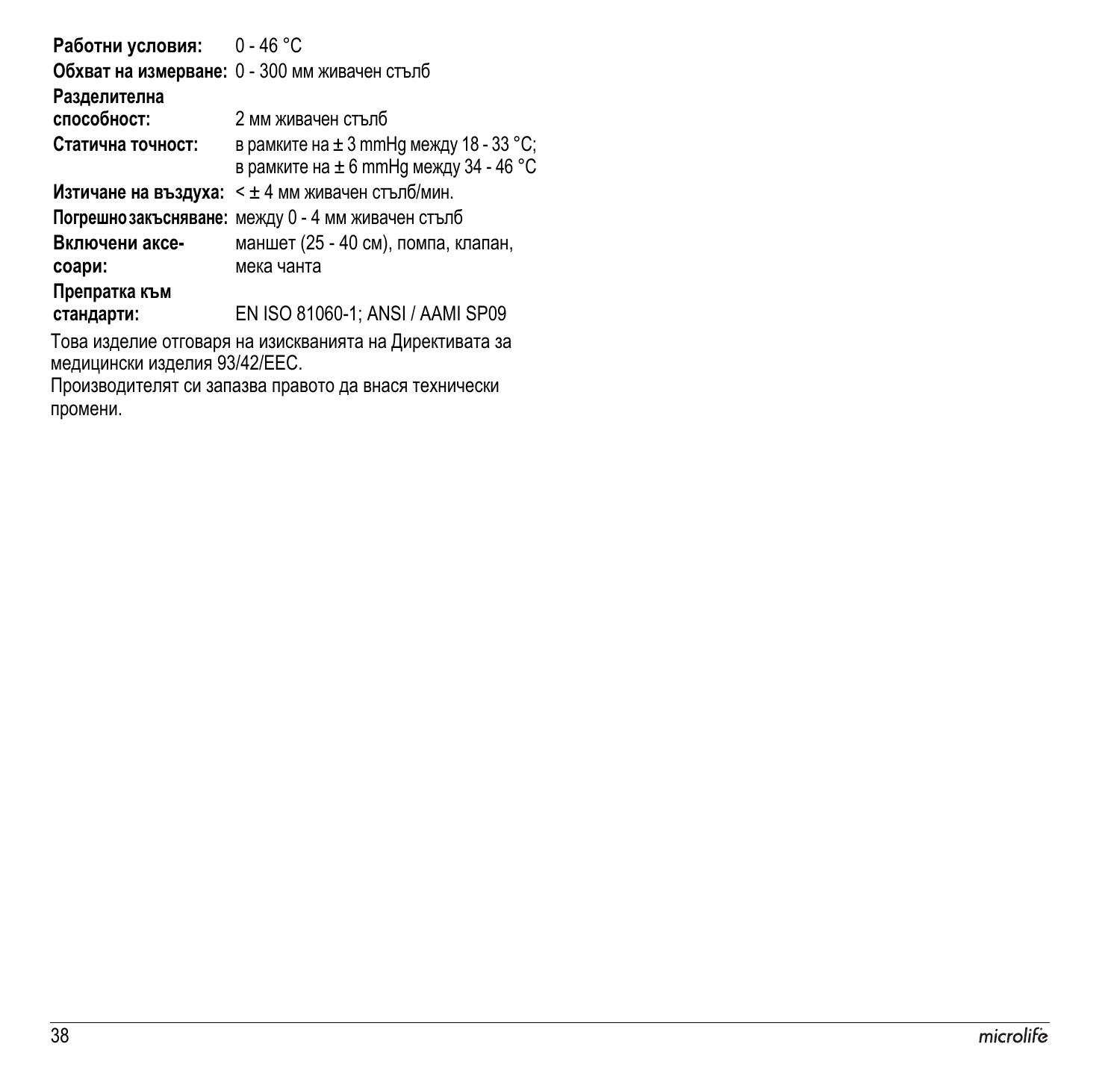Това изделие отговаря на изискванията на Директивата за медицински изделия 93/42/ЕЕС. **Работни условия:** 0 - 46 °C **Обхват на измерване:** 0 - 300 мм живачен стълб **Разделителна способност:** 2 мм живачен стълб **Статична точност:** в рамките на ± 3 mmHg между 18 - 33 °C; в рамките на ± 6 mmHg между 34 - 46 °C **Изтичане на въздуха:** < ± 4 мм живачен стълб/мин. **Погрешнозакъсняване:** между 0 - 4 мм живачен стълб **Включени аксесоари:** маншет (25 - 40 см), помпа, клапан, мека чанта **Препратка към стандарти:** EN ISO 81060-1; ANSI / AAMI SP09

Производителят си запазва правото да внася технически промени.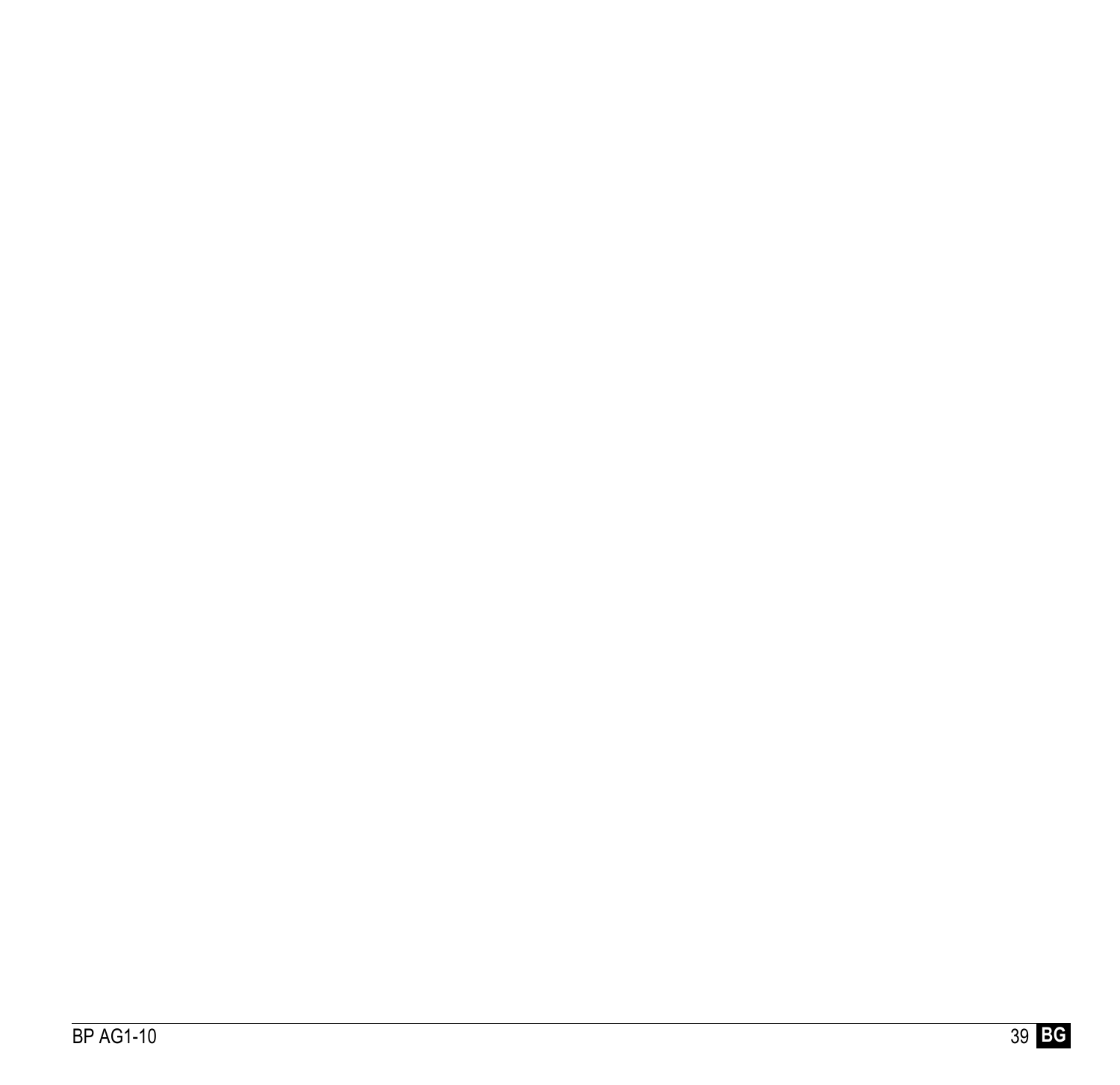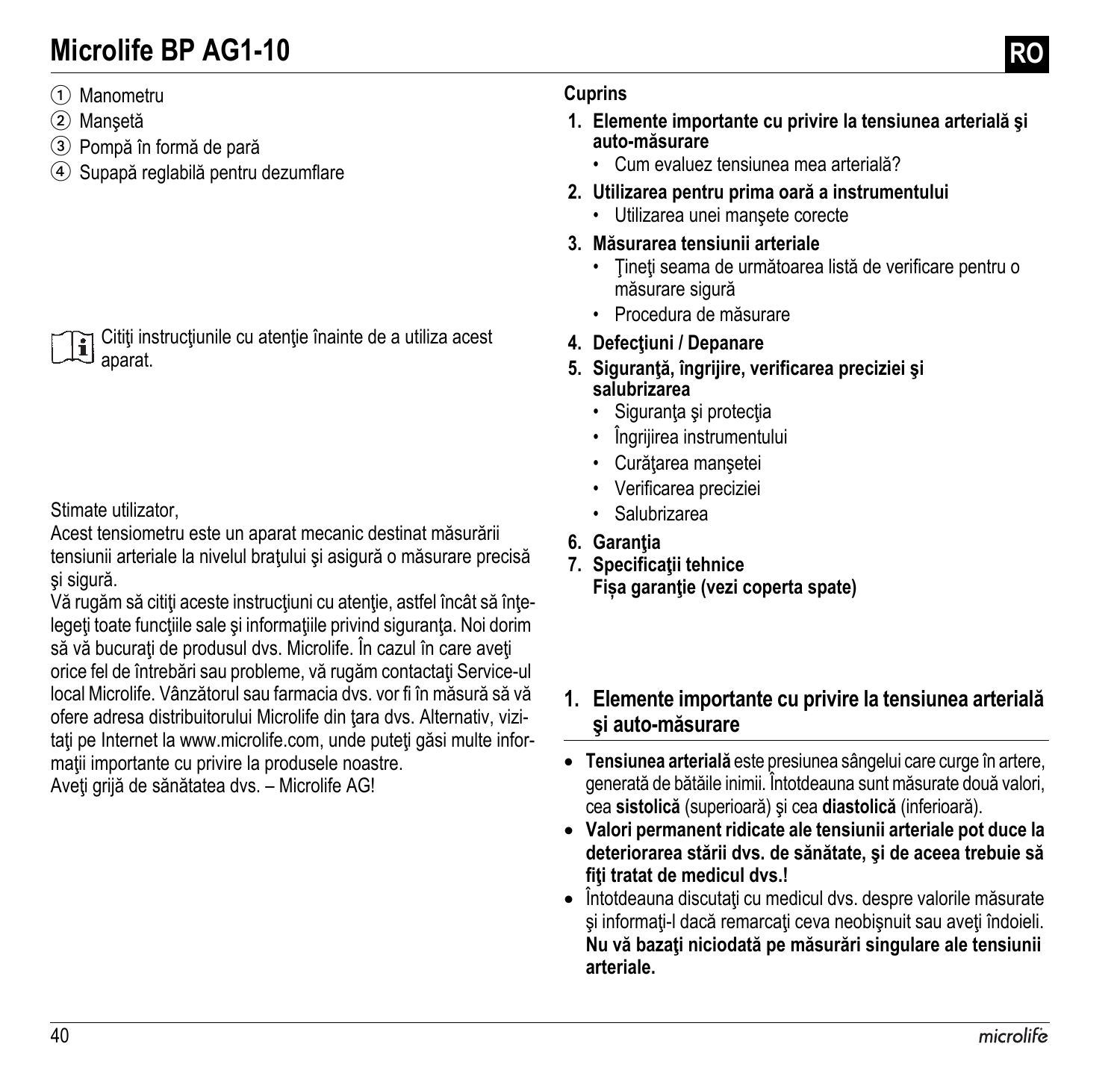# **Microlife BP AG1-10 RO**

- 1 Manometru
- 2 Manşetă
- 3 Pompă în formă de pară
- 4 Supapă reglabilă pentru dezumflare

| m. |   |
|----|---|
|    |   |
| ٧  |   |
| ٧  | v |
|    |   |

Cititi instructiunile cu atentie înainte de a utiliza acest aparat.

#### Stimate utilizator,

Acest tensiometru este un aparat mecanic destinat măsurării tensiunii arteriale la nivelul bratului și asigură o măsurare precisă şi sigură.

Vă rugăm să citiți aceste instrucțiuni cu atenție, astfel încât să înțelegeti toate funcțiile sale și informațiile privind siguranța. Noi dorim să vă bucurați de produsul dvs. Microlife. În cazul în care aveți orice fel de întrebări sau probleme, vă rugăm contactaţi Service-ul local Microlife. Vânzătorul sau farmacia dvs. vor fi în măsură să vă ofere adresa distribuitorului Microlife din ţara dvs. Alternativ, vizitați pe Internet la www.microlife.com, unde puteți găsi multe informatii importante cu privire la produsele noastre. Aveţi grijă de sănătatea dvs. – Microlife AG!

#### **Cuprins**

- **1. Elemente importante cu privire la tensiunea arterială şi auto-măsurare**
	- ï Cum evaluez tensiunea mea arterială?
- **2. Utilizarea pentru prima oară a instrumentului**
	- ï Utilizarea unei manşete corecte
- **3. Măsurarea tensiunii arteriale**
	- · Tineți seama de următoarea listă de verificare pentru o măsurare sigură
	- ï Procedura de măsurare
- **4. Defecţiuni / Depanare**
- **5. Siguranţă, îngrijire, verificarea preciziei şi salubrizarea**
	- Siguranta si protectia
	- Îngrijirea instrumentului
	- Curățarea manșetei
	- Verificarea preciziei
	- ï Salubrizarea
- **6. Garanţia**
- **7. Specificaţii tehnice Fișa garanţie (vezi coperta spate)**

### **1. Elemente importante cu privire la tensiunea arterială şi auto-măsurare**

- **Tensiunea arterială** este presiunea sângelui care curge în artere, generată de bătăile inimii. Întotdeauna sunt măsurate două valori, cea **sistolică** (superioară) şi cea **diastolică** (inferioară).
- **Valori permanent ridicate ale tensiunii arteriale pot duce la deteriorarea stării dvs. de sănătate, şi de aceea trebuie să fiţi tratat de medicul dvs.!**
- Întotdeauna discutati cu medicul dvs. despre valorile măsurate si informati-l dacă remarcati ceva neobisnuit sau aveti îndoieli. **Nu vă bazaţi niciodată pe măsurări singulare ale tensiunii arteriale.**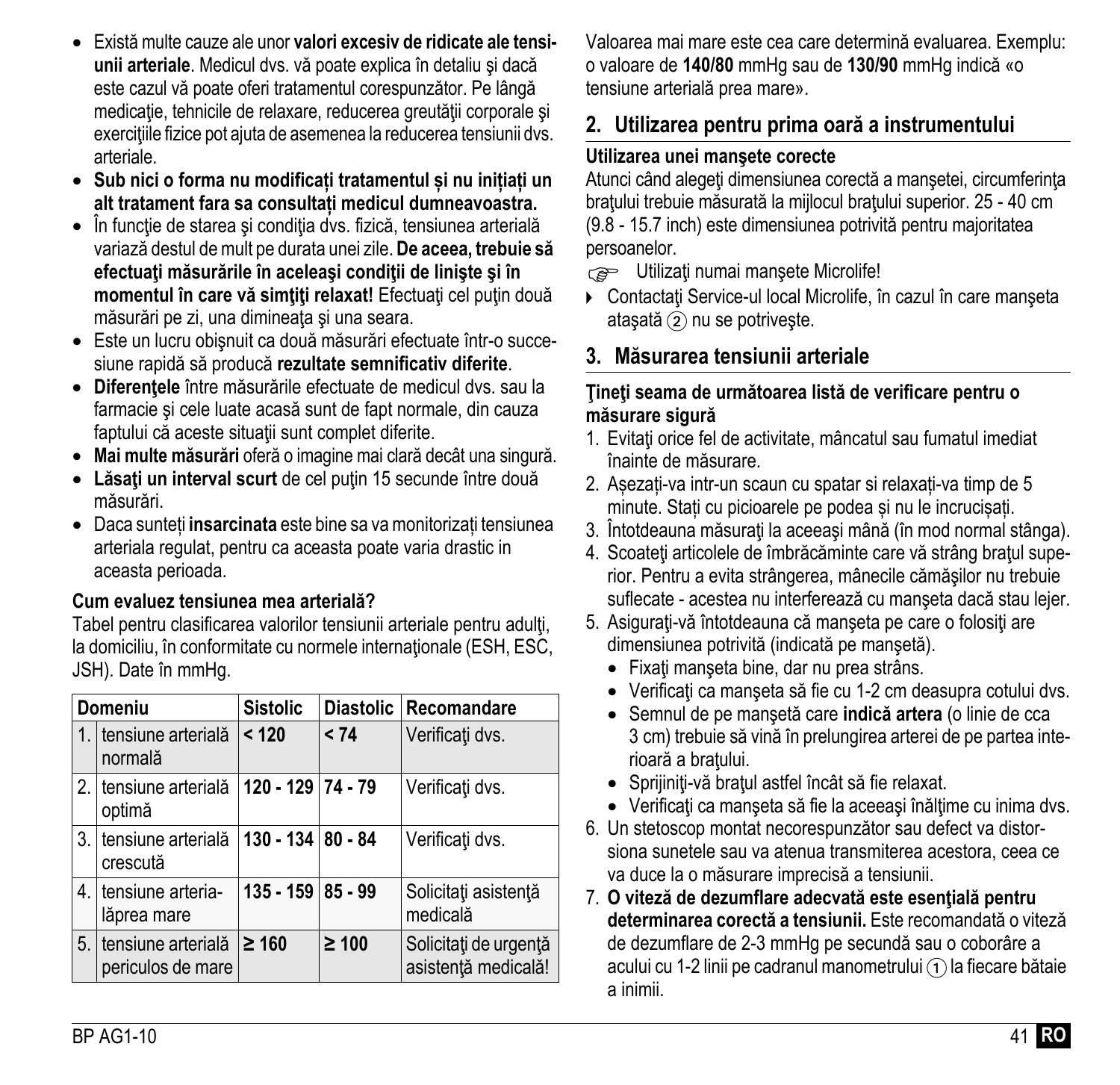- Există multe cauze ale unor **valori excesiv de ridicate ale tensiunii arteriale**. Medicul dvs. vă poate explica în detaliu şi dacă este cazul vă poate oferi tratamentul corespunzător. Pe lângă medicatie, tehnicile de relaxare, reducerea greutății corporale și exercițiile fizice pot ajuta de asemenea la reducerea tensiunii dvs. arteriale.
- **Sub nici o forma nu modificați tratamentul și nu inițiați un alt tratament fara sa consultați medicul dumneavoastra.**
- În functie de starea și conditia dvs. fizică, tensiunea arterială variază destul de mult pe durata unei zile. **De aceea, trebuie să efectuaţi măsurările în aceleaşi condiţii de linişte şi în momentul în care vă simţiţi relaxat!** Efectuaţi cel puţin două măsurări pe zi, una dimineaţa şi una seara.
- Este un lucru obişnuit ca două măsurări efectuate într-o succesiune rapidă să producă **rezultate semnificativ diferite**.
- **Diferenţele** între măsurările efectuate de medicul dvs. sau la farmacie și cele luate acasă sunt de fapt normale, din cauza faptului că aceste situații sunt complet diferite.
- **Mai multe măsurări** oferă o imagine mai clară decât una singură.
- **Lăsati un interval scurt** de cel putin 15 secunde între două măsurări.
- Daca sunteți **insarcinata** este bine sa va monitorizați tensiunea arteriala regulat, pentru ca aceasta poate varia drastic in aceasta perioada.

#### **Cum evaluez tensiunea mea arterială?**

Tabel pentru clasificarea valorilor tensiunii arteriale pentru adulţi, la domiciliu, în conformitate cu normele internaţionale (ESH, ESC, JSH). Date în mmHg.

|                  | Domeniu                                 | <b>Sistolic</b>   | <b>Diastolic</b> | Recomandare                                  |
|------------------|-----------------------------------------|-------------------|------------------|----------------------------------------------|
| $\mathbf{1}$ .   | tensiune arterială<br>normală           | < 120             | < 74             | Verificati dvs.                              |
| $\overline{2}$ . | I tensiune arterială<br>optimă          | 120 - 129 74 - 79 |                  | Verificati dvs.                              |
| 3.               | tensiune arterială<br>crescută          | 130 - 134 80 - 84 |                  | Verificati dvs.                              |
| 4.               | tensiune arteria-<br>lăprea mare        | 135 - 159 85 - 99 |                  | Solicitați asistență<br>medicală             |
| 5.               | tensiune arterială<br>periculos de mare | $\geq 160$        | $\geq 100$       | Solicitați de urgență<br>asistență medicală! |

Valoarea mai mare este cea care determină evaluarea. Exemplu: o valoare de **140/80** mmHg sau de **130/90** mmHg indică «o tensiune arterială prea mare».

# **2. Utilizarea pentru prima oară a instrumentului**

#### **Utilizarea unei manşete corecte**

Atunci când alegeti dimensiunea corectă a mansetei, circumferinta braţului trebuie măsurată la mijlocul braţului superior. 25 - 40 cm (9.8 - 15.7 inch) este dimensiunea potrivită pentru majoritatea persoanelor.

Utilizați numai mansete Microlife!

▶ Contactați Service-ul local Microlife, în cazul în care manșeta atașată (2) nu se potrivește.

# **3. Măsurarea tensiunii arteriale**

#### **Ţineţi seama de următoarea listă de verificare pentru o măsurare sigură**

- 1. Evitati orice fel de activitate, mâncatul sau fumatul imediat înainte de măsurare.
- 2. Așezați-va intr-un scaun cu spatar si relaxați-va timp de 5 minute. Stați cu picioarele pe podea și nu le incrucișați.
- 3. Întotdeauna măsurați la aceeași mână (în mod normal stânga).
- 4. Scoateti articolele de îmbrăcăminte care vă strâng bratul superior. Pentru a evita strângerea, mânecile cămăşilor nu trebuie suflecate - acestea nu interferează cu manşeta dacă stau lejer.
- 5. Asigurati-vă întotdeauna că manseta pe care o folositi are dimensiunea potrivită (indicată pe manşetă).
	- Fixati manseta bine, dar nu prea strâns.
	- Verificati ca manseta să fie cu 1-2 cm deasupra cotului dvs.
	- Semnul de pe manşetă care **indică artera** (o linie de cca 3 cm) trebuie să vină în prelungirea arterei de pe partea interioară a bratului.
	- Sprijiniti-vă bratul astfel încât să fie relaxat.
	- Verificaţi ca manşeta să fie la aceeaşi înălţime cu inima dvs.
- 6. Un stetoscop montat necorespunzător sau defect va distorsiona sunetele sau va atenua transmiterea acestora, ceea ce va duce la o măsurare imprecisă a tensiunii.
- 7. **O viteză de dezumflare adecvată este esenţială pentru determinarea corectă a tensiunii.** Este recomandată o viteză de dezumflare de 2-3 mmHg pe secundă sau o coborâre a acului cu 1-2 linii pe cadranul manometrului  $\widehat{1}$  la fiecare bătaie a inimii.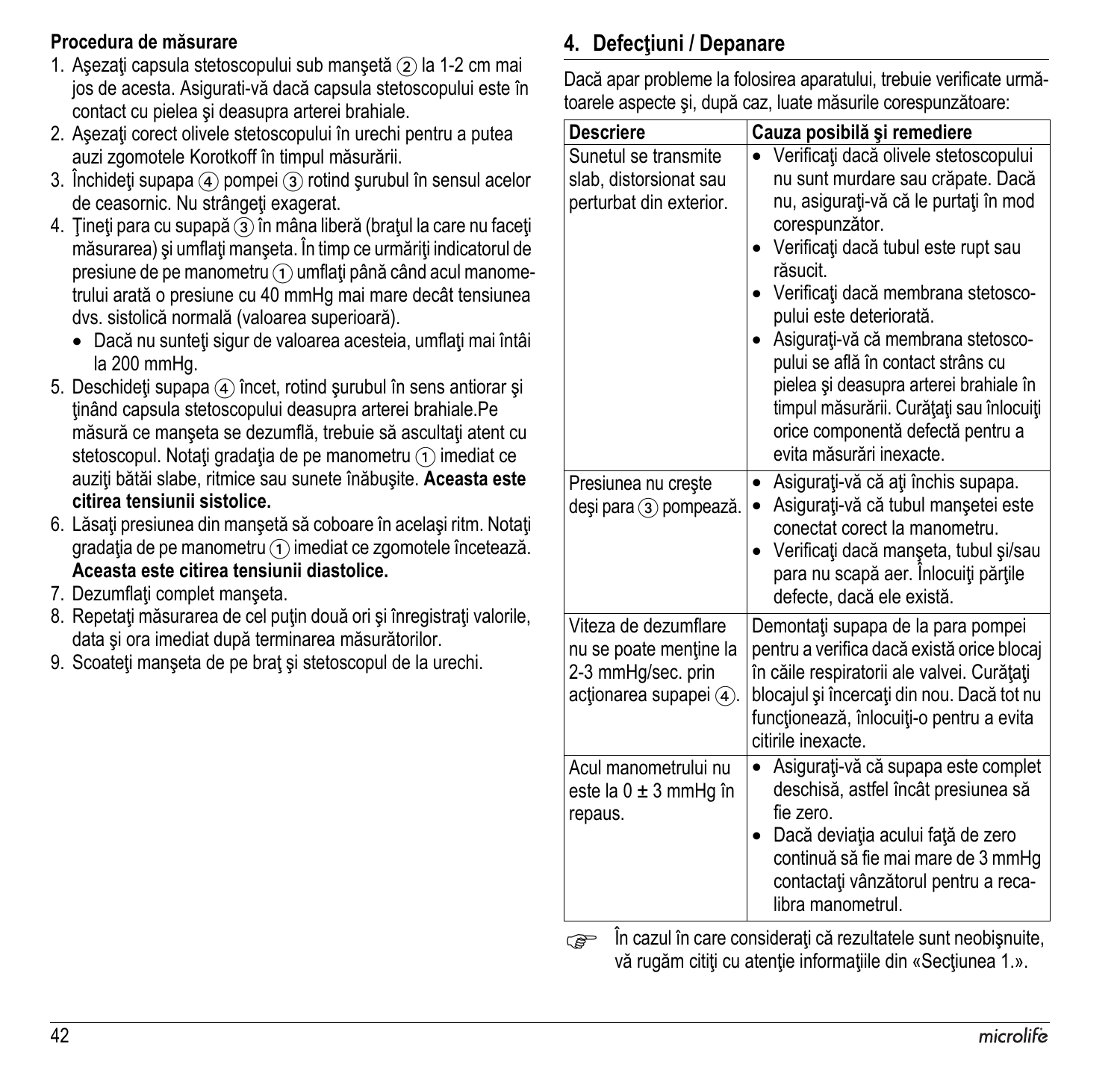#### **Procedura de măsurare**

- 1. Asezați capsula stetoscopului sub mansetă  $(2)$  la 1-2 cm mai jos de acesta. Asigurati-vă dacă capsula stetoscopului este în contact cu pielea şi deasupra arterei brahiale.
- 2. Asezati corect olivele stetoscopului în urechi pentru a putea auzi zgomotele Korotkoff în timpul măsurării.
- 3. Închideți supapa  $\overline{4}$  pompei  $\overline{3}$  rotind surubul în sensul acelor de ceasornic. Nu strângeți exagerat.
- 4. Tineti para cu supapă  $\widehat{3}$  în mâna liberă (bratul la care nu faceti măsurarea) și umflați manșeta. În timp ce urmăriți indicatorul de presiune de pe manometru  $\Omega$  umflati până când acul manometrului arată o presiune cu 40 mmHg mai mare decât tensiunea dvs. sistolică normală (valoarea superioară).
	- Dacă nu sunteți sigur de valoarea acesteia, umflați mai întâi la 200 mmHg.
- 5. Deschideti supapa 4 încet, rotind surubul în sens antiorar și tinând capsula stetoscopului deasupra arterei brahiale.Pe măsură ce manşeta se dezumflă, trebuie să ascultaţi atent cu stetoscopul. Notati gradatia de pe manometru  $\Omega$  imediat ce auziţi bătăi slabe, ritmice sau sunete înăbuşite. **Aceasta este citirea tensiunii sistolice.**
- 6. Lăsați presiunea din mansetă să coboare în același ritm. Notați gradația de pe manometru  $\overline{1}$  imediat ce zgomotele încetează. **Aceasta este citirea tensiunii diastolice.**
- 7. Dezumflati complet manseta.
- 8. Repetați măsurarea de cel puțin două ori și înregistrați valorile. data şi ora imediat după terminarea măsurătorilor.
- 9. Scoateţi manşeta de pe braţ şi stetoscopul de la urechi.

# **4. Defecţiuni / Depanare**

Dacă apar probleme la folosirea aparatului, trebuie verificate următoarele aspecte şi, după caz, luate măsurile corespunzătoare:

| <b>Descriere</b>                                                                                | Cauza posibilă și remediere                                                                                                                                                                                                                                                                                                                                                                                                                                                                  |
|-------------------------------------------------------------------------------------------------|----------------------------------------------------------------------------------------------------------------------------------------------------------------------------------------------------------------------------------------------------------------------------------------------------------------------------------------------------------------------------------------------------------------------------------------------------------------------------------------------|
| Sunetul se transmite<br>slab, distorsionat sau<br>perturbat din exterior.                       | Verificați dacă olivele stetoscopului<br>nu sunt murdare sau crăpate. Dacă<br>nu, asigurați-vă că le purtați în mod<br>corespunzător.<br>Verificați dacă tubul este rupt sau<br>răsucit.<br>Verificați dacă membrana stetosco-<br>pului este deteriorată.<br>Asigurati-vă că membrana stetosco-<br>pului se află în contact strâns cu<br>pielea și deasupra arterei brahiale în<br>timpul măsurării. Curățați sau înlocuiți<br>orice componentă defectă pentru a<br>evita măsurări inexacte. |
| Presiunea nu crește<br>deși para (3) pompează.                                                  | Asigurați-vă că ați închis supapa.<br>٠<br>Asigurați-vă că tubul manșetei este<br>conectat corect la manometru.<br>Verificați dacă manșeta, tubul și/sau<br>para nu scapă aer. Înlocuiți părțile<br>defecte, dacă ele există.                                                                                                                                                                                                                                                                |
| Viteza de dezumflare<br>nu se poate mentine la<br>2-3 mmHg/sec. prin<br>actionarea supapei (4). | Demontați supapa de la para pompei<br>pentru a verifica dacă există orice blocaj<br>în căile respiratorii ale valvei. Curătați<br>blocajul și încercați din nou. Dacă tot nu<br>funcționează, înlocuiți-o pentru a evita<br>citirile inexacte.                                                                                                                                                                                                                                               |
| Acul manometrului nu<br>este la $0 \pm 3$ mmHg în<br>repaus.                                    | Asigurați-vă că supapa este complet<br>deschisă, astfel încât presiunea să<br>fie zero.<br>Dacă deviația acului față de zero<br>continuă să fie mai mare de 3 mmHq<br>contactați vânzătorul pentru a reca-<br>libra manometrul.                                                                                                                                                                                                                                                              |

 În cazul în care consideraţi că rezultatele sunt neobişnuite, vă rugăm cititi cu atenție informațiile din «Secțiunea 1.».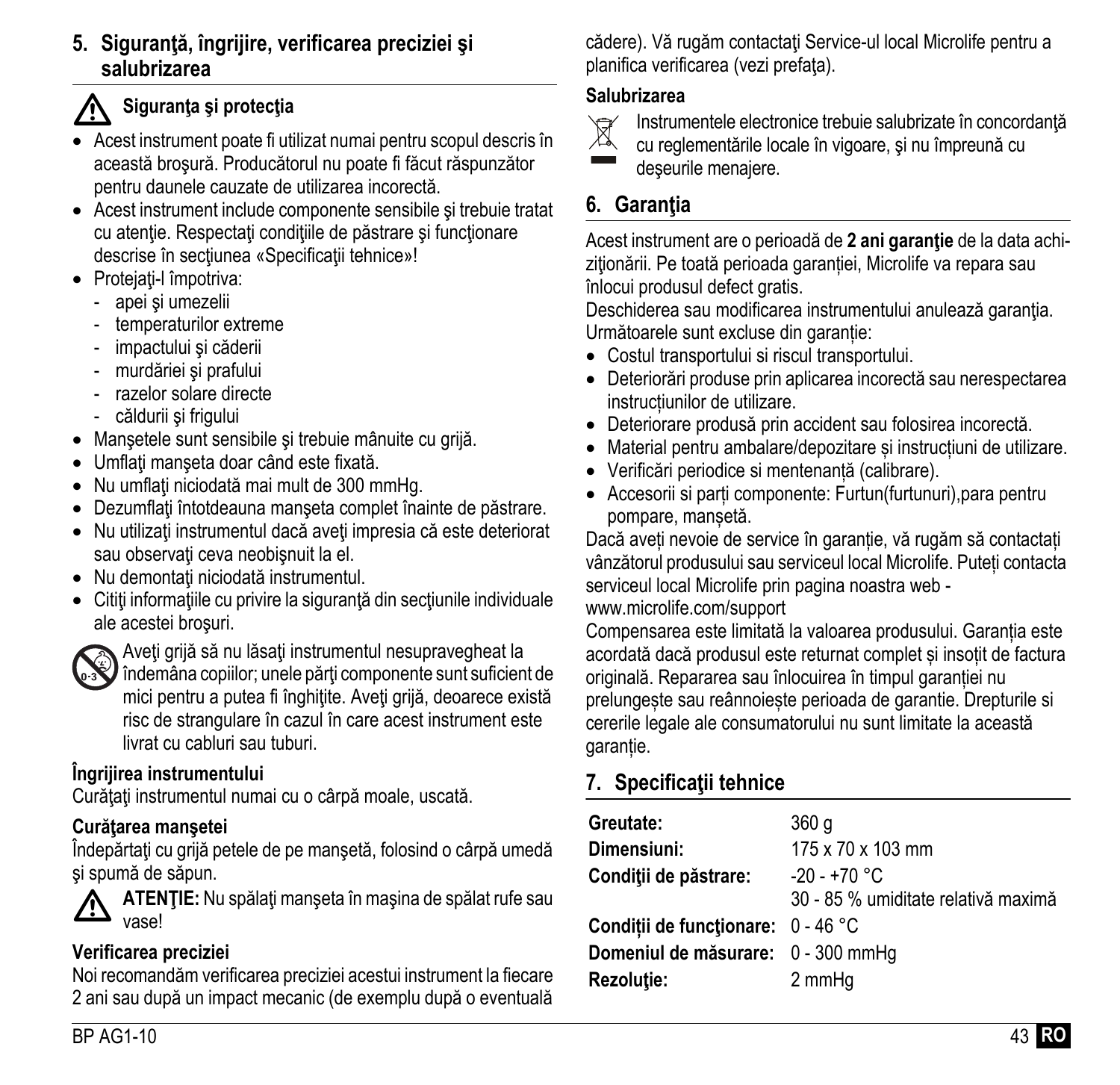#### Л. **Siguranţa şi protecţia**

- Acest instrument poate fi utilizat numai pentru scopul descris în această broşură. Producătorul nu poate fi făcut răspunzător pentru daunele cauzate de utilizarea incorectă.
- Acest instrument include componente sensibile si trebuie tratat cu atenție. Respectați condițiile de păstrare și funcționare descrise în sectiunea «Specificatii tehnice»!
- Protejati-l împotriva:
	- apei şi umezelii
	- temperaturilor extreme
	- impactului şi căderii
	- murdăriei și prafului
	- razelor solare directe
	- căldurii și frigului
- Manşetele sunt sensibile şi trebuie mânuite cu grijă.
- Umflaţi manşeta doar când este fixată.
- Nu umflati niciodată mai mult de 300 mmHg.
- Dezumflati întotdeauna manseta complet înainte de păstrare.
- Nu utilizați instrumentul dacă aveți impresia că este deteriorat sau observati ceva neobisnuit la el.
- Nu demontați niciodată instrumentul.
- Cititi informațiile cu privire la siguranță din secțiunile individuale ale acestei broşuri.



Aveţi grijă să nu lăsaţi instrumentul nesupravegheat la

îndemâna copiilor; unele părţi componente sunt suficient de mici pentru a putea fi înghițite. Aveți grijă, deoarece există risc de strangulare în cazul în care acest instrument este livrat cu cabluri sau tuburi.

# **Îngrijirea instrumentului**

Curătați instrumentul numai cu o cârpă moale, uscată.

# **Curăţarea manşetei**

Îndepărtaţi cu grijă petele de pe manşetă, folosind o cârpă umedă si spumă de săpun.

 $\Delta$  **ATENŢIE:** Nu spălaţi manşeta în maşina de spălat rufe sau vase!

# **Verificarea preciziei**

Noi recomandăm verificarea preciziei acestui instrument la fiecare 2 ani sau după un impact mecanic (de exemplu după o eventuală cădere). Vă rugăm contactaţi Service-ul local Microlife pentru a planifica verificarea (vezi prefaţa).

# **Salubrizarea**

- Instrumentele electronice trebuie salubrizate în concordantă  $\cancel{R}$
- cu reglementările locale în vigoare, şi nu împreună cu **Contract**
- deseurile menajere.

# **6. Garanţia**

Acest instrument are o perioadă de **2 ani garanţie** de la data achiziționării. Pe toată perioada garanției, Microlife va repara sau înlocui produsul defect gratis.

Deschiderea sau modificarea instrumentului anulează garanția. Următoarele sunt excluse din garanție:

- Costul transportului si riscul transportului.
- Deteriorări produse prin aplicarea incorectă sau nerespectarea instrucțiunilor de utilizare.
- Deteriorare produsă prin accident sau folosirea incorectă.
- Material pentru ambalare/depozitare și instrucțiuni de utilizare.
- Verificări periodice si mentenanță (calibrare).
- Accesorii si parți componente: Furtun(furtunuri),para pentru pompare, manșetă.

Dacă aveți nevoie de service în garanție, vă rugăm să contactați vânzătorul produsului sau serviceul local Microlife. Puteți contacta serviceul local Microlife prin pagina noastra web -

www.microlife.com/support

Compensarea este limitată la valoarea produsului. Garanția este acordată dacă produsul este returnat complet și insoțit de factura originală. Repararea sau înlocuirea în timpul garanției nu prelungește sau reânnoiește perioada de garantie. Drepturile si cererile legale ale consumatorului nu sunt limitate la această garanție.

# **7. Specificaţii tehnice**

| Greutate:                          | 360 <sub>g</sub>                                      |
|------------------------------------|-------------------------------------------------------|
| Dimensiuni:                        | 175 x 70 x 103 mm                                     |
| Condiții de păstrare:              | $-20 - +70$ °C<br>30 - 85 % umiditate relativă maximă |
| Condiții de funcționare: 0 - 46 °C |                                                       |
| Domeniul de măsurare: 0 - 300 mmHq |                                                       |
| Rezoluție:                         | 2 mmHq                                                |
|                                    |                                                       |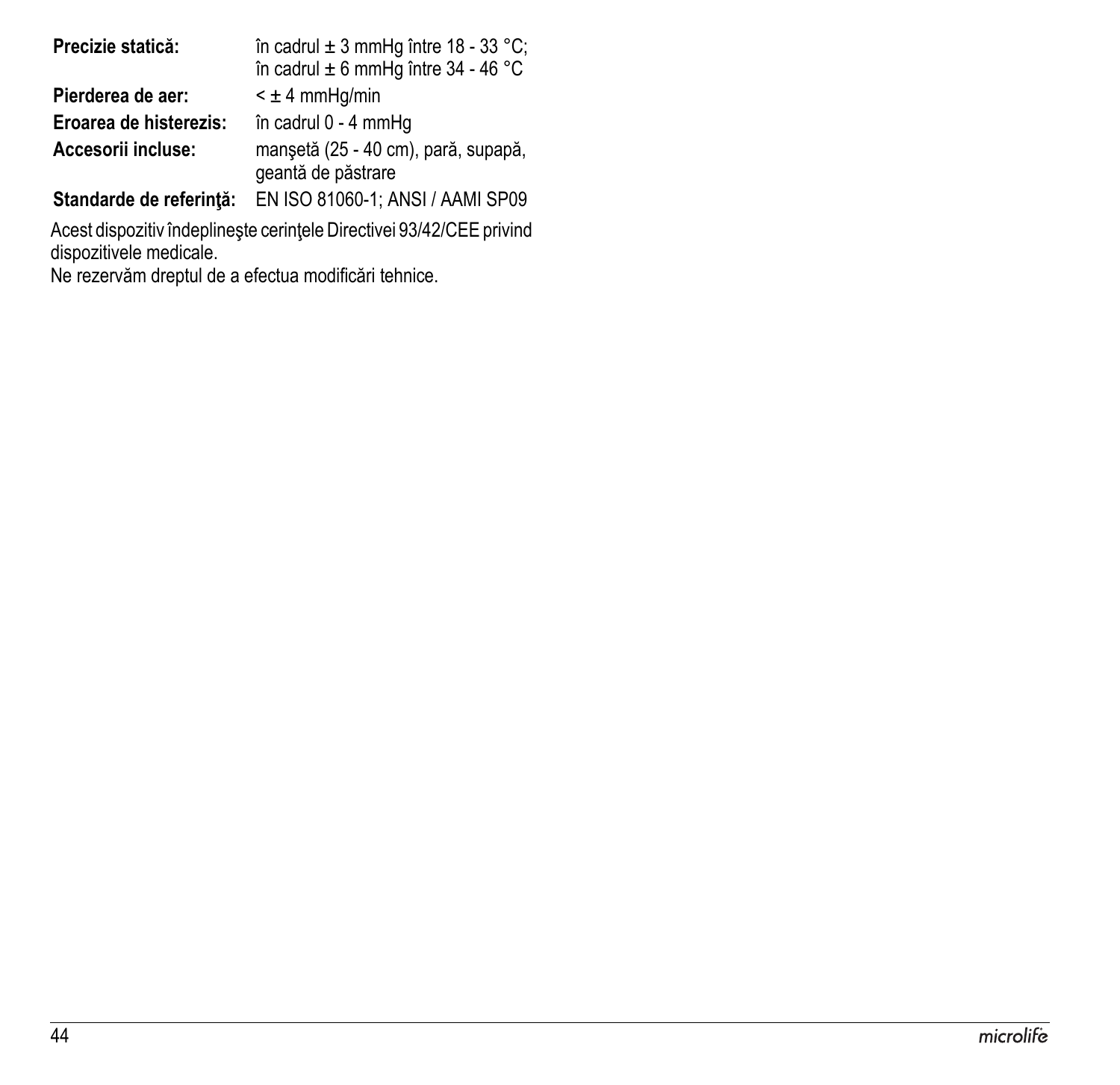| Precizie statică:       | în cadrul $\pm$ 3 mmHg între 18 - 33 °C;<br>în cadrul $\pm$ 6 mmHq între 34 - 46 °C |
|-------------------------|-------------------------------------------------------------------------------------|
| Pierderea de aer:       | $\leq \pm 4$ mmHq/min                                                               |
| Eroarea de histerezis:  | în cadrul 0 - 4 mmHq                                                                |
| Accesorii incluse:      | manșetă (25 - 40 cm), pară, supapă,<br>geantă de păstrare                           |
| Standarde de referință: | EN ISO 81060-1; ANSI / AAMI SP09                                                    |

Acest dispozitiv îndeplineşte cerinţele Directivei 93/42/CEE privind dispozitivele medicale.

Ne rezervăm dreptul de a efectua modificări tehnice.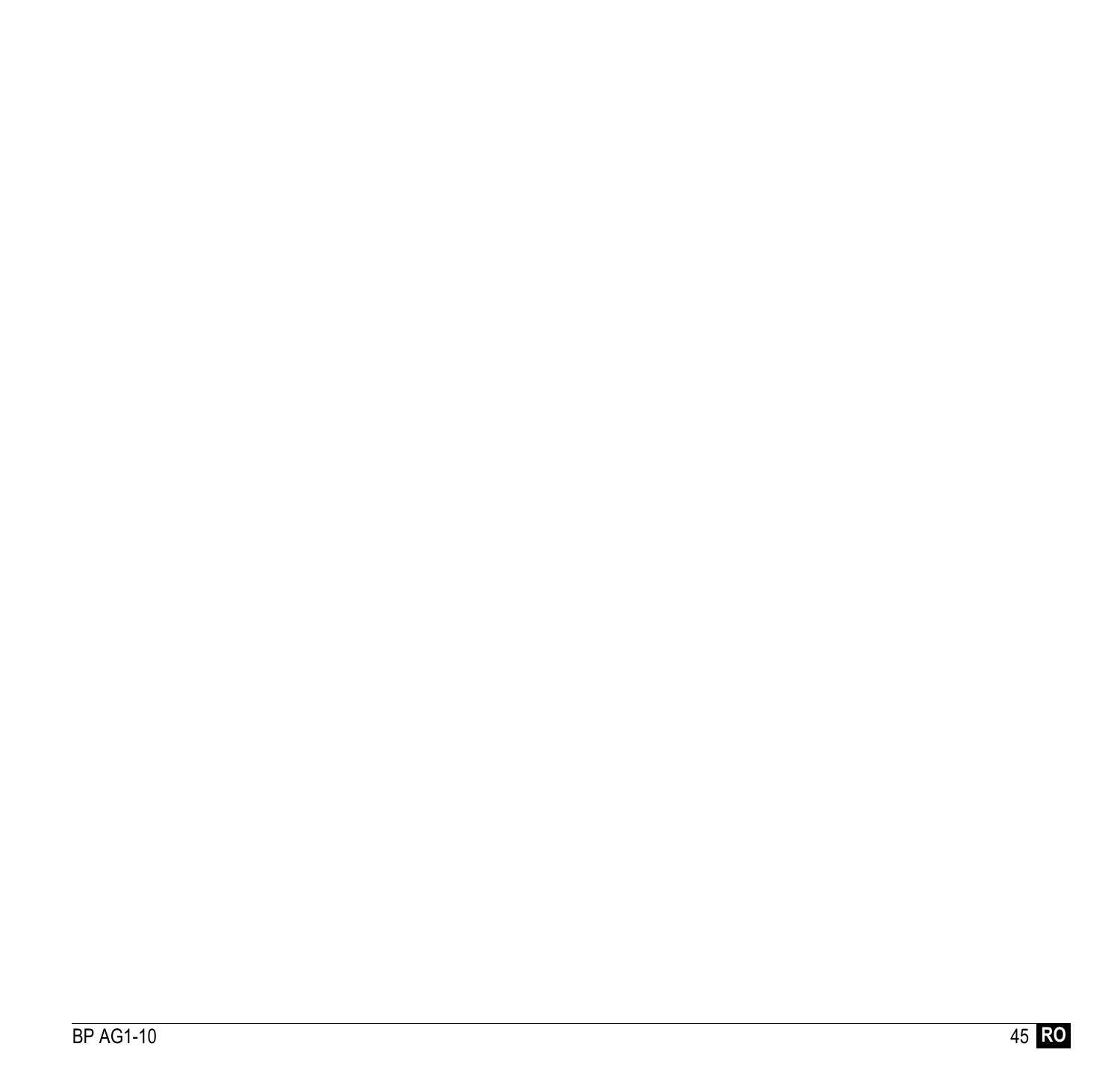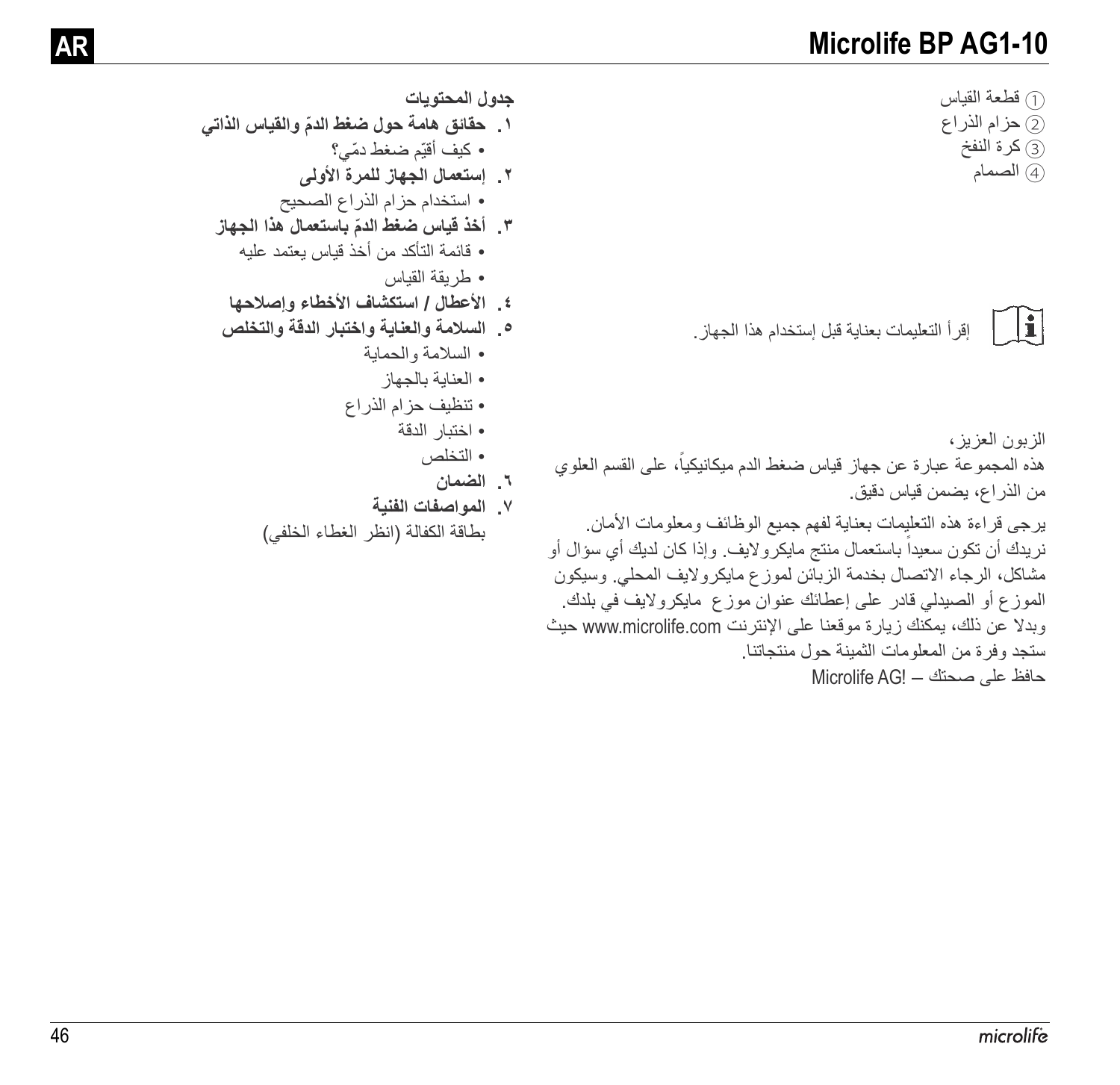@ قطعة القياس @حزام الذراع ق كرة النفخ<sup>ّ</sup>

ي حجم<br>(4) الصمام

9 القيمة الانبساطية  $\mathbf{I}$ 

العلم إقرا التعليمات بعناية قبل إستخدام هذا الجهاز .<br>ا

الزبون العزيز ، هذه المجموعة عبارة عن جهاز قياس ضغط الدم ميكانيكياً، على القسم العلوي من الذر اع، يضمن قياس دقيق. يرجى قراءة هذه التعليمات بعناية لفهم جميع الوظائف ومعلومات الأمان. نريدك أن تكون سعيداً باستعمال منتج مايكرولايف. وإذا كان لديك أي سؤال أو مشاكل، الرجاء الاتصال بخدمة الزبائن لموزع مايكرولايف المحلي. وسيكون الموزع أو الصيدلي قادر على إعطائك عنوان موزع مايكرو لايف في بلدك. وبدلا عن ذلك، بمكنك ز بار ة موقعنا على الانتر نت www.microlife.com حبث ستجد وفرة من المعلومات الثمينة حول منتجاتنا. حافظ على صحتك — Microlife AG!

جدول المحتويا*ت* ١ ـ حقائق هامة حول ضغط الدمّ والقياس الذات*ي* • كيفٌ أقيّم ضغط دمّي؟ هذا الجهاز بالتعاون مع الأطباء ومن خلال الإختبارات السريرية التي أثبتت دقة قياسه ذات المستوى العالي جدا.\* **ϰϟϭϷΓέϣϠϟίΎϬΟϟϝΎϣόΗγ·˻** ٣ . أخذ قياس ضغط الدمّ باستعمال هذا الجهاز • قائمة التأكد من أخذ قياس يعتمد عليه • طريقة القياس ٤ . الأعطال / استكشاف الأخطاء وإصلاحها زيـارة موقعنا على الإنترنت DPNNJDSPMJGFXXX حيث ستجد وفـرة من المعلومات **0 . السلامة والعناية واختبار الدقة والتخلص** - المتنادلة- والطنعابي-<br>• العناية بالجهاز • تنظيف حزام الذراع • اختبار الدقة المرتفع النظام جمعية ضغط الدم المرتفع المرتبانية (بي الدم البريطانية (بي البريطانية (بي البريطان • التخلص • استخدام حزام الذراع الصحيح • السلامة والحماية ٦<sub>۰</sub> الضما*ن* ۷ المه اصفات الفنية

بطاقة الكفالة (انظر الغطاء الخلفي)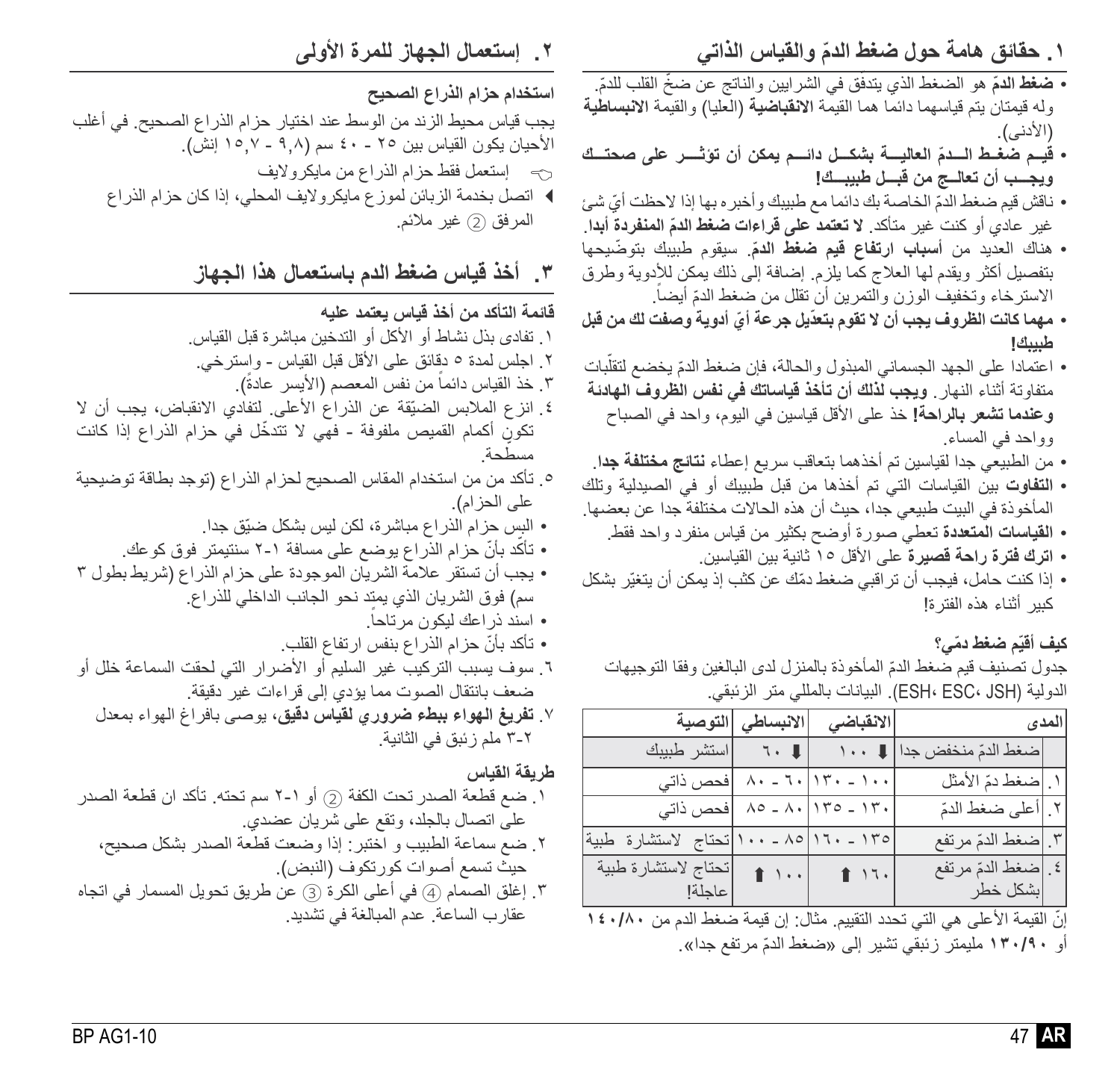- ۱ ـ حقائق هامة حول ضغط الدمّ والقياس الذات*ى*
- ضغط الدمّ هو الضغط الذي يتدفّق في الشرابين والناتج عن ضخّ القلب للدمّ<sub>.</sub> وله قيمتان يتم قياسهما دائما هما القيمة ا**لانقباضية (العل**يا) والقيمة ا**لانبساطية** (الأدنے)]
- قَيـم ضغـط الـــدمّ الـعاليــــة بشكـــل دائـــم يمكن أن تؤتــــــر عل*ى* صحتـــك **ويجب أن تعالــج من قبــل طبيبــك!**
- ناقش قيم ضغط الدمّ الخاصة بك دائما مع طبيبك و أخبر ه بها إذا لاحظت أيّ شئ غير عادي أو كنت غير متأكد. لا **تعتمد على قراءات ضغط الدمّ المنفردة أبدا.**
- هناك العديد من أ**سباب ارتفاع قيم ضغط الدم**ّ. سيقوم طبيبك بتوضّيحها بتفصيل أكثر ويقدم لها العلاج كما يلزم. إضافة إلى ذلك يمكن للأدوية وطرق الاسترخاء وتخفيف الوزن والتمرين أن تقلل من ضغط الدمّ أيضا. ˱
- مهما كانت الظروف بجب أن لا تقوم بتعدّيل جرعة أيّ أدوية وصفت لك من قبل طبيبك <u>إ</u>
- اعتمادا على الجهد الجسماني المبذول والحالة، فإن ضغط الدمّ يخضع لتقلّبات متفاوتة أثناء النهار <sub>-</sub> ويجب لذلك أن **تأخذ قباساتك في نفس الظروف الهادئة وعندما تشعر بالراحة!** خذ على الأقل قياسين في اليوم، واحد في الصباح وو احد في المساء.
- من الطبيعي جدا لقياسين تم أخذهما بتعاقب سريع إعطاء **نتائج مختلفة جد**ا
- التفاوت بين القياسات التي تم أخذها من قبل طبيبك أو في الصيدلية وتلك المأخوذة في البيت طبيعي جدا، حيث أن هذه الحالات مختلفة جدا عن بعضها.
	- ا**لقياسات المتعددة** تعطي صورة أوضح بكثير من قياس منفرد واحد فقط.
		- ا**ترك فترة راحة قصبرة** على الأقل ١٥ ثانية بين القياسين.
- إذا كنت حامل، فيجب أن تر اقبى ضغط دمّك عن كثب إذ يمكن أن يتغيّر بشكل کبیر اُثناء هذه الفتر ة!

#### **ˮϲϣΩρϐοϡ ˷ ϳϗϑϳϛ ˷**

جدو ل تصنيف قيم ضغط الدمّ المأخو ذة بالمنز ل لدى البالغين و فقا التو جيهات الدولية (ESH، ESC، JSH). البيانات بالمللي متر الزنبقي.

| المدى                        | الانقباضي                                      | الانبساطي  التوصية                                   |                                          |
|------------------------------|------------------------------------------------|------------------------------------------------------|------------------------------------------|
| ضغط الدمّ منخفض جدا    ↓ ١٠٠ |                                                | $\overline{\phantom{a}}$ i. $\overline{\phantom{a}}$ | استشر طبيبك                              |
| ١.  ضغط دمّ الأمثل           | ۰۰۱ ــ ۱۳۰ ۱۲ ــ ۸۰  فحص ذاتی                  |                                                      |                                          |
| ٢. أأعلى ضغط الدمّ           | ١٣٠ ـ ٨٥ - ٨٠ - ٨٥ - فحص ذاتي                  |                                                      |                                          |
| ٣  ضغط الدمّ مرتفع           |                                                |                                                      | ١٣٥ ـ ١٦٠  ٨٥ ـ ١٠٠  نحتاج لاستشارة طبية |
| ٤  ضغط الدمّ مرتفع           | $\mathbf{r}$ and $\mathbf{r}$ and $\mathbf{r}$ |                                                      | تحتاج لاستشارة طبية                      |
| بشكل خطر                     |                                                |                                                      | عاجلة!                                   |
|                              |                                                |                                                      |                                          |

إنّ القيمة الأعلى هي التي تحدد التقييم. مثال: إن قيمة ضغط الدم من ١٤٠/٨٠ ك ©ΩΟϊϔΗέϣϡΩϟρϐοªϰϟ·έϳηΗϲϘΑίέΗϣϳϠϣ ˷ **˺˼˹̂˹**ϭ

۲ \_ اِستع*م*ال الجهاز للمرة الأول*ى* 

استخدام حزام ال*ذر*اع الصحيح

يجب قياس محيط الزند من الوسط عند اختيار حزام الذراع الصحيح. في أغلب الأحيان يكون القياس بين ٢٥ - ٤٠ سم (٩٫٨ - ١٥.٧ إنش). ح– استعمل فقط حزام الذراع من مايكرو لايف<br>♦ اتصل بخدمة الزبائن لموز ع مايكرو لايف المحلي، إذا كان حزام الذراع المرفق (2) غير ملائم.

## ۳ <sub>ـ</sub> أخذ قياس ضغط الدم باستعمال هذا الجهاز

#### قائمة التأكد من أخذ قياس يع*تمد* عليه

- ۱ ٍ تفادى بذل نشاط أو الأكل أو التدخين مباشر ة قبل القياس
- ۲ ـ اجلس لمدة ٥ دقائق على الأقل قبل القياس واسترخى
	- ٣. خذ القياس دائماً من نفس المعصم (الأيسر عادةً).
- ٤. انزع الملابس الضيّقة عن الذراع الأعلى. لتفادي الانقباض، يجب أن لا تكونِ أكمام القميص ملفوفة - فهي لا تتدخَّل في حزام الذراع إذا كانت مسطحة
- ٥. تأكد من من استخدام المقاس الصحيح لحزام الذراع (توجد بطاقة توضيحية على الحز ام).
	- البس حزام الذراع مباشرة، لكن ليس بشكل ضيّق جدا.
	- تأكّد بأنّ حزام الذّراع يوضع على مسافة ١-٢ سنتيمتر فوق كوعك.
- يجب أن تستقر علامة الشريان الموجودة على حزام الذراع (شريط بطول ٣ سم) فوق الشريان الذي يمتد نحو الجانب الداخلي للذراع. ˱
	- اسند ذراعك ليكون مرتاحا.
	- تأكد بأنّ حزام الذراع بنفس ارتفاع القلب ِ
- ٦. سوف يسبب التركيب غير السليم اَو الأضرار التي لحقت السماعة خلل اُو ضعف بانتقال الصوت مما يؤدي إلى قراءات غير دقيقة
	- ∨. **تفريغ الهواء ببطء ضروري لقياس دقيق،** يوصي بافراغ الهواء بمعدل ۲-۳ ملم ز ئبق في الثانية.

#### **طريقة القباس**

- ا ضع قطعة الصدر تحت الكفة (2) أو ١-٢ سم تحته. تأكد ان قطعة الصدر على اتصال بالجلد، وتقع على شريان عضدي. ۲. ضع سماعة الطبيب و اختبر : إذا وضعت قطعة الصدر بشكل صحيح،
- حيث تسمع أصوات كور تكوف (النبض).
- Υ. إغلق الصمام (4) في أعلى الكرة (3) عن طريق تحويل المسمار في اتجاه عقار ب الساعة. عدم المبالغة في تشديد.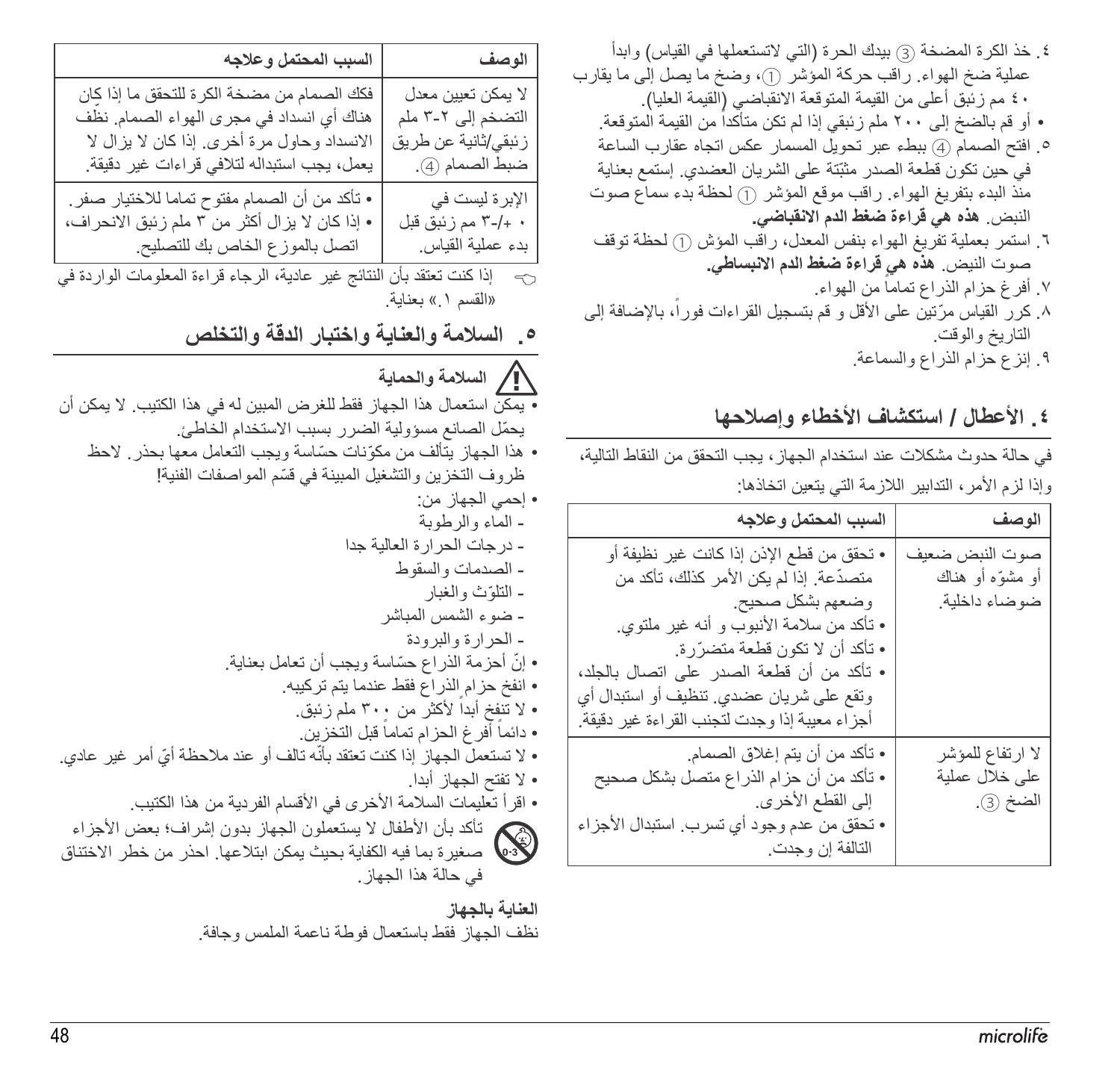٤ . خذ الكر ة المضخة (3) بيدك الحرة (التي لاتستعملها في القياس) وابدأ عملية ضخ الهواء ِ راقب حركة المؤشرِ (٢)، وضخ ما يصل إلى ما يقارب ٤٠ مم زئبق أعلى من القيمة المتوقعة الانقباضي (القيمة العليا). • أو قم بالضخ إلى ٢٠٠ ملم زئبقي إذا لم تكن متأكداً من القيمة المتوقعة. ٥. افتح الصمام (4) ببطء عبر تحويل المسمار عكس اتجاه عقارب الساعة في حين تكون قطعة الصدر مثبّتة على الشريان العضدي. إستمع بعناية منذ البدء بتفريغ الهواء. راقب موقع المؤشر (آ) لحظة بدء سماع صوت النبض ِ ه**ذه هي قراءة ضغط الدم الانقباضي**. ٣. استمر بعملية تفريغ الهواء بنفس المعدل، راقب المؤش (٢) لحظة توقف صوت النيض<sub>.</sub> هذه هي قراءة **ضغط الد**م الانبساطي. ۷. أفرغ حزام الذراع تماماً من الهواء. ۸. كرر القياس مرّتين على الأقل و قم بتسجيل القراءات فوراً، بالإضافة إلى التار يخ و الو قت. ۹ إنزع جزام الذراع والسماعة.

#### ٤\_ الأعطال / استكشاف الأخطاء و اصلاحها

في حالة حدوث مشكلات عند استخدام الجهاز ، بجب التحقق من النقاط التالية، وإذا لزِ م الأمرِ ، التدابيرِ اللازِ مة التي يتعين اتخاذها:

| السبب المحتمل وعلاجه                                                                                                                                                                                                                                                                                                                | الوصف                                                |
|-------------------------------------------------------------------------------------------------------------------------------------------------------------------------------------------------------------------------------------------------------------------------------------------------------------------------------------|------------------------------------------------------|
| • تحقق من قطع الإذن إذا كانت غير نظيفة أو<br>متصدِّعة. إذا لم يكن الأمر كذلك، تأكد من<br>وضعهم بشكل صحيح<br>• تأكد من سلامة الأنبوب و أنه غير ًملتوى.<br>• تأكد أن لا تكون قطعة متضرّ ر ة.<br>• تأكد من أن قطعة الصدر على اتصال بالجلد،<br>وتقع على شريان عضدى تنظيف أو استبدال أي<br>أجزاء معيبة إذا وجدت لتجنب القراءة غير دقيقة. | صوت النبض ضعيف<br>أو مشوَّه أو هناك<br>ضوضاء داخلية. |
| • تأكد من أن يتم إغلاق الصمام.<br>• تأكد من أن حز ام الذر اع متصل بشكل صحيح<br>إلى القطع الأخر ي.<br>• تحقق من عدم وجود اي تسرب. استبدال الأجزاء<br>التالفة إن وجدت.                                                                                                                                                                | لا ارتفاع للمؤشر<br>على خلال عملية<br>الضخ (3).      |

| الوصف               | السبب المحتمل وعلاجه                           |
|---------------------|------------------------------------------------|
| لا يمكن تعيين معدل  | فكك الصمام من مضخة الكر ة للتحقق ما إذا كان    |
| التضخم إلى ٢-٣ ملم  | هناك أي انسداد في مجر ي الهواء الصمام. نظف     |
| زئبقى/ثانية عن طريق | الانسداد وحاول مرة أخرى. إذا كان لا يزال لا    |
| ضبط الصمام (4).     | يعمل، يجب استبداله لتلافي قر اءات غير دقيقة.   |
| الإبر ۃ لیست فی     | • تأكد من أن الصمام مفتوح تماما للاختيار صفر . |
| ۰ +/-۳ مم زئبق قبل  | • إذا كان لا يزال أكثر من ٣ ملم زئبق الانحراف، |
| بدء عملية القياس    | اتصل بالموزع الخاص بك للتصليح                  |

ح إذا كنت تعتقد بأن النتائج غير عادية، الرجاء قر اءة المعلومات الواردة في<br>«القسم ١ ٪ بعناية.

# ه . السلامة و العناية و اختبار الدقة و التخلص

# **[آ/** السلامة والحماية

- يمكن استعمال هذا الجهاز فقط للغر من المبين له في هذا الكتيب. لا يمكن أن يحمّل الصيانع مسؤولية الضرر بسبب الاستخدام الخاطئ.
	- هذا الجهاز بتألف من مكوّنات حسّاسة وبجب التعامل معها بحذر \_ لاحظ ظروف التخزين والتشغيل المبينة في قسّم المواصفات الفنية!
		- إحمى الجهاز من:
		- ـ الماء والرطوبة - درجات الحرارة العالية جدا
			- الصدمات و السقوط
				- التلوّث والغبار
			- ۔ ضو ء الشمس المباشر
				- الحر ار ة و البر و دة
		- ه إنّ أحزمة الذراع حسّاسة ويجب أن تعامل بعناية.
			- انفخ حزام الذراع فقط عندما يتم تركيبه.
			- لا تَنفخ أبداً لأكثر من ٣٠٠ ملم زئبق<u>.</u>
- دائماً أَفر غ الحز ام تماماً قبل التخزين. • لا تستعمل الجهاز إذا كنت تعتقد بأنّه تالف أو عند ملاحظة أيّ أمر غير عادي.
	- لا تفتح الجهاز أبدا ِ
	- اقر أ تعليمات السلامة الأخر ي في الأقسام الفر دية من هذا الكتيب.



داکد بان الأطفال لا يستعملون الجهاز بدون إشراف؛ بعض الأجزاء **A** في √ صغير ة بما فيه الكفاية بحيث يمكن ابتلاعها. احذر من خطر الاختناق في حالة هذا الجهاز .

#### ا**لعن**اية بالجهاز نظف الجهاز فقط باستعمال فو طة ناعمة الملمس و جافة.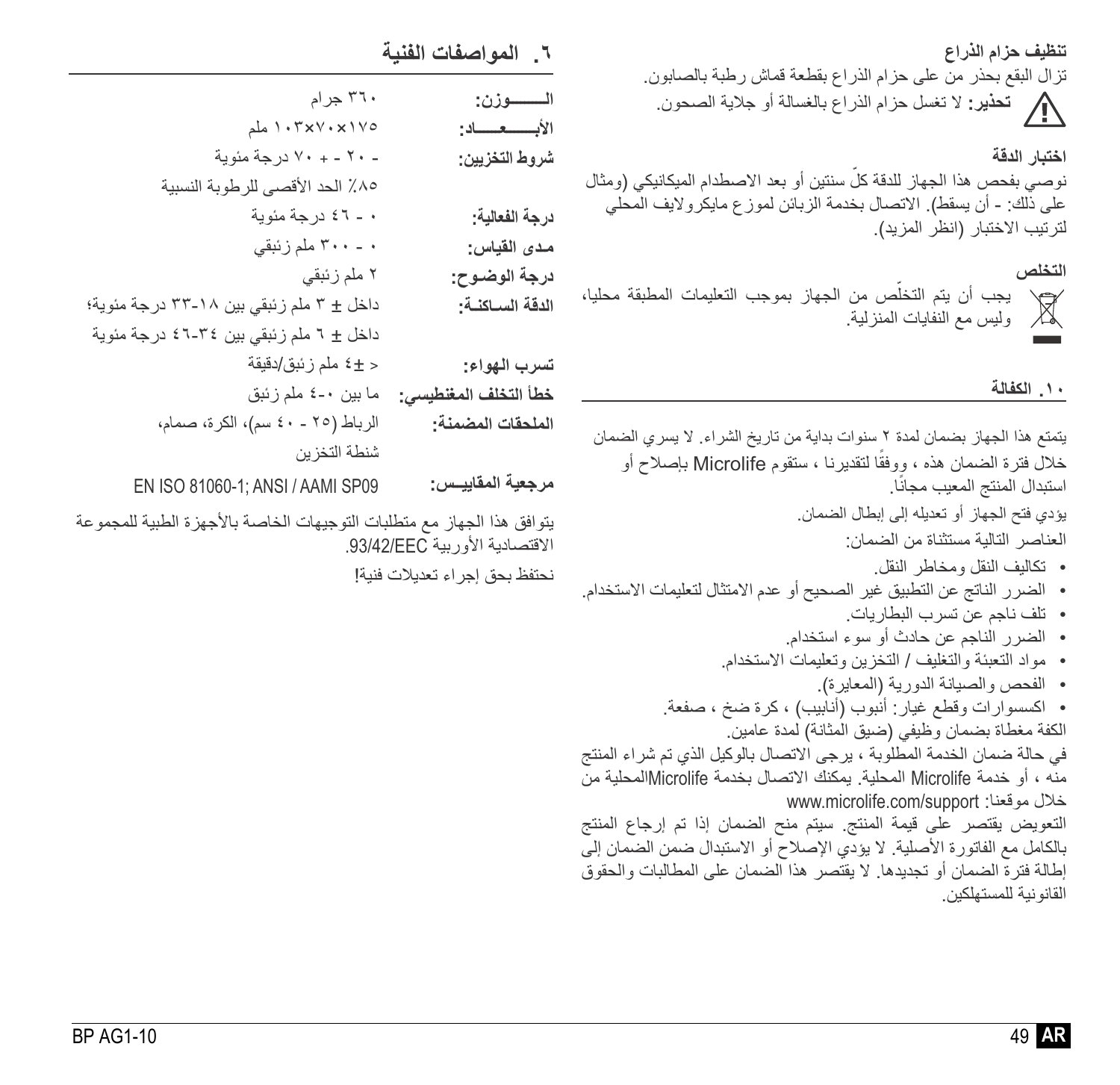<mark>تنظيف حزام الذ</mark>راع تزال البقع بحذر من على حزام الذراع بقطعة قماش رطبة بالصابون وم التح**ذير:** لا تغسل حزام الذراع بالغسالة أو جلاية الصحون

#### ا**ختبا**ر الدقة

نوصبي بفحص هذا الجهاز للدقة كلّ سنتين أو بعد الاصطدام الميكانيكي (ومثال على ذلك: - أن يسقط). الاتصال بخدمة الزبائن لموزع مايكرولايف المحلي لترتيب الاختبار (انظر المزيد).

#### ا**لتخلص**

يجب أن يتم التخلَّص من الجهاز بموجب التعليمات المطبقة محليا،  $\forall$ له∕ا∕ وليس مع النفايات المنزلية.

#### ۱۰ الكفالة

يتمتع هذا الجهاز بضمان لمدة ٢ سنوات بداية من تاريخ الشراء. لا يسري الضمان خلال فترة الضمان هذه ، ووفقًا لتقديرنـا ، ستقوم Microlife بـإصـلاح أو استبدال المنتج المعبب مجانًا. بِوَدي فتح الجهاز أو تعديله إلى إبطال الضمان. العناصر التالية مستثناة من الضمان: • تكاليف النقل ومخاطر النقل • الضرر الناتج عن التطبيق غير الصحيح أو عدم الامتثال لتعليمات الاستخدام. • تلف ناجم عن تسرب البطار بات. • الضر ر الناجم عن حادث أو سوء استخدام. ه مواد التعبئة والتغليف / التخزين وتعليمات الاستخدام. • الفحص والصيانة الدورية (المعايرة)<sub>.</sub> • اكسسوارات وقطع غيار: أنبوب (أنابيب) ، كرة ضخ ، صفعة. الكفة مغطاة بضمان و ظيفي (ضيق المثانة) لمدة عامين. في حالة ضمان الخدمة المطلوبة ، يرجى الاتصال بالوكيل الذي تم شراء المنتج منه ، أو خدمة Microlife المحلية. يمكنك الاتصال بخدمة Microlifeالمحلية من www.microlife.com/support :خلال موقعنا التعويض يقتصر على قيمة المنتج. سيتم منح الضمان إذا تم إرجاع المنتج بالكامل مع الفاتور ة الأصلية. لا يؤدي الإصلاح أو الاستبدال ضمن الضمان إلى اطالة فتر ة الضمان أو تجديدها. لا يقتصر هذا الضمان على المطالبات والحقوق القانونية للمستهلكين.

#### ٦. المواصفات الفنية

| الــــــــــوزن:      | ۳٦٠ جرام                                                              |
|-----------------------|-----------------------------------------------------------------------|
| الأبــــــعــــاد:    | ۱۰۳x۷۰x۱۷۵ ملم                                                        |
| شروط التخزيين:        | - ۲۰ - + ۷۰ درجة مئوية                                                |
|                       | ٨٥٪ الحد الأقصىي للرطوبة النسبية                                      |
| درجة الفعالية:        | ۰ - ٤٦ درجة مئوية                                                     |
| مدى القياس:           | ۰ - ۳۰۰ ملم زئبقی                                                     |
| درجة الوضـوح:         | ۲ ملم زئبقی                                                           |
| الدقة الساكنــة:      | داخل ± ٣ ملم زئبقي بين ١٨-٣٣ درجة مئوية؛                              |
|                       | داخل ± ٦ ملم زئبقي بين ٣٤-٤٦ درجة مئوية                               |
| تسرب الهواء:          | < ± ٤ ملم زئبق/دقيقة                                                  |
| خطأ التخلف المغلطيسي: | ما بين ٠-٤ ملم زئبق                                                   |
| الملحقات المضمنة:     | الرباط (٢٥ - ٤٠ سم)، الكرة، صمام،                                     |
|                       | شنطة التخزين                                                          |
| مرجعية المقاييــس:    | EN ISO 81060-1: ANSI / AAMI SP09                                      |
|                       | يتوافق هذا الجهاز مع متطلبات التوجيهات الخاصة بالأجهزة الطبية للمجموع |
|                       |                                                                       |

يتوافق هذا الجهاز مع متطلبات التوجيهات الخاصة بالأجهزة الطبية للمجموعة الاقتصادية الأوربية 93/42/EEC.

نحتفظ بحق إجراء تعديلات فنية!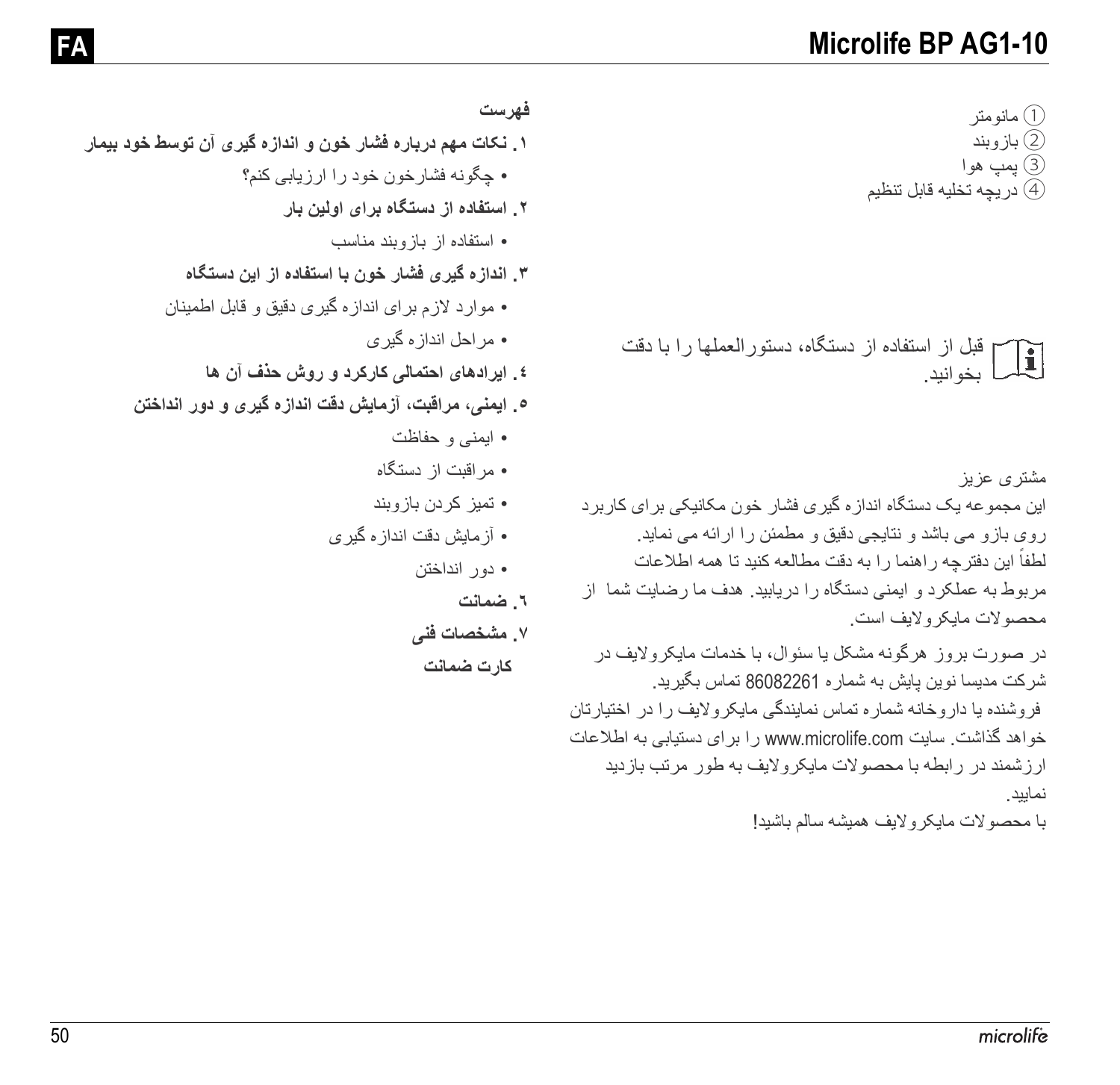() مانومتر (2) بازوبند (3) پمپ هوا ق في سبب<br>(4) دريچه تخليه قابل تنظيم

ديم القبل از استفاده از دستگاه، دستورالعملها را با دقت  $\bf i$ لگاسا بخوانيد<sub>.</sub>

مشتر ی عزیز این مجمو عه یک دستگاه انداز ه گیر ی فشار ِ خون مکانیکی بر ای کار بر د روی باز و مے باشد و نتایجے دقیق و مطمئن را ار ائه مے نماید لطفاً این دفترچه ر اهنما ر ا به دقت مطالعه کنید تا همه اطلاعات مربوط به عملکرد و ایمنی دستگاه را دریابید. هدف ما رضایت شما از محصو لات مایکر و لایف است.

در صورت بروز هرگونه مشکل یا سئوال، با خدمات مایکرولایف در شرکت مدیسا نوین بایش به شماره 86082261 تماس بگیر بد. فر و شنده یا دار و خانه شمار ه تماس نمایندگی مایکر و لایف ر ۱ در اختیار تان خواهد گذاشت. سایت www.microlife.com را برای دستیابی به اطلاعات ار ز شمند در ار ابطه با محصو لات مابکر و لابف به طور امر تب باز دید نماىىد

با محصو لات مابكر و لايف هميشه سالم باشيد!

فهرست جهاز مراقبة ضغط الدم مايكرولايف الجديد جهاز طبي موثوق لأخذ القياس من على الذراع

- ۱. نـكات مـهم دريـار ه فشار خون و اندازه گير *ي* آن توسط خود بيمار • چگونه فشارخون خود را ارزيابي كنم؟
	- ۲ <sub>-</sub> استفاده از دستگاه برای اولین بار
- استفاده از بازوبند مناسب
- ۳. اندازه گيرى فشار خون با استفاده از اين دستگاه
- أو الصيدلي قادر على إعطائك عنوان موزع مايكرولايف في بلدك. وبدلا عن ذلك، يمكنك • موارد لازم برای اندازه گیری دقیق و قابل اطمینان • مراحل اندازه گيري
	- ءُ <sub>-</sub> ايرادهاي احتمال*ي* كاركرد و روش حذف آن ها
- ه<sub>-</sub> ايمنى، مراقبت، آزمايش دقت اندازه گيرى و دور انداختن
- ٣ بي تي أو أي" الذي تم اختباره طبقا لنظام جمعية ضغط الدم المرتفع البريطانية (بي • ابیمنبی و حفاظت
	- مر اقت از دستگاه
	- تمبز کر دن باز ویند
	- آز مایش دقت انداز ه گیر ی
		- دور انداختن
			- **ΕϧΎϣο˿**
		- ۷. مشخصات فنی
		- کار ت **ضمانت**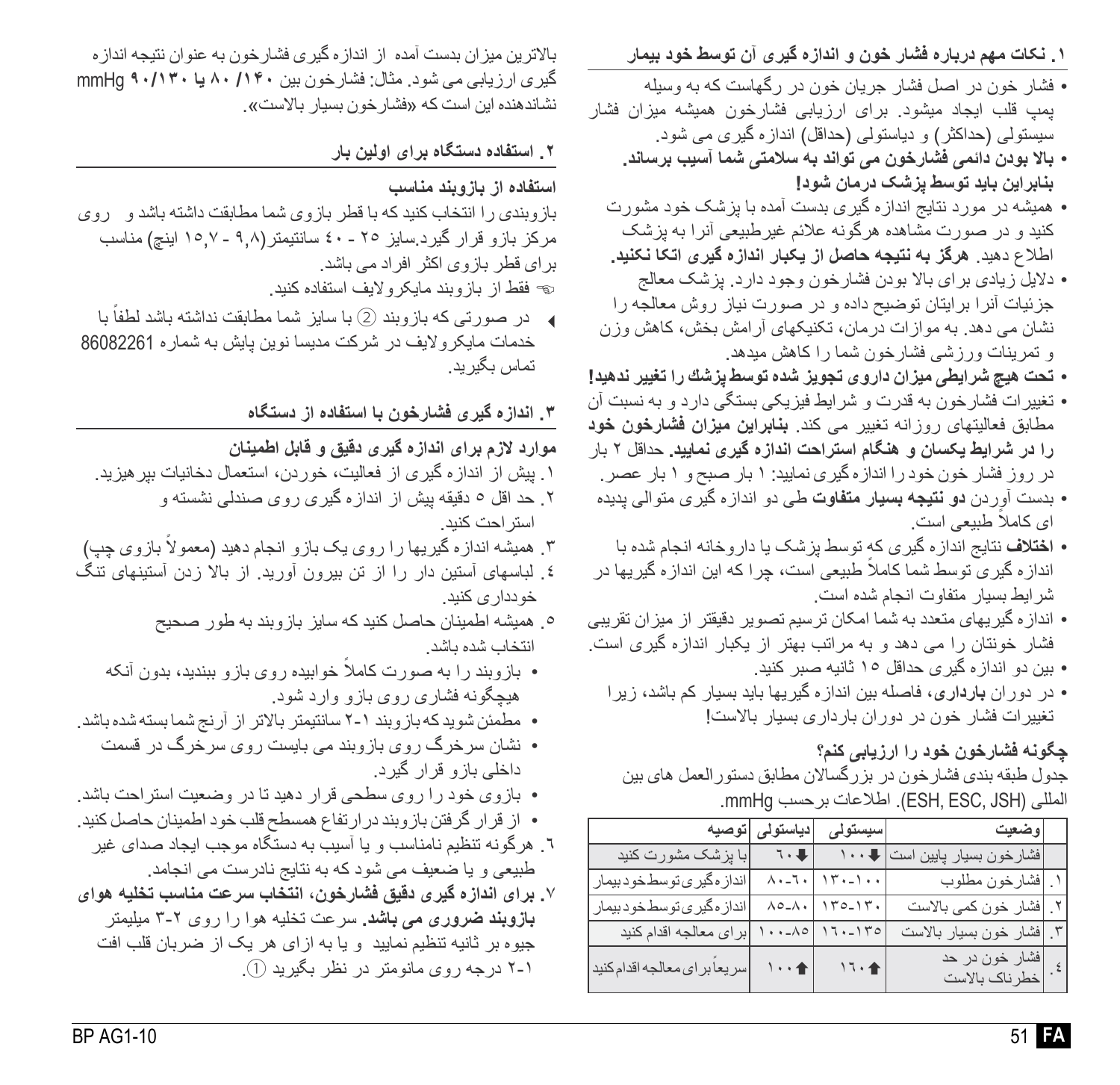۱. نكات مهم درباره فشار خون و اندازه گیری آن توسط خود بیمار

- فشار خون در اصل فشار جریان خون در رگهاست که به وسیله یمپ قلب ایجاد میشود. برای ارزیابی فشارخون همیشه میزان فشار سیستولمی (حداکثر ) و دیاستولمی (حداقل) اندازه گیری می شود.
	- بالا بودن دائمے، فشارخون مے، تواند به سلامتے، شما آسیب برساند. **بنابر این باید توسط پزشک درمان شود!**
	- همیشه در مورد نتایج اندازه گیری بدست آمده با بزشک خود مشورت کنید و در صورت مشاهده هرگونه علائم غیرطبیعی آنرا به پزشک اطلاع دهيد. **هرگز به نتيجه حاصل از يكبار اندازه گير**ى ا**تكا نكنيد.**
	- دلایل زیادی بر ای بالا بودن فشارخون وجود دارد. بزشک معالج جز ئیات آنر ۱ بر ایتان توضیح داده و در صورت نیاز روش معالجه ر ا نشان می دهد. به موازات در مان، تکنیکهای آر امش بخش، کاهش وزن و تمرینات ورزشی فشارخون شما را کاهش میدهد.
- تحت هیچ شرایطی میزان داروی تجویز شده توسط پزشك را تغییر ندهید!
- تغییر ات فشار خون به قدرت و شر ایط فیزیکی بستگی دارد و به نسبت آن مطابق فعالیتهای روزانه تغییر می کند. **بنابراین میزان فشارخون خود** زا در شرا**یط ی**کسان و هنگام استراحت اندازه گیری نمایید. حداقل ۲ بار در روز فشار خون خود را اندازه گیری نمایید: ۱ بار صبح و ۱ بار عصر
- بدست آور دن **دو نتیچه بسیار متفاوت** طی دو انداز ه گیری متوالی پدیده ای کاملا طبیعی است.
- اختلاف نتايج اندازه گيري كه توسط يزشك يا داروخانه انجام شده با انداز ه گیر ی توسط شما کاملاً طبیعی است، چر ا که این انداز ه گیر پها در شر ايط بسيار متفاوت انجام شده است.
- اندازه گیریهای متعدد به شما امکان ترسیم تصویر دقیقتر از میزان تقریبی فشار خونتان را می دهد و به مراتب بهتر از یکبار اندازه گیری است.
	- بين دو اندازه گيري حداقل ١٥ ثانيه صبر كنيد.
	- در دوران بارداری، فاصله بین اندازه گیریها باید بسیار کم باشد، زیرا تغییرات فشار خون در دوران بارداری بسیار بالاست!

#### جگونـه فشارخون خود را ارزيابي کنم؟

جدول طبقه بندي فشارخون در بزرگسالان مطابق دستور العمل هاي بين المللي (ESH, ESC, JSH). اطلاعات برحسب mmHg.

|                             |          | سیستوئی  دیاستوئی توصیه                         | إوضعيت                              |  |
|-----------------------------|----------|-------------------------------------------------|-------------------------------------|--|
| با بزشک مشورت کنید          | 7.4      |                                                 | فشارخون بسيار پايين است  ♦ ١٠٠      |  |
| انداز هگیری توسطخودبیمار    |          | $\lambda$ . $\lambda$ . $\vert \lambda \rangle$ | .  فشارخون مطلوب                    |  |
| انداز هگيري توسطخودبيمار    |          | $\lambda 0 - \lambda $ . $\gamma 0 - \gamma $ . | ٢.  فشار خون كمي بالاست             |  |
| براى معالجه اقدام كنيد      | $\cdots$ | $17. - 170$                                     | ٣.  فشار خون بسيار بالاست           |  |
| سريعابراي معالجه اقدام كنيد | $\cdots$ | 17.4                                            | فشار خون در حد<br>٤.  خطرناک بالاست |  |

بالاترین میز ان بدست آمده از اندازه گیری فشار خون به عنوان نتیجه اندازه تَکیری ارزیابی می شود. مثال: فشارخون بین ۴۰/۱۴۰ یا ۳۰/۱۳۰ mmHg نشاندهنده این است که «فشار خون بسیار بالاست».

#### ۲ <sub>-</sub> استفاده دستگاه برای اولین بار

#### استفاده از بازوبند مناسب

بازوبندی را انتخاب کنید که با قطر بازوی شما مطابقت داشته باشد و روی مرکز بازو قرار گیرد سایز ۲۰ - ٤٠ سانتیمتر(۹٫۸ - ۱۰٫۷ اینچ) مناسب بر ای قطر باز وی اکثر افر اد می باشد. ۞ فقط از باز وبند مايكر و لايف استفاده كنيد.

√ در صورتی که بازوبند ② با سایز شما مطابقت نداشته باشد لطفاً با خدمات مايكرولايف در شركت مديسا نوين پايش به شماره 86082261 تماس بگبر بد

#### ۳ <sub>ـ</sub> اندازه گیری فشارخون با استفاده از دستگاه

- موارد لازم برای اندازه گیری دقیق و قابل اطمینان
- ١. پیش از اندازه گیری از فعالیت، خوردن، استعمال دخانیات بیر هیزید.
	- ۲ حد اقل ٥ دقیقه بیش از اندازه گیری روی صندلی نشسته و استر احت کنید ِ
- ۰۳ همیشه انداز ه گیریها ر ا روی یک بازو انجام دهید (معمولاً بازوی چپ)
- ٤. لباسهای أستین دار را از تن بیرون أورید. از بالا زدن أستینهای تنگ خو ددار *ی* کنید.
	- ه همیشه اطمینان حاصل کنید که سایز بازوبند به طور صحیح انتخاب شده باشد.
	- بازوبند را به صورت كاملاً خوابيده روى بازو ببنديد، بدون أنكه هیچگونه فشاری روی بازو وارد شود.
- مطمئن شويد كه بازوبند ١-٢ سانتيمتر بالاتر از آرنج شما بسته شده باشد.
	- نشان سرخرگ روی بازوبند می بایست روی سرخرگ در قسمت داخلی باز و قر ار گیر د.
- بازوی خود را روی سطحی قرار دهید تا در وضعیت استراحت باشد.
- از قرار گرفتن بازوبند در ارتفاع همسطح قلب خود اطمينان حاصل كنيد.
- ۲] هرگونه تنظیم نامناسب و یا آسیب به دستگاه موجب ایجاد صدای غیر طبیعی و یا ضعیف می شود که به نتایج نادرست می انجامد.
- ۷ . برای اندازه گیری دقیق فشارخون، انتخاب سرعت مناسب تخلیه هوای **بازویند ضروری مے باشد** سرعت تخلیه هوا را روی ۲-۳ میلیمتر جبوه بر ثانیه تنظیم نمایید و یا به از ای هر یک از ضربان قلب افت ۱-۲ درجه روی مانومتر در نظر بگیرید (آ).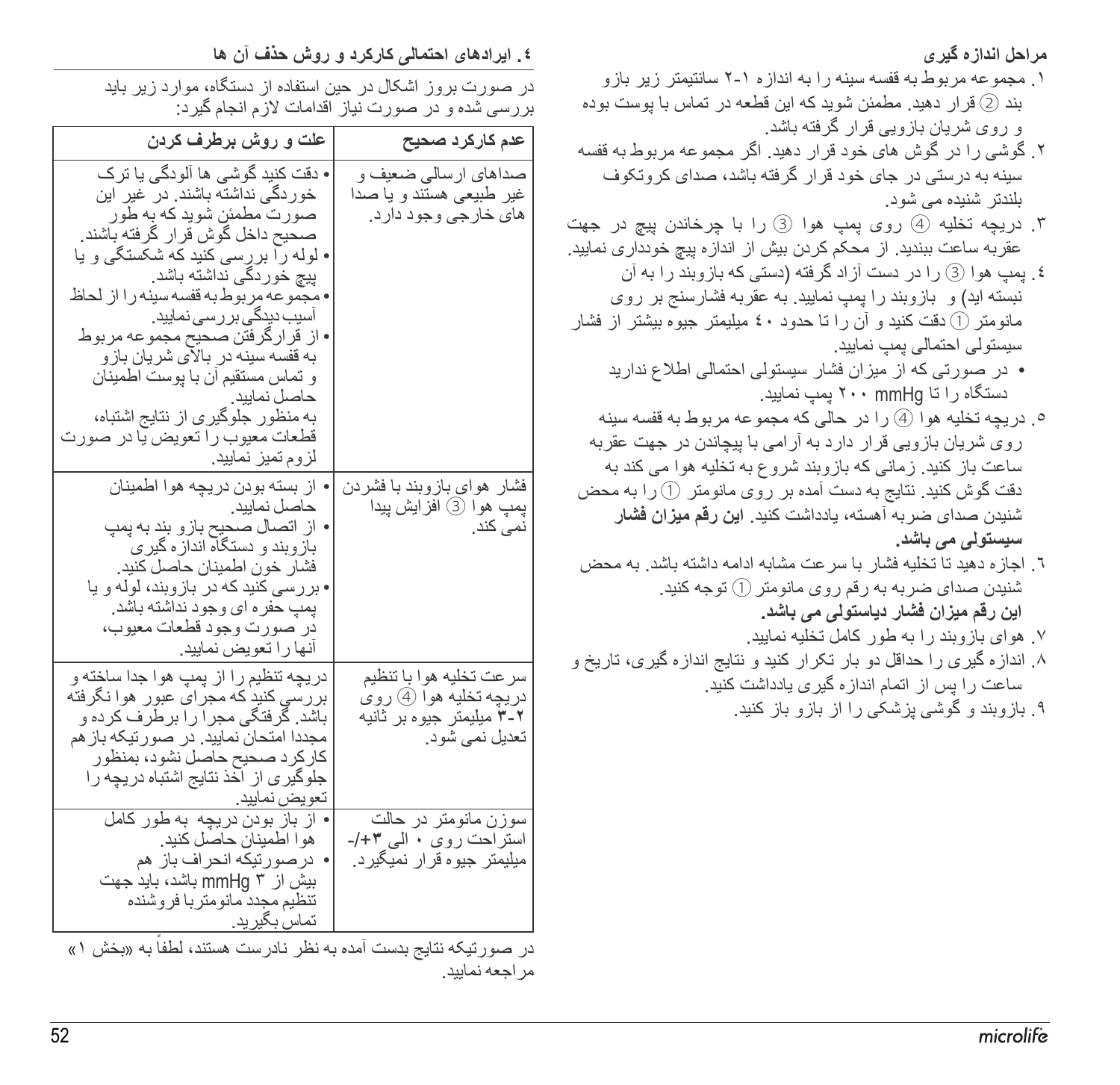مر ا**ح**ل انداز ه گیر ی ۱. مجمو عه مر بوط به قفسه سینه را به انداز ه ۱-۲ سانتیمتر زیر باز و بند (2) قر ار دهید. مطمئن شوید که این قطعه در تماس با بوست بوده و روی شربان بازوبے قرار گرفته باشد.

- ۲ ِ گوشی را در گوش های خود قرار دهید. اگر مجموعه مربوط به قفسه سینه به در ستی در جای خود قر ار گر فته باشد، صدای کر و تکوف بلندتر شنیده می شود.
- ۳. دریچه تخلیه (4) روی یمب هوا (3) را با چرخاندن بیچ در جهت عقربه ساعت ببنديد. از محكم كردن بيش از اندازه بيچ خوددارى نماييد.
- ٤. یمپ هوا (3) را در دست آزاد گرفته (دستی که بازوبند را به آن نبسته اید) و بازوبند را پمپ نمایید. به عقربه فشارسنج بر روی مانومتر (آ) دقت کنید و آن را تا حدود ٤٠ میلیمتر جیوه بیشتر از فشار سیستولی احتمالی یمپ نمایید.
	- در صورتے که از میزان فشار سیستولے احتمالے اطلاع ندارید دستگاه را تا ۲۰۰ mmHg ۲۰۰ پمپ نمایید.
- ۰. در يچه تخليه هوا (4) را در حالي كه مجموعه مربوط به قفسه سينه روی شربان بازویے قرار دارد به آرامے با بیجاندن در جھت عقربه ساعت باز کنید. زمانی که بازوبند شروع به تخلیه هوا می کند به دقت گوش کنید. نتایج به دست آمده بر روی مانومتر (1) را به محض شنیدن صدا*ی* ضربه آهسته، یادداشت کنید. ا**ین رقم میز**ا**ن فشار** سیستول*ی مے ب*اشد۔
- νΣϣϪΑΩηΎΑϪΗηΩϪϣΩϪΑΎηϣΕϋέγΎΑέΎηϓϪϳϠΧΗΎΗΩϳϫΩϩίΎΟ˿ شنبدن صدای ضر به به ر قر ر وی مانومتر (آ) توجه کنبد ِ این رقم میزان فشار دیاستول*ی می* باشد.
	- ۷] هوای باز وبند را به طور کامل تخلیه نمایید.
- ۸. اندازه گیری را حداقل دو بار تکرار کنید و نتایج اندازه گیری، تاریخ و ساعت ر ا بس از اتمام انداز ه گیر ی بادداشت کنید.
	- ۹] باز وبند و گوشی بزشکی را از باز و باز کنید.

**ΎϫϥϑΫΣεϭέϭΩέϛέΎϛ̶ϟΎϣΗΣ̵ΎϫΩέϳ˽**

در صورت بروز اشکال در حین استفاده از دستگاه، موارد زیر باید بررسی شده و در صورت نیاز اقدامات لازم انجام گیرد:

| علت و روش برطرف کردن                                                                                                                                            | عدم كاركرد صحيح                                                                                      |
|-----------------------------------------------------------------------------------------------------------------------------------------------------------------|------------------------------------------------------------------------------------------------------|
| • دقت کنید گوشی ها آلودگی یا تر ک<br>خو ر دگے نداشته باشند. در خیر این<br>صور ت مطمئن شوید که به طور                                                            | صداهاي ارسالي ضعيف و<br>غیر طبیعی هستند و یا صدا<br>هاي خار جي وجود دار د.                           |
| صحيح داخل گوش قر ار گرفته باشند.<br>• لوله رآ برړسي کنید که شکستگي و یا<br>بیچ خوردگی نداشته باشد.                                                              |                                                                                                      |
| • مجموعه مربوطبه قفسه سينه را از لحاظ<br>آسیبؒ دیدگی بر رسی نمایید.                                                                                             |                                                                                                      |
| • از قرارگرفتن صحيح مجموعه مربوط<br>به قفسه سینه در بالای شریان باز و<br>و تماس مستقيم ان با يوست اطمينان                                                       |                                                                                                      |
| حاصل نماييد.<br>به منظور جلوگیری از نتایج اشتباه،                                                                                                               |                                                                                                      |
| قطعات معيوب را تعويض يا در صورت<br>لزوم تميز نماييد.                                                                                                            |                                                                                                      |
| • از بسته بودن دريچه هوا اطمينان<br>حاصل نمابيد.<br>• از اتصال صحیح بازو بند به یمپ                                                                             | فشار۔ هو ای باز و بند با فشر دن<br>يمپ هو ا (3) افز ايش بيدا<br>نمی کند.                             |
| باز وبند و دستگاه انداز ه گیر ی<br>فشار خون اطمينان حاصل كنيد.                                                                                                  |                                                                                                      |
| • بررسي كنيد كه در بازوبند، لوله و يا<br>يمپ حفر ه اي وجود نداشته باشد.<br>در صورت وجود قطعات معيوب،                                                            |                                                                                                      |
| انها را تعويض نماييد.                                                                                                                                           |                                                                                                      |
| در يچه تنظيم را از پمپ هوا جدا ساخته و<br>بررسي كنيد كه مجراي عبور هوا نگرفته<br>بَاشَد گُرفتگی مجرا را برطرف کرده و<br>مجددا امتحان نمایید. در صور تیکه باز هم | سر عت تخلیه هو ۱ با تنظیم<br>در يچه تخليه هوا (4) روي<br>۲-۳ میلیمتر جیوه بر ثانیه<br>تعديل نمي شود. |
| كاركرد صحيح حاصل نشود، بمنظور<br>جلوگیر ی از آخذ نتایج اشتباه در یچه ر ا                                                                                        |                                                                                                      |
| تعويض نماييد<br>• از باز بودن دریچه به طور کامل<br>هو ا اطمينان حاصل کنيد.                                                                                      | سوزن مانومتر در حالت<br>استراحت روی ۱ المی ۳+/-                                                      |
| • در صور تیکه انحر اف باز  هم<br>بیش از mmHg ۳ باشد، باید جهت<br>تنظیم مجدد مانو متر با فر و شنده                                                               | ميليمتر جيوه قرار نميگيرد.                                                                           |
| تماس بگيريد.                                                                                                                                                    |                                                                                                      |

در صورتيكه نتايج بدست آمده به نظر نادرست هستند، لطفاً به «بخش ١» مر اجعه نمایید ِ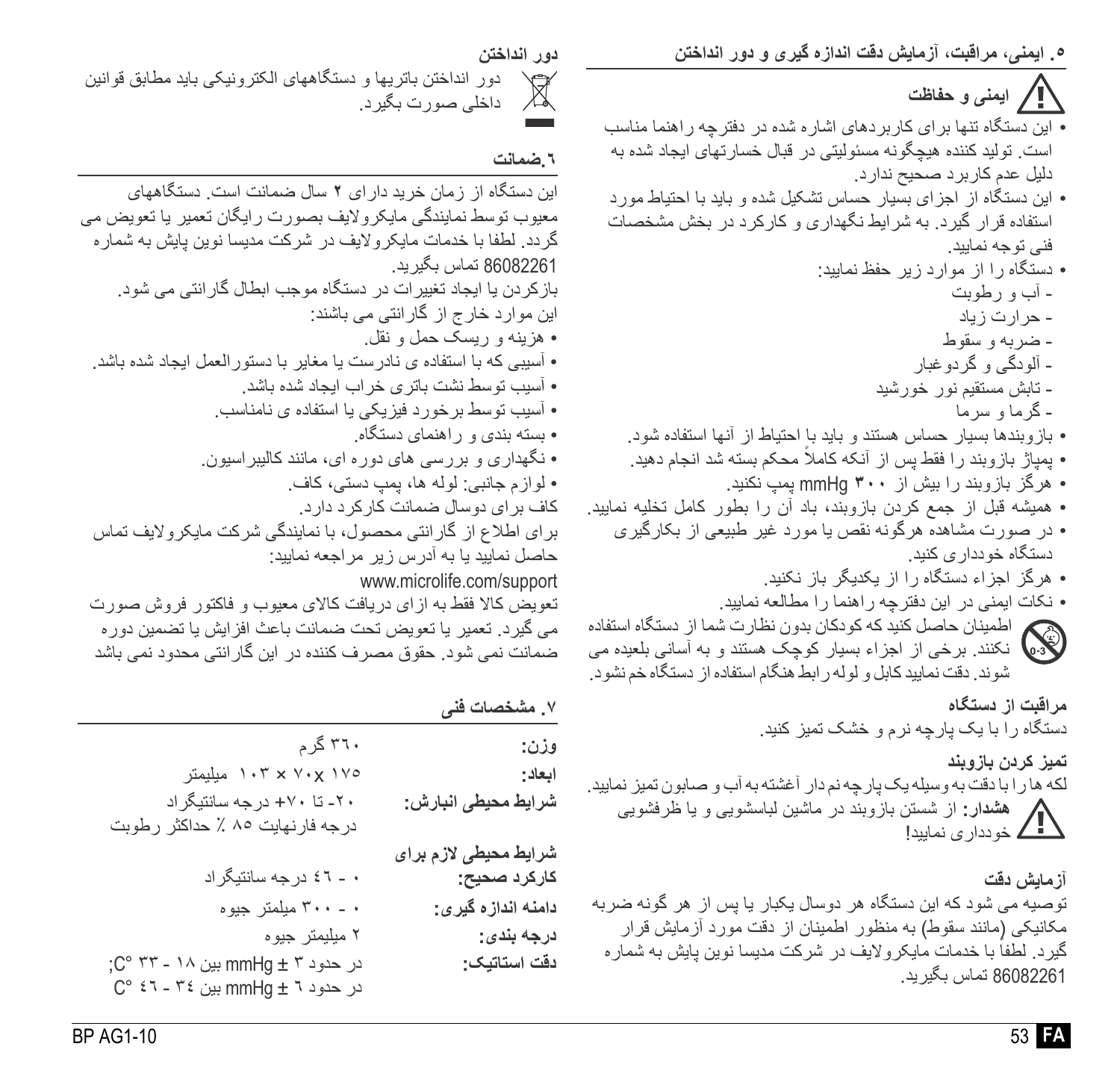۰ ـ ایمنی، مراقبت، آزمایش دقت اندازه گیری و دور انداختن

<mark>ا√</mark> ایمن<sub>ی و حفاظت</sub> • این دستگاه تنها برای کاربردهای اشاره شده در دفترچه راهنما مناسب است. تو لید کننده هیچگو نه مسئو لیتی در قبال خسار تهای ایجاد شده به دلیل عدم کار بر د صبحیح ندار در

- این دستگاه از اجزای بسیار حساس تشکیل شده و باید با احتیاط مورد استفاده قر ار گیر د. به شر ایط نگهدار ی و کار کر د در بخش مشخصات فنی توجه نمایید.
	- دستگاه را از موارد زیر حفظ نمایید: - آب و رطوبت - حر ار ت ز ياد – ضربه و سقوط - ألودگي و گردو غبار
		- تابش مستقیم نور خورشید -گزماوسرما
	- باز وبندها بسیار حساس هستند و باید با احتیاط از آنها استفاده شود.
	- يمياژ بازوبند را فقط پس از آنكه كاملاً محكم بسته شد انجام دهيد. • هرگز بازوبند را بیش از mmHg ۳۰۰ پمپ نکنید.
- ه همیشه قبل از جمع کردن بازوبند، باد آن را بطور کامل تخلیه نمایید.
- در صورت مشاهده هرگونه نقص یا مورد غیر طبیعی از بکارگیری دستگاه خو ددار ی کنید ِ
	- هر گز اجزاء دستگاه را از بکدبگر باز نکنبد.
- نكات ايمنى در اين دفتر چه راهنما را مطالعه نماييد. چیم اطمینان حاصل کنید که کودکان بدون نظارت شما از دستگاه استفاده

وی نکنند. برخی از اجزاء بسیار کوچک هستند و به آسانی بلعیده می شوند. دقت نمایید کابل و لوله رابط هنگام استفاده از دستگاه خم نشود.

> مر اقت از دستگاه دستگاه را با یک بارچه نرم و خشک تمیز کنید.

> > تميز كرد*ن* بازويند

لکه ها را با دقت به وسیله یک پارچه نم دار آغشته به آب و صابون تمیز نمایید. **/ هشدار:** از شستن بازوبند در ماشین لباسشویی و یا ظرفشویی  $\sum_{i=1}^N$ خو ددار ی نمایید!

**ΕϗΩεϳΎϣί**

توصیه می شود که این دستگاه هر دوسال یکبار یا پس از هر گونه ضربه مکانیکی (مانند سقوط) به منظور اطمینان از دقت مورد آزمایش قرار گیرد. لطفاً با خدمات مایکرولایف در شرکت مدیسا نوین پایش به شماره 86082261 تماس بگيريد.

**دور انداختن** دور انداختن باتريها و دستگاههاي الكترونيكي بايد مطابق قوانين  $\blacktriangledown$ داخلی صورت بگیر د.  $\mathcal{A}$ 

٦ .ضمانت

این دستگاه از زمان خرید دارای ۲ سال ضمانت است. دستگاههای معیوب توسط نمایندگی مایکرولایف بصورت رایگان تعمیر یا تعویض می گردد. لطفا با خدمات مايكرولايف در شركت مديسا نوين پايش به شماره 86082261 تماس بگيريد. باز کردن یا ایجاد تغییرات در دستگاه موجب ابطال گارانتی می شود. این موارد خارج از گارانتی می باشند: ه هزینه و ریسک حمل و نقل. • آسیبی که با استفاده ی نادرست یا مغایر با دستور العمل ایجاد شده باشد. • آسیب توسط نشت باتر ی خر اب ایجاد شده باشد. • آسیب توسط برخور د فیزیکی یا استفاده ی نامناسب • بسته بندی و راهنمای دستگاه • نگهدار ی و بر ر سی های دور ه ای، مانند کالیبر اسپون • لواز م جانبي: لوله ها، يمب دستي، كاف. كاف براى دوسال ضمانت كار كرد دارد. براي اطلاع از گارانتي محصول، با نمايندگي شركت مايكرولايف تماس حاصل نمایید یا به آدرس زیر مر اجعه نمایید: www.microlife.com/support تعويض كالا فقط به ازاي دريافت كالاي معيوب و فاكتور فروش صورت می گیر د. تعمیر یا تعویض تحت ضمانت باعث افز ایش یا تضمین دور ه

ضمانت نمے شود. حقوق مصر ف کنندہ در ابن گار انتے محدود نمے باشد

| ٧. مشخصات فنى                  |                                 |
|--------------------------------|---------------------------------|
| وزن:                           | ۳٦۰ گرم                         |
| ابعاد :                        | ۱۰۳ × ۷۰ × ۱۰۳ میلیمتر          |
| شرايط محيطى انبارش:            | ۲۰- تا ۲۰+ در جه سانتیگر اد     |
|                                | درجه فارنهایت ۸۵ ٪ حداکثر رطوبت |
| شرا <b>یط محیط</b> ی لازم برای |                                 |
| كاركرد صحيح:                   | ۰ - ٤٦ درجه سانتيگراد           |
| دامنه اندازه گیری:             | ۰ - ۳۰۰ میلمتر جیوه             |
| درجه بندی:                     | ۲ میلیمتر جیوه                  |
| دقت استاتيک:                   | در حدود mmHg ± ۳ :0°, 0° ۳۳     |
|                                | در حدود ۲ ± mmHg بين ٣٤ - ٢٢ °C |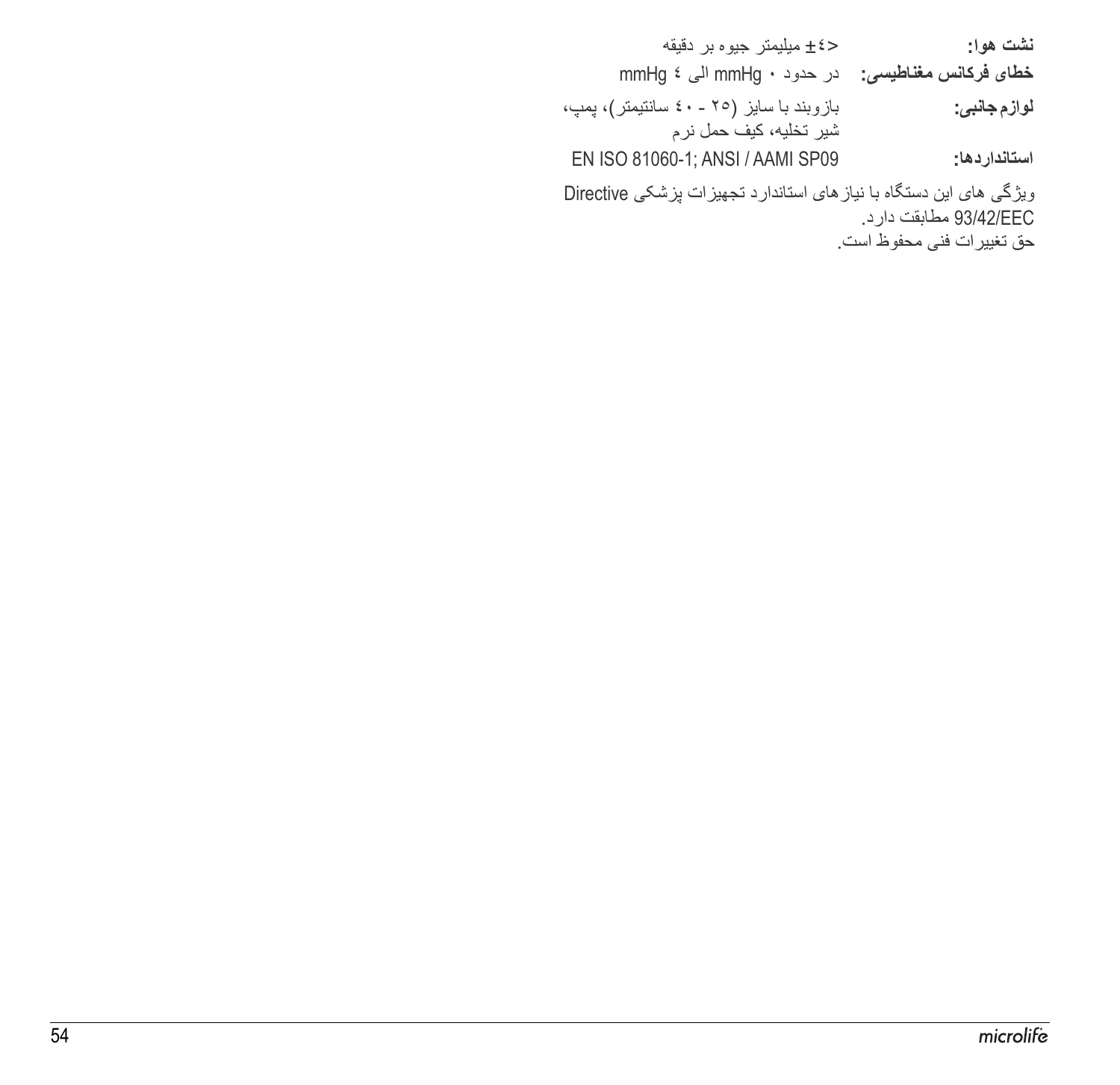| نشت هوا:              | < ± ± ميليمتر جيوه بر دقيقه                                         |
|-----------------------|---------------------------------------------------------------------|
| خطاى فركانس مغناطيسي: | در حدود mmHg الى ؟ mmHg                                             |
| لوازم جانب <i>ی</i> : | بازوبند با سایز (۲۰ - ٤٠ سانتیمتر)، یمپ،<br>شیر تخلیه، کیف حمل نر م |
| استاندار دها:         | EN ISO 81060-1; ANSI / AAMI SP09                                    |
|                       |                                                                     |

ویژگی های این دستگاه با نیاز های استاندار د تجهیز ات پزشکی Directive 93/42/EEC مطابقت دار د<sub>.</sub> حق تغییر ات فنی محفوظ است.